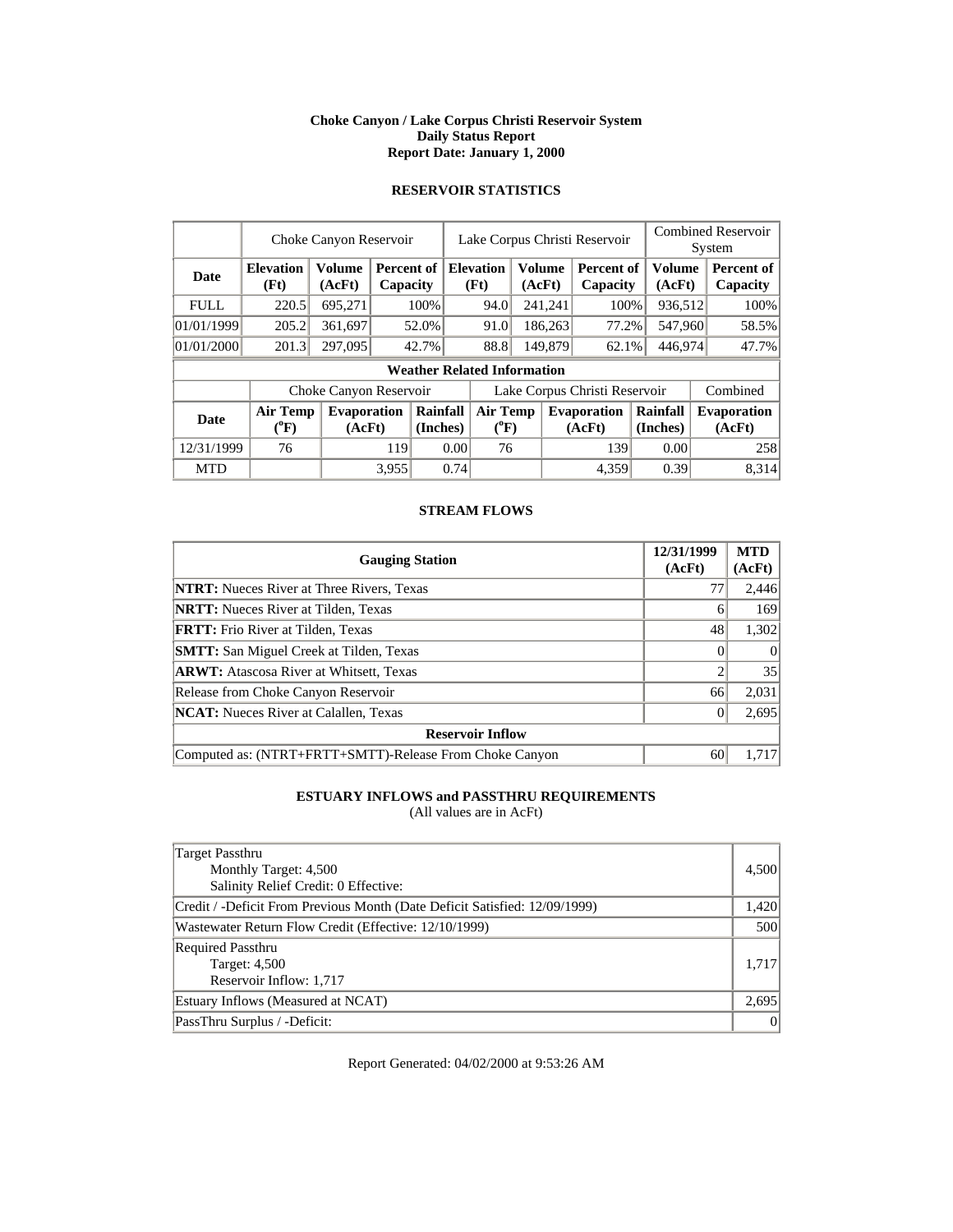### **Choke Canyon / Lake Corpus Christi Reservoir System Daily Status Report Report Date: January 1, 2000**

# **RESERVOIR STATISTICS**

|             |                                       | Choke Canyon Reservoir       |       |                                         | Lake Corpus Christi Reservoir         |                                    |  |                         |                               | <b>Combined Reservoir</b><br>System |  |                              |
|-------------|---------------------------------------|------------------------------|-------|-----------------------------------------|---------------------------------------|------------------------------------|--|-------------------------|-------------------------------|-------------------------------------|--|------------------------------|
| <b>Date</b> | <b>Elevation</b><br>(Ft)              | <b>Volume</b><br>(AcFt)      |       | <b>Percent of Elevation</b><br>Capacity |                                       | (Ft)                               |  | <b>Volume</b><br>(AcFt) | Percent of<br>Capacity        | <b>Volume</b><br>(AcFt)             |  | Percent of<br>Capacity       |
| <b>FULL</b> | 220.5                                 | 695,271                      |       | 100%                                    |                                       | 94.0                               |  | 241,241                 | 100%                          | 936,512                             |  | 100%                         |
| 01/01/1999  | 205.2                                 | 361,697                      |       | 52.0%                                   |                                       | 91.0                               |  | 186,263                 | 77.2%                         | 547,960                             |  | 58.5%                        |
| 01/01/2000  | 201.3                                 | 297,095                      |       | 42.7%                                   |                                       | 88.8                               |  | 149,879                 |                               | 446,974<br>62.1%                    |  | 47.7%                        |
|             |                                       |                              |       |                                         |                                       | <b>Weather Related Information</b> |  |                         |                               |                                     |  |                              |
|             |                                       | Choke Canyon Reservoir       |       |                                         |                                       |                                    |  |                         | Lake Corpus Christi Reservoir |                                     |  | Combined                     |
| Date        | <b>Air Temp</b><br>$(^{0}\mathrm{F})$ | <b>Evaporation</b><br>(AcFt) |       | Rainfall<br>(Inches)                    | <b>Air Temp</b><br>$({}^0\mathrm{F})$ |                                    |  |                         | <b>Evaporation</b><br>(AcFt)  | Rainfall<br>(Inches)                |  | <b>Evaporation</b><br>(AcFt) |
| 12/31/1999  | 76                                    |                              | 119   |                                         | 0.00                                  | 76                                 |  |                         | 139                           | 0.00                                |  | 258                          |
| <b>MTD</b>  |                                       |                              | 3,955 |                                         | 0.74                                  |                                    |  |                         | 4,359                         | 0.39                                |  | 8,314                        |

## **STREAM FLOWS**

| <b>Gauging Station</b>                                  | 12/31/1999<br>(AcFt) | <b>MTD</b><br>(AcFt) |
|---------------------------------------------------------|----------------------|----------------------|
| <b>NTRT:</b> Nueces River at Three Rivers, Texas        | 77                   | 2,446                |
| <b>NRTT:</b> Nueces River at Tilden, Texas              | <sub>(</sub>         | 169                  |
| <b>FRTT:</b> Frio River at Tilden, Texas                | 48                   | 1,302                |
| <b>SMTT:</b> San Miguel Creek at Tilden, Texas          |                      | $\Omega$             |
| <b>ARWT:</b> Atascosa River at Whitsett, Texas          | ◠                    | 35                   |
| Release from Choke Canyon Reservoir                     | 66                   | 2,031                |
| <b>NCAT:</b> Nueces River at Calallen, Texas            |                      | 2,695                |
| <b>Reservoir Inflow</b>                                 |                      |                      |
| Computed as: (NTRT+FRTT+SMTT)-Release From Choke Canyon | 60                   | 1.717                |

# **ESTUARY INFLOWS and PASSTHRU REQUIREMENTS**

(All values are in AcFt)

| Target Passthru                                                            |       |
|----------------------------------------------------------------------------|-------|
| Monthly Target: 4,500                                                      | 4,500 |
| Salinity Relief Credit: 0 Effective:                                       |       |
| Credit / -Deficit From Previous Month (Date Deficit Satisfied: 12/09/1999) | 1,420 |
| Wastewater Return Flow Credit (Effective: 12/10/1999)                      | 500   |
| <b>Required Passthru</b>                                                   |       |
| <b>Target: 4,500</b>                                                       | 1.717 |
| Reservoir Inflow: 1,717                                                    |       |
| Estuary Inflows (Measured at NCAT)                                         | 2,695 |
| PassThru Surplus / -Deficit:                                               | 0     |

Report Generated: 04/02/2000 at 9:53:26 AM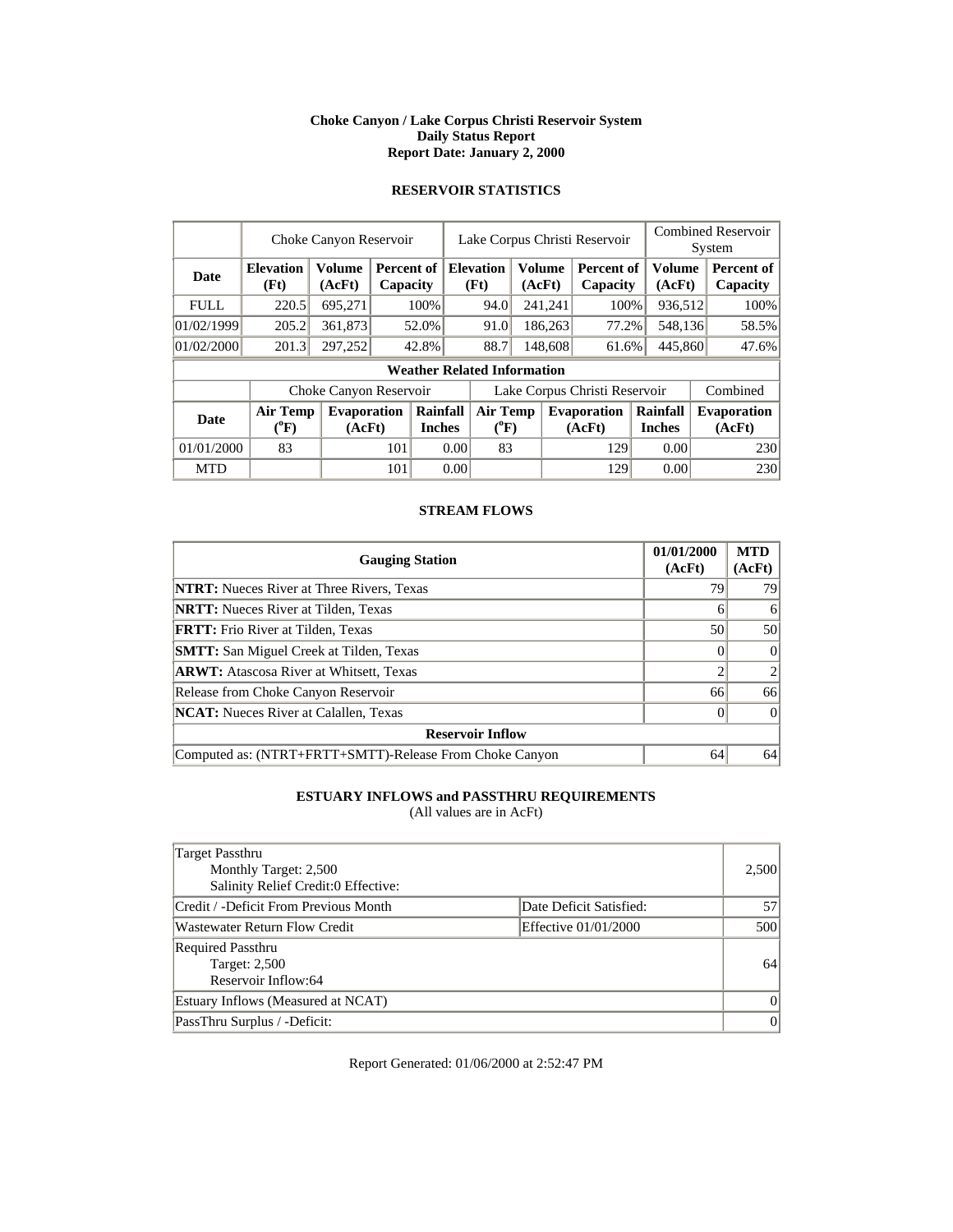### **Choke Canyon / Lake Corpus Christi Reservoir System Daily Status Report Report Date: January 2, 2000**

# **RESERVOIR STATISTICS**

|             |                                       | Choke Canyon Reservoir       |     |                                         |      | Lake Corpus Christi Reservoir         |                  |         |                               |                           |                         | <b>Combined Reservoir</b><br>System |                              |  |       |
|-------------|---------------------------------------|------------------------------|-----|-----------------------------------------|------|---------------------------------------|------------------|---------|-------------------------------|---------------------------|-------------------------|-------------------------------------|------------------------------|--|-------|
| <b>Date</b> | <b>Elevation</b><br>(Ft)              | <b>Volume</b><br>(AcFt)      |     | <b>Percent of Elevation</b><br>Capacity |      | (Ft)                                  | Volume<br>(AcFt) |         | Percent of<br>Capacity        |                           | <b>Volume</b><br>(AcFt) |                                     | Percent of<br>Capacity       |  |       |
| <b>FULL</b> | 220.5                                 | 695,271                      |     | 100%                                    |      | 94.0                                  |                  | 241,241 | 100%                          |                           | 936,512                 |                                     | 100%                         |  |       |
| 01/02/1999  | 205.2                                 | 361,873                      |     | 52.0%                                   |      | 91.0                                  |                  | 186,263 | 77.2%                         |                           | 548,136                 |                                     | 58.5%                        |  |       |
| 01/02/2000  | 201.3                                 | 297,252                      |     | 42.8%                                   |      |                                       |                  | 88.7    | 148,608                       |                           | 61.6%                   | 445,860                             |                              |  | 47.6% |
|             |                                       |                              |     |                                         |      | <b>Weather Related Information</b>    |                  |         |                               |                           |                         |                                     |                              |  |       |
|             |                                       | Choke Canyon Reservoir       |     |                                         |      |                                       |                  |         | Lake Corpus Christi Reservoir |                           |                         |                                     | Combined                     |  |       |
| <b>Date</b> | <b>Air Temp</b><br>$({}^o\mathrm{F})$ | <b>Evaporation</b><br>(AcFt) |     | Rainfall<br><b>Inches</b>               |      | <b>Air Temp</b><br>$({}^0\mathrm{F})$ |                  |         | <b>Evaporation</b><br>(AcFt)  | Rainfall<br><b>Inches</b> |                         |                                     | <b>Evaporation</b><br>(AcFt) |  |       |
| 01/01/2000  | 83                                    |                              | 101 |                                         | 0.00 | 83                                    |                  |         | 129                           |                           | 0.00                    |                                     | 230                          |  |       |
| <b>MTD</b>  |                                       |                              | 101 |                                         | 0.00 |                                       |                  |         | 129                           |                           | 0.00                    |                                     | 230                          |  |       |

## **STREAM FLOWS**

| <b>Gauging Station</b>                                  | 01/01/2000<br>(AcFt) | <b>MTD</b><br>(AcFt) |
|---------------------------------------------------------|----------------------|----------------------|
| <b>NTRT:</b> Nueces River at Three Rivers, Texas        | 79                   | 79                   |
| <b>NRTT:</b> Nueces River at Tilden, Texas              | 6                    | 6                    |
| <b>FRTT:</b> Frio River at Tilden, Texas                | 50                   | 50                   |
| <b>SMTT:</b> San Miguel Creek at Tilden, Texas          |                      | $\Omega$             |
| <b>ARWT:</b> Atascosa River at Whitsett, Texas          |                      |                      |
| Release from Choke Canyon Reservoir                     | 66                   | 66                   |
| <b>NCAT:</b> Nueces River at Calallen, Texas            |                      | $\Omega$             |
| <b>Reservoir Inflow</b>                                 |                      |                      |
| Computed as: (NTRT+FRTT+SMTT)-Release From Choke Canyon | 64                   | 64                   |

# **ESTUARY INFLOWS and PASSTHRU REQUIREMENTS**

(All values are in AcFt)

| Target Passthru<br>Monthly Target: 2,500<br>Salinity Relief Credit:0 Effective: |                         | 2,500    |
|---------------------------------------------------------------------------------|-------------------------|----------|
| Credit / -Deficit From Previous Month                                           | Date Deficit Satisfied: | 57       |
| Wastewater Return Flow Credit                                                   | Effective 01/01/2000    | 500      |
| <b>Required Passthru</b><br>Target: 2,500<br>Reservoir Inflow:64                |                         | 64       |
| Estuary Inflows (Measured at NCAT)                                              |                         | $\Omega$ |
| PassThru Surplus / -Deficit:                                                    |                         | $\theta$ |

Report Generated: 01/06/2000 at 2:52:47 PM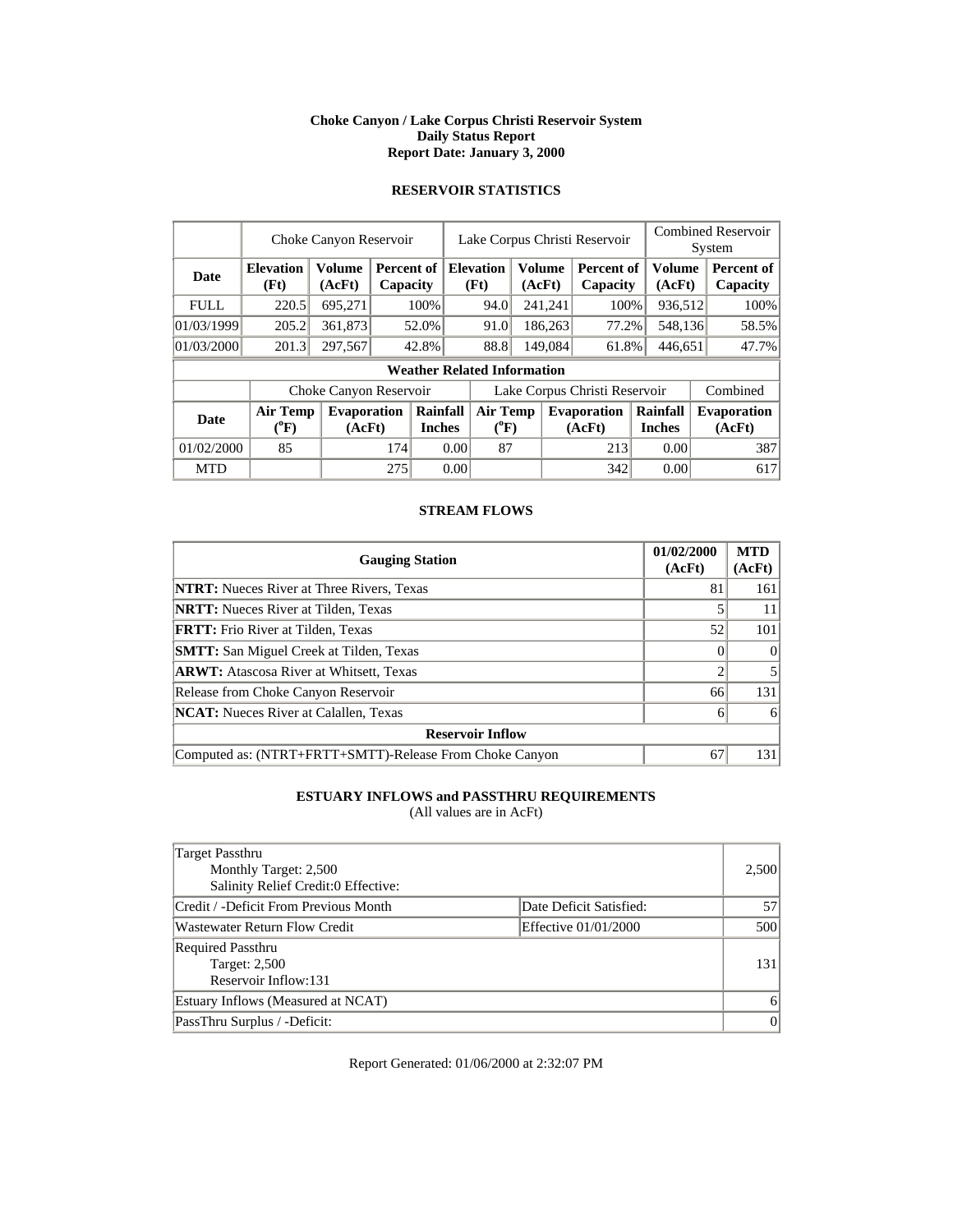### **Choke Canyon / Lake Corpus Christi Reservoir System Daily Status Report Report Date: January 3, 2000**

# **RESERVOIR STATISTICS**

|             |                                       | Choke Canyon Reservoir  |     |                                           | <b>Combined Reservoir</b><br>Lake Corpus Christi Reservoir<br>System |                                       |                         |         |                               |                           |                  |  |                              |
|-------------|---------------------------------------|-------------------------|-----|-------------------------------------------|----------------------------------------------------------------------|---------------------------------------|-------------------------|---------|-------------------------------|---------------------------|------------------|--|------------------------------|
| <b>Date</b> | <b>Elevation</b><br>(Ft)              | <b>Volume</b><br>(AcFt) |     | <b>Percent of   Elevation</b><br>Capacity |                                                                      | (Ft)                                  | <b>Volume</b><br>(AcFt) |         | Percent of<br>Capacity        |                           | Volume<br>(AcFt) |  | Percent of<br>Capacity       |
| <b>FULL</b> | 220.5                                 | 695,271                 |     | 100%                                      |                                                                      | 94.0                                  |                         | 241,241 | 100%                          |                           | 936,512          |  | 100%                         |
| 01/03/1999  | 205.2                                 | 361,873                 |     | 52.0%                                     |                                                                      | 91.0                                  |                         | 186,263 | 77.2%                         |                           | 548,136          |  | 58.5%                        |
| 01/03/2000  | 201.3                                 | 297,567                 |     | 42.8%                                     |                                                                      | 88.8                                  | 149,084                 |         | 61.8%                         | 446,651                   |                  |  | 47.7%                        |
|             |                                       |                         |     |                                           |                                                                      | <b>Weather Related Information</b>    |                         |         |                               |                           |                  |  |                              |
|             |                                       | Choke Canyon Reservoir  |     |                                           |                                                                      |                                       |                         |         | Lake Corpus Christi Reservoir |                           |                  |  | Combined                     |
| <b>Date</b> | <b>Air Temp</b><br>$({}^0\mathrm{F})$ | Evaporation<br>(AcFt)   |     | Rainfall<br><b>Inches</b>                 |                                                                      | <b>Air Temp</b><br>$({}^0\mathrm{F})$ |                         |         | <b>Evaporation</b><br>(AcFt)  | Rainfall<br><b>Inches</b> |                  |  | <b>Evaporation</b><br>(AcFt) |
| 01/02/2000  | 85                                    |                         | 174 |                                           | 0.00                                                                 | 87                                    |                         |         | 213                           |                           | 0.00             |  | 387                          |
| <b>MTD</b>  |                                       |                         | 275 |                                           | 0.00                                                                 |                                       |                         |         | 342                           |                           | 0.00             |  | 617                          |

## **STREAM FLOWS**

| <b>Gauging Station</b>                                  | 01/02/2000<br>(AcFt) | <b>MTD</b><br>(AcFt) |
|---------------------------------------------------------|----------------------|----------------------|
| <b>NTRT:</b> Nueces River at Three Rivers, Texas        | 81                   | 161                  |
| <b>NRTT:</b> Nueces River at Tilden, Texas              |                      | 11                   |
| FRTT: Frio River at Tilden, Texas                       | 52                   | 101                  |
| <b>SMTT:</b> San Miguel Creek at Tilden, Texas          |                      | $\Omega$             |
| <b>ARWT:</b> Atascosa River at Whitsett, Texas          |                      |                      |
| Release from Choke Canyon Reservoir                     | 66                   | 131                  |
| <b>NCAT:</b> Nueces River at Calallen, Texas            | 6                    | 6                    |
| <b>Reservoir Inflow</b>                                 |                      |                      |
| Computed as: (NTRT+FRTT+SMTT)-Release From Choke Canyon | 67                   | 131                  |

# **ESTUARY INFLOWS and PASSTHRU REQUIREMENTS**

(All values are in AcFt)

| Target Passthru<br>Monthly Target: 2,500<br>Salinity Relief Credit:0 Effective: |                         | 2,500    |
|---------------------------------------------------------------------------------|-------------------------|----------|
| Credit / -Deficit From Previous Month                                           | Date Deficit Satisfied: | 57       |
| Wastewater Return Flow Credit                                                   | Effective 01/01/2000    | 500      |
| <b>Required Passthru</b><br><b>Target: 2,500</b><br>Reservoir Inflow:131        |                         | 131      |
| Estuary Inflows (Measured at NCAT)                                              |                         | 6        |
| PassThru Surplus / -Deficit:                                                    |                         | $\theta$ |

Report Generated: 01/06/2000 at 2:32:07 PM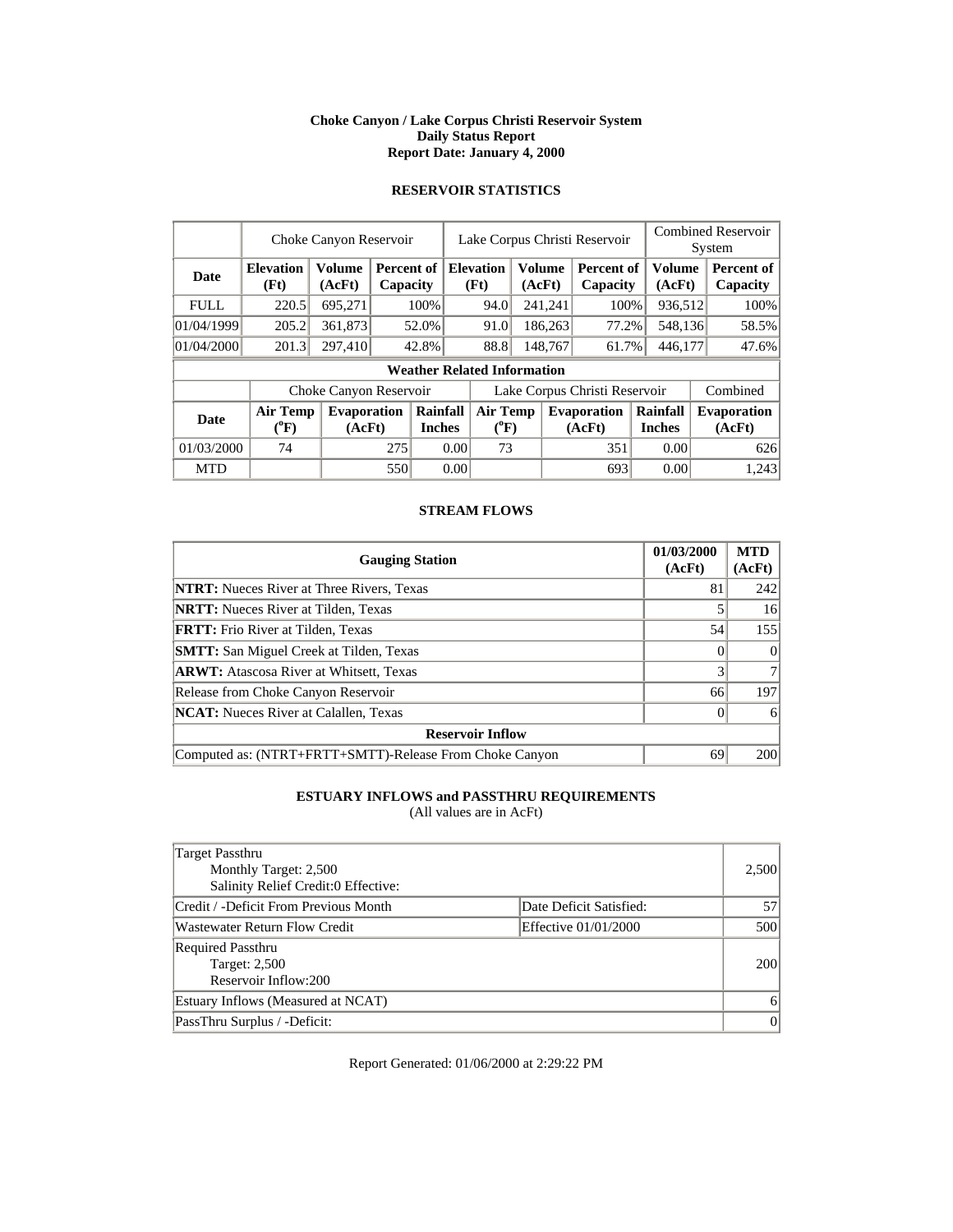### **Choke Canyon / Lake Corpus Christi Reservoir System Daily Status Report Report Date: January 4, 2000**

# **RESERVOIR STATISTICS**

|             |                                       | Choke Canyon Reservoir  |     |                                    | <b>Combined Reservoir</b><br>Lake Corpus Christi Reservoir<br>System |                              |                  |         |                               |  |                           |  |                              |
|-------------|---------------------------------------|-------------------------|-----|------------------------------------|----------------------------------------------------------------------|------------------------------|------------------|---------|-------------------------------|--|---------------------------|--|------------------------------|
| <b>Date</b> | <b>Elevation</b><br>(Ft)              | <b>Volume</b><br>(AcFt) |     | Percent of<br>Capacity             |                                                                      | <b>Elevation</b><br>(Ft)     | Volume<br>(AcFt) |         | <b>Percent of</b><br>Capacity |  | Volume<br>(AcFt)          |  | Percent of<br>Capacity       |
| <b>FULL</b> | 220.5                                 | 695,271                 |     | 100%                               |                                                                      | 94.0                         |                  | 241,241 | 100%                          |  | 936,512                   |  | 100%                         |
| 01/04/1999  | 205.2                                 | 361,873                 |     | 52.0%                              |                                                                      | 91.0                         |                  | 186,263 | 77.2%                         |  | 548,136                   |  | 58.5%                        |
| 01/04/2000  | 201.3                                 | 297,410                 |     | 42.8%                              |                                                                      | 88.8                         |                  | 148,767 | 61.7%                         |  | 446,177                   |  | 47.6%                        |
|             |                                       |                         |     | <b>Weather Related Information</b> |                                                                      |                              |                  |         |                               |  |                           |  |                              |
|             |                                       | Choke Canyon Reservoir  |     |                                    |                                                                      |                              |                  |         | Lake Corpus Christi Reservoir |  |                           |  | Combined                     |
| <b>Date</b> | <b>Air Temp</b><br>$({}^0\mathrm{F})$ | Evaporation<br>(AcFt)   |     | Rainfall<br><b>Inches</b>          |                                                                      | <b>Air Temp</b><br>$(^{0}F)$ |                  |         | <b>Evaporation</b><br>(AcFt)  |  | Rainfall<br><b>Inches</b> |  | <b>Evaporation</b><br>(AcFt) |
| 01/03/2000  | 74                                    |                         | 275 |                                    | 0.00                                                                 | 73                           |                  |         | 351                           |  | 0.00                      |  | 626                          |
| <b>MTD</b>  |                                       |                         | 550 |                                    | 0.00                                                                 |                              |                  |         | 693                           |  | 0.00                      |  | 1,243                        |

### **STREAM FLOWS**

| <b>Gauging Station</b>                                  | 01/03/2000<br>(AcFt) | <b>MTD</b><br>(AcFt) |
|---------------------------------------------------------|----------------------|----------------------|
| <b>NTRT:</b> Nueces River at Three Rivers, Texas        | 81                   | 242                  |
| <b>NRTT:</b> Nueces River at Tilden, Texas              |                      | 16                   |
| <b>FRTT:</b> Frio River at Tilden, Texas                | 54                   | 155                  |
| <b>SMTT:</b> San Miguel Creek at Tilden, Texas          |                      |                      |
| <b>ARWT:</b> Atascosa River at Whitsett, Texas          | 3                    |                      |
| Release from Choke Canyon Reservoir                     | 66                   | 197                  |
| <b>NCAT:</b> Nueces River at Calallen, Texas            |                      |                      |
| <b>Reservoir Inflow</b>                                 |                      |                      |
| Computed as: (NTRT+FRTT+SMTT)-Release From Choke Canyon | 69                   | 200                  |

# **ESTUARY INFLOWS and PASSTHRU REQUIREMENTS**

(All values are in AcFt)

| Target Passthru<br>Monthly Target: 2,500<br>Salinity Relief Credit:0 Effective: |                         | 2,500    |
|---------------------------------------------------------------------------------|-------------------------|----------|
| Credit / -Deficit From Previous Month                                           | Date Deficit Satisfied: | 57       |
| <b>Wastewater Return Flow Credit</b>                                            | Effective 01/01/2000    | 500      |
| <b>Required Passthru</b><br>Target: 2,500<br>Reservoir Inflow:200               |                         | 200      |
| Estuary Inflows (Measured at NCAT)                                              |                         | 6        |
| PassThru Surplus / -Deficit:                                                    |                         | $\theta$ |

Report Generated: 01/06/2000 at 2:29:22 PM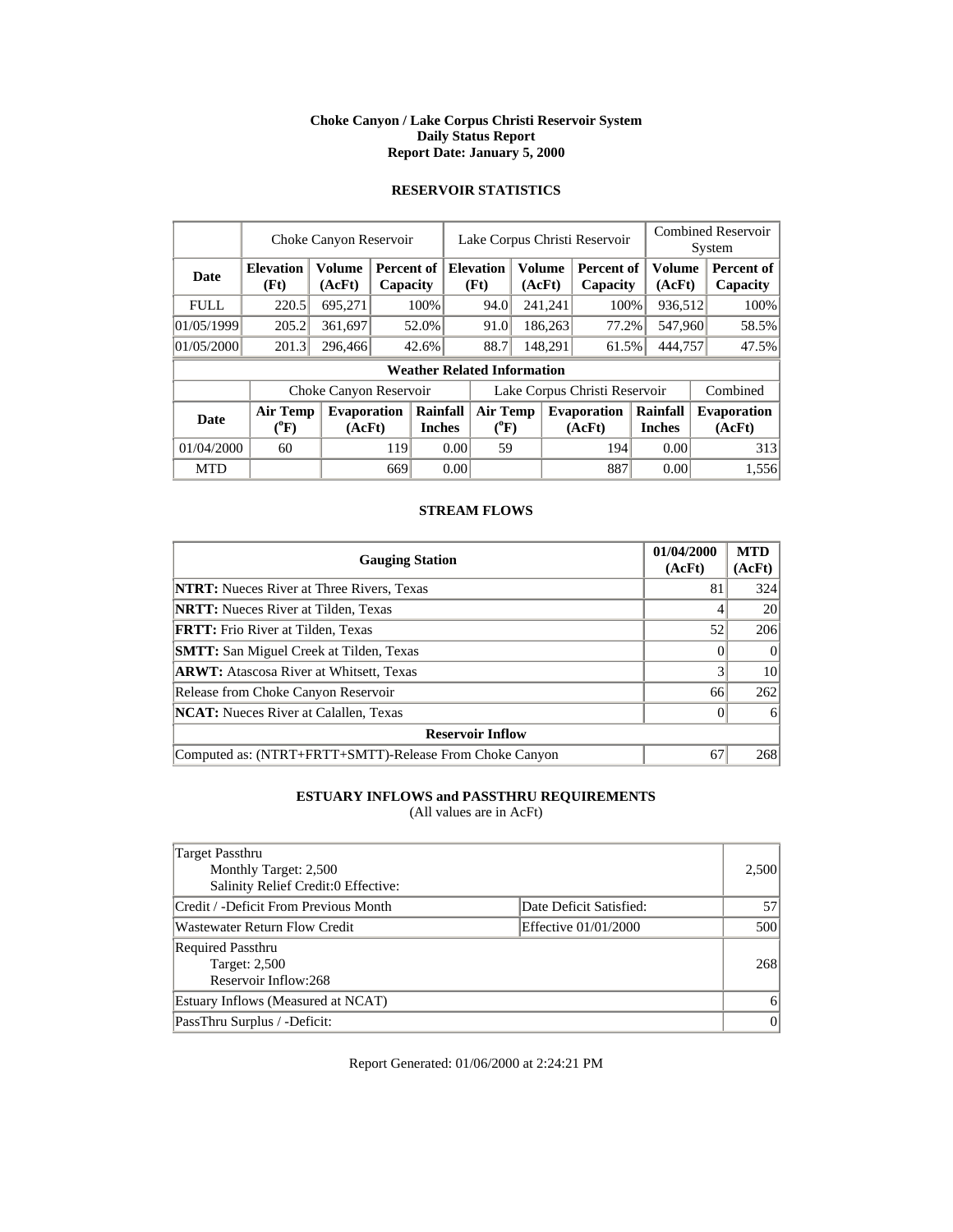### **Choke Canyon / Lake Corpus Christi Reservoir System Daily Status Report Report Date: January 5, 2000**

# **RESERVOIR STATISTICS**

|             |                                       | Choke Canyon Reservoir       |     |                                         | <b>Combined Reservoir</b><br>Lake Corpus Christi Reservoir<br>System |                                    |                           |                  |                               |                              |                         |  |                        |
|-------------|---------------------------------------|------------------------------|-----|-----------------------------------------|----------------------------------------------------------------------|------------------------------------|---------------------------|------------------|-------------------------------|------------------------------|-------------------------|--|------------------------|
| <b>Date</b> | <b>Elevation</b><br>(Ft)              | <b>Volume</b><br>(AcFt)      |     | <b>Percent of Elevation</b><br>Capacity |                                                                      | (Ft)                               |                           | Volume<br>(AcFt) | <b>Percent of</b><br>Capacity |                              | <b>Volume</b><br>(AcFt) |  | Percent of<br>Capacity |
| <b>FULL</b> | 220.5                                 | 695,271                      |     | 100%                                    |                                                                      | 94.0                               |                           | 241,241          | 100%                          |                              | 936,512                 |  | 100%                   |
| 01/05/1999  | 205.2                                 | 361,697                      |     | 52.0%                                   |                                                                      | 91.0                               |                           | 186,263          | 77.2%                         |                              | 547,960                 |  | 58.5%                  |
| 01/05/2000  | 201.3                                 | 296,466                      |     | 42.6%                                   |                                                                      | 88.7                               | 148,291                   |                  | 61.5%                         | 444,757                      |                         |  | 47.5%                  |
|             |                                       |                              |     |                                         |                                                                      | <b>Weather Related Information</b> |                           |                  |                               |                              |                         |  |                        |
|             |                                       | Choke Canyon Reservoir       |     |                                         |                                                                      |                                    |                           |                  | Lake Corpus Christi Reservoir |                              |                         |  | Combined               |
| Date        | <b>Air Temp</b><br>$(^{0}\mathrm{F})$ | <b>Evaporation</b><br>(AcFt) |     | Rainfall<br><b>Inches</b>               | <b>Air Temp</b><br><b>Evaporation</b><br>$(^{0}F)$<br>(AcFt)         |                                    | Rainfall<br><b>Inches</b> |                  |                               | <b>Evaporation</b><br>(AcFt) |                         |  |                        |
| 01/04/2000  | 60                                    |                              | 119 |                                         | 0.00                                                                 | 59                                 |                           |                  | 194                           |                              | 0.00                    |  | 313                    |
| <b>MTD</b>  |                                       |                              | 669 |                                         | 0.00                                                                 |                                    |                           |                  | 887                           |                              | 0.00                    |  | 1,556                  |

## **STREAM FLOWS**

| <b>Gauging Station</b>                                  | 01/04/2000<br>(AcFt) | <b>MTD</b><br>(AcFt) |
|---------------------------------------------------------|----------------------|----------------------|
| <b>NTRT:</b> Nueces River at Three Rivers, Texas        | 81                   | 324                  |
| <b>NRTT:</b> Nueces River at Tilden, Texas              |                      | 20                   |
| <b>FRTT:</b> Frio River at Tilden, Texas                | 52                   | 206                  |
| <b>SMTT:</b> San Miguel Creek at Tilden, Texas          |                      | $\Omega$             |
| <b>ARWT:</b> Atascosa River at Whitsett, Texas          |                      | 10                   |
| Release from Choke Canyon Reservoir                     | 66                   | 262                  |
| <b>NCAT:</b> Nueces River at Calallen, Texas            |                      | 6                    |
| <b>Reservoir Inflow</b>                                 |                      |                      |
| Computed as: (NTRT+FRTT+SMTT)-Release From Choke Canyon | 67                   | 268                  |

# **ESTUARY INFLOWS and PASSTHRU REQUIREMENTS**

(All values are in AcFt)

| Target Passthru<br>Monthly Target: 2,500<br>Salinity Relief Credit:0 Effective: |                         | 2,500    |
|---------------------------------------------------------------------------------|-------------------------|----------|
| Credit / -Deficit From Previous Month                                           | Date Deficit Satisfied: | 57       |
| <b>Wastewater Return Flow Credit</b>                                            | Effective 01/01/2000    | 500      |
| <b>Required Passthru</b><br>Target: 2,500<br>Reservoir Inflow:268               |                         | 268      |
| Estuary Inflows (Measured at NCAT)                                              |                         | 6        |
| PassThru Surplus / -Deficit:                                                    |                         | $\theta$ |

Report Generated: 01/06/2000 at 2:24:21 PM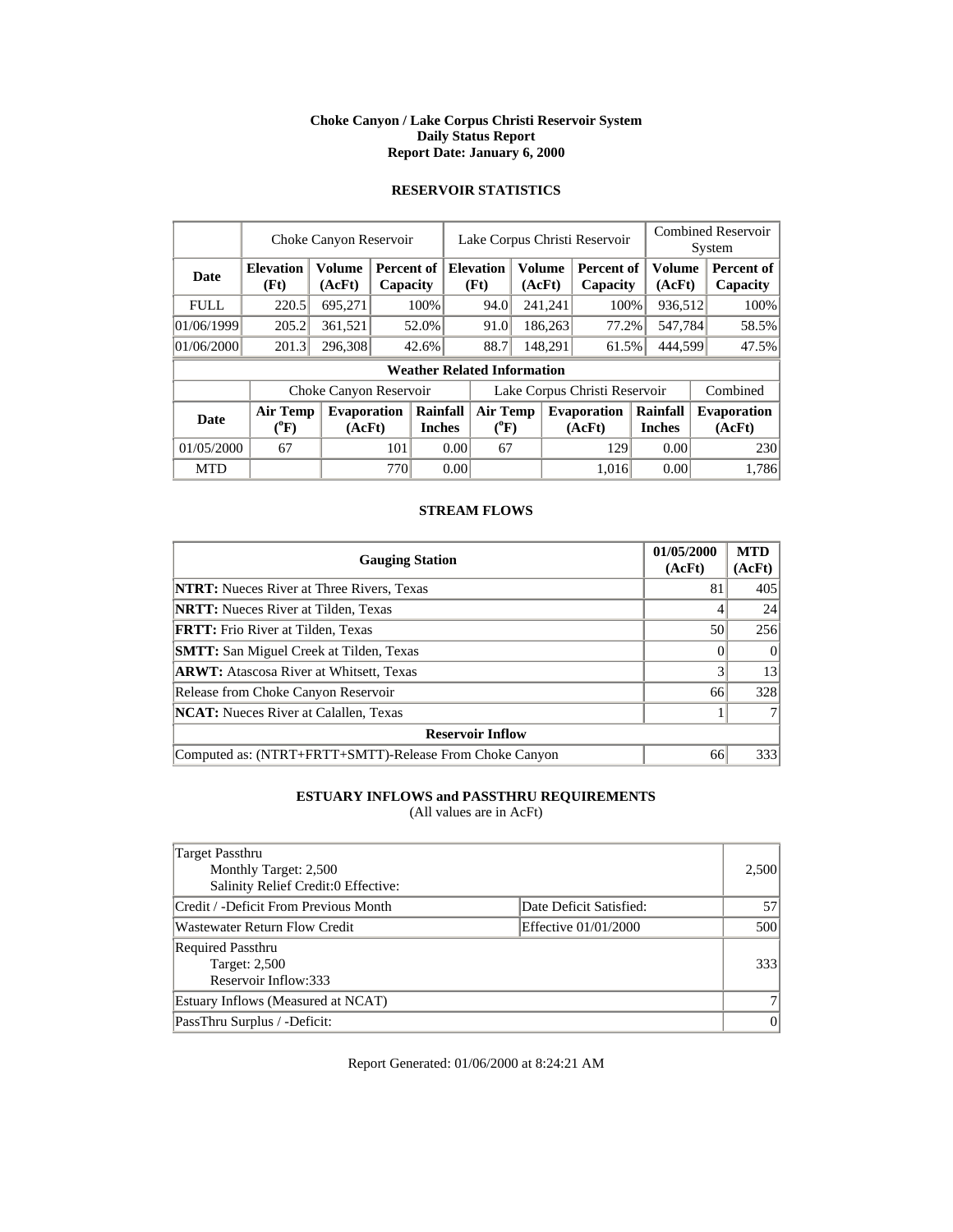### **Choke Canyon / Lake Corpus Christi Reservoir System Daily Status Report Report Date: January 6, 2000**

# **RESERVOIR STATISTICS**

|             |                                       | Choke Canyon Reservoir       |     |                                         | <b>Combined Reservoir</b><br>Lake Corpus Christi Reservoir<br>System |                                    |         |         |                               |                           |                               |                              |  |                        |
|-------------|---------------------------------------|------------------------------|-----|-----------------------------------------|----------------------------------------------------------------------|------------------------------------|---------|---------|-------------------------------|---------------------------|-------------------------------|------------------------------|--|------------------------|
| <b>Date</b> | <b>Elevation</b><br>(Ft)              | <b>Volume</b><br>(AcFt)      |     | <b>Percent of Elevation</b><br>Capacity |                                                                      |                                    |         | (Ft)    |                               | Volume<br>(AcFt)          | <b>Percent of</b><br>Capacity | <b>Volume</b><br>(AcFt)      |  | Percent of<br>Capacity |
| <b>FULL</b> | 220.5                                 | 695,271                      |     | 100%                                    |                                                                      | 94.0                               |         | 241,241 | 100%                          |                           | 936,512                       | 100%                         |  |                        |
| 01/06/1999  | 205.2                                 | 361,521                      |     | 52.0%                                   |                                                                      | 91.0                               |         | 186,263 | 77.2%                         |                           | 547,784                       | 58.5%                        |  |                        |
| 01/06/2000  | 201.3                                 | 296,308                      |     | 42.6%                                   |                                                                      | 88.7                               | 148,291 |         | 61.5%                         | 444,599                   |                               | 47.5%                        |  |                        |
|             |                                       |                              |     |                                         |                                                                      | <b>Weather Related Information</b> |         |         |                               |                           |                               |                              |  |                        |
|             |                                       | Choke Canyon Reservoir       |     |                                         |                                                                      |                                    |         |         | Lake Corpus Christi Reservoir |                           |                               | Combined                     |  |                        |
| Date        | <b>Air Temp</b><br>$(^{0}\mathrm{F})$ | <b>Evaporation</b><br>(AcFt) |     | Rainfall<br><b>Inches</b>               |                                                                      | <b>Air Temp</b><br>$(^{0}F)$       |         |         | <b>Evaporation</b><br>(AcFt)  | Rainfall<br><b>Inches</b> |                               | <b>Evaporation</b><br>(AcFt) |  |                        |
| 01/05/2000  | 67                                    |                              | 101 |                                         | 0.00                                                                 | 67                                 |         |         | 129                           | 0.00                      |                               | 230                          |  |                        |
| <b>MTD</b>  |                                       |                              | 770 |                                         | 0.00                                                                 |                                    |         |         | 1.016                         | 0.00                      |                               | 1,786                        |  |                        |

### **STREAM FLOWS**

| <b>Gauging Station</b>                                  | 01/05/2000<br>(AcFt) | <b>MTD</b><br>(AcFt) |
|---------------------------------------------------------|----------------------|----------------------|
| <b>NTRT:</b> Nueces River at Three Rivers, Texas        | 81                   | 405                  |
| <b>NRTT:</b> Nueces River at Tilden, Texas              |                      | 24                   |
| <b>FRTT:</b> Frio River at Tilden, Texas                | 50                   | 256                  |
| <b>SMTT:</b> San Miguel Creek at Tilden, Texas          |                      | $\theta$             |
| <b>ARWT:</b> Atascosa River at Whitsett, Texas          | 3                    | 13                   |
| Release from Choke Canyon Reservoir                     | 66                   | 328                  |
| NCAT: Nueces River at Calallen, Texas                   |                      |                      |
| <b>Reservoir Inflow</b>                                 |                      |                      |
| Computed as: (NTRT+FRTT+SMTT)-Release From Choke Canyon | 66                   | 333                  |

# **ESTUARY INFLOWS and PASSTHRU REQUIREMENTS**

(All values are in AcFt)

| Target Passthru<br>Monthly Target: 2,500<br>Salinity Relief Credit:0 Effective: |                         | 2,500    |
|---------------------------------------------------------------------------------|-------------------------|----------|
| Credit / -Deficit From Previous Month                                           | Date Deficit Satisfied: | 57       |
| Wastewater Return Flow Credit                                                   | Effective 01/01/2000    | 500      |
| <b>Required Passthru</b><br>Target: 2,500<br>Reservoir Inflow:333               |                         | 333      |
| Estuary Inflows (Measured at NCAT)                                              |                         |          |
| PassThru Surplus / -Deficit:                                                    |                         | $\theta$ |

Report Generated: 01/06/2000 at 8:24:21 AM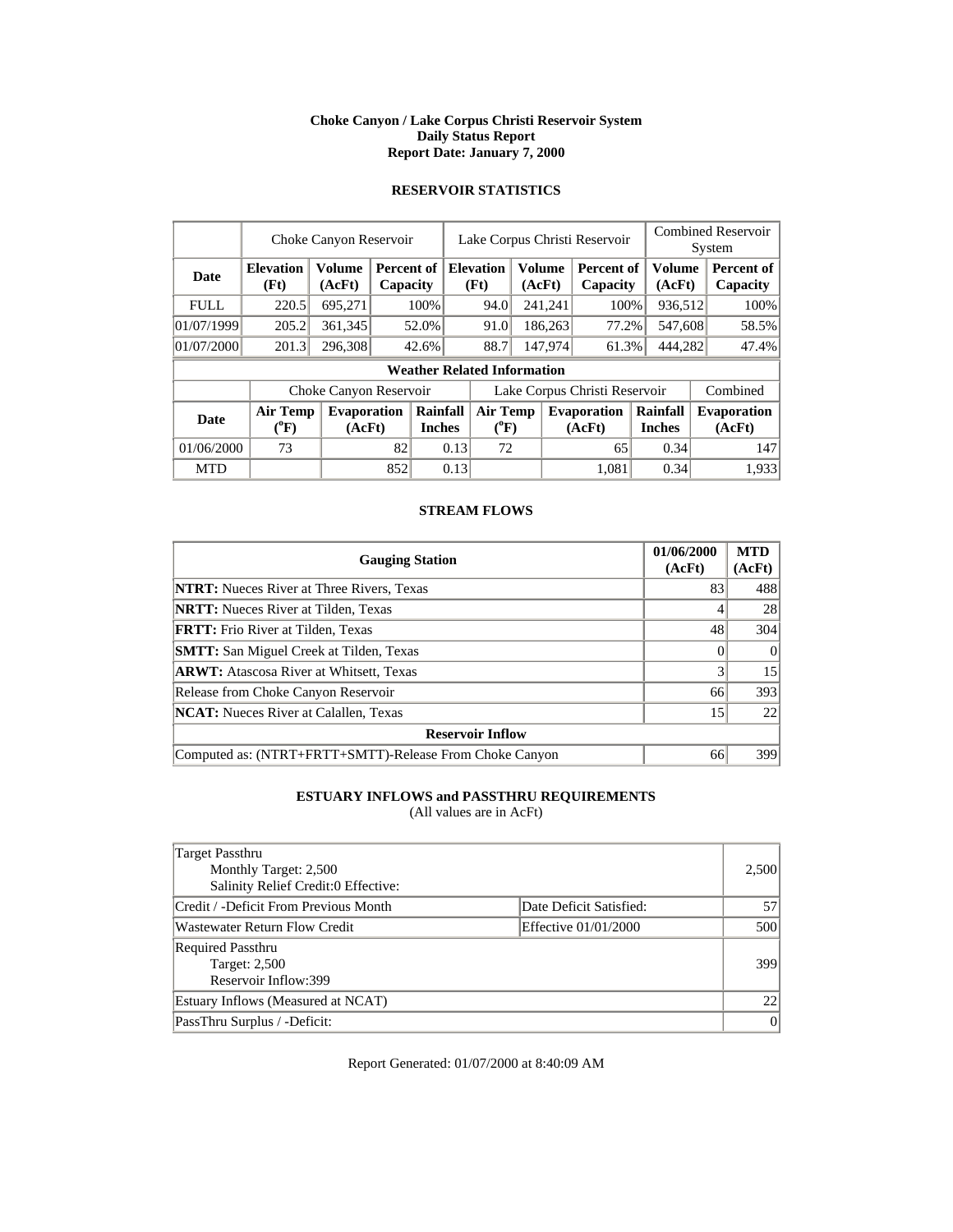### **Choke Canyon / Lake Corpus Christi Reservoir System Daily Status Report Report Date: January 7, 2000**

# **RESERVOIR STATISTICS**

|             |                                       | Choke Canyon Reservoir       |                                         |       | <b>Combined Reservoir</b><br>Lake Corpus Christi Reservoir<br>System |                                    |                  |                              |                               |                         |                              |                        |
|-------------|---------------------------------------|------------------------------|-----------------------------------------|-------|----------------------------------------------------------------------|------------------------------------|------------------|------------------------------|-------------------------------|-------------------------|------------------------------|------------------------|
| <b>Date</b> | <b>Elevation</b><br>(Ft)              | <b>Volume</b><br>(AcFt)      | <b>Percent of Elevation</b><br>Capacity |       |                                                                      | (Ft)                               | Volume<br>(AcFt) |                              | <b>Percent of</b><br>Capacity | <b>Volume</b><br>(AcFt) |                              | Percent of<br>Capacity |
| <b>FULL</b> | 220.5                                 | 695,271                      |                                         | 100%  |                                                                      | 94.0                               |                  | 241,241                      | 100%                          | 936,512                 |                              | 100%                   |
| 01/07/1999  | 205.2                                 | 361,345                      |                                         | 52.0% |                                                                      | 91.0                               |                  | 186,263                      | 77.2%                         | 547,608                 |                              | 58.5%                  |
| 01/07/2000  | 201.3                                 | 296,308                      |                                         | 42.6% |                                                                      | 88.7                               | 147,974          |                              | 61.3%                         | 444,282                 |                              | 47.4%                  |
|             |                                       |                              |                                         |       |                                                                      | <b>Weather Related Information</b> |                  |                              |                               |                         |                              |                        |
|             |                                       | Choke Canyon Reservoir       |                                         |       |                                                                      |                                    |                  |                              | Lake Corpus Christi Reservoir |                         |                              | Combined               |
| <b>Date</b> | <b>Air Temp</b><br>$(^{0}\mathrm{F})$ | <b>Evaporation</b><br>(AcFt) |                                         |       | Rainfall<br><b>Air Temp</b><br><b>Inches</b><br>$(^{0}F)$            |                                    |                  | <b>Evaporation</b><br>(AcFt) | Rainfall<br><b>Inches</b>     |                         | <b>Evaporation</b><br>(AcFt) |                        |
| 01/06/2000  | 73                                    |                              | 82                                      |       | 0.13                                                                 | 72                                 |                  |                              | 65                            | 0.34                    |                              | 147                    |
| <b>MTD</b>  |                                       |                              | 852                                     |       | 0.13                                                                 |                                    |                  |                              | 1.081                         | 0.34                    |                              | 1,933                  |

## **STREAM FLOWS**

| <b>Gauging Station</b>                                  | 01/06/2000<br>(AcFt) | <b>MTD</b><br>(AcFt) |
|---------------------------------------------------------|----------------------|----------------------|
| <b>NTRT:</b> Nueces River at Three Rivers, Texas        | 83                   | 488                  |
| <b>NRTT:</b> Nueces River at Tilden, Texas              |                      | 28                   |
| <b>FRTT:</b> Frio River at Tilden, Texas                | 48                   | 304                  |
| <b>SMTT:</b> San Miguel Creek at Tilden, Texas          |                      | $\Omega$             |
| <b>ARWT:</b> Atascosa River at Whitsett, Texas          | $\mathbf{3}$         | 15                   |
| Release from Choke Canyon Reservoir                     | 66                   | 393                  |
| <b>NCAT:</b> Nueces River at Calallen, Texas            | 15                   | 22                   |
| <b>Reservoir Inflow</b>                                 |                      |                      |
| Computed as: (NTRT+FRTT+SMTT)-Release From Choke Canyon | 66                   | 399                  |

# **ESTUARY INFLOWS and PASSTHRU REQUIREMENTS**

(All values are in AcFt)

| Target Passthru<br>Monthly Target: 2,500<br>Salinity Relief Credit:0 Effective: |                         | 2,500    |
|---------------------------------------------------------------------------------|-------------------------|----------|
| Credit / -Deficit From Previous Month                                           | Date Deficit Satisfied: | 57       |
| Wastewater Return Flow Credit                                                   | Effective 01/01/2000    | 500      |
| <b>Required Passthru</b><br><b>Target: 2,500</b><br>Reservoir Inflow:399        |                         | 399      |
| Estuary Inflows (Measured at NCAT)                                              |                         | 22       |
| PassThru Surplus / -Deficit:                                                    |                         | $\theta$ |

Report Generated: 01/07/2000 at 8:40:09 AM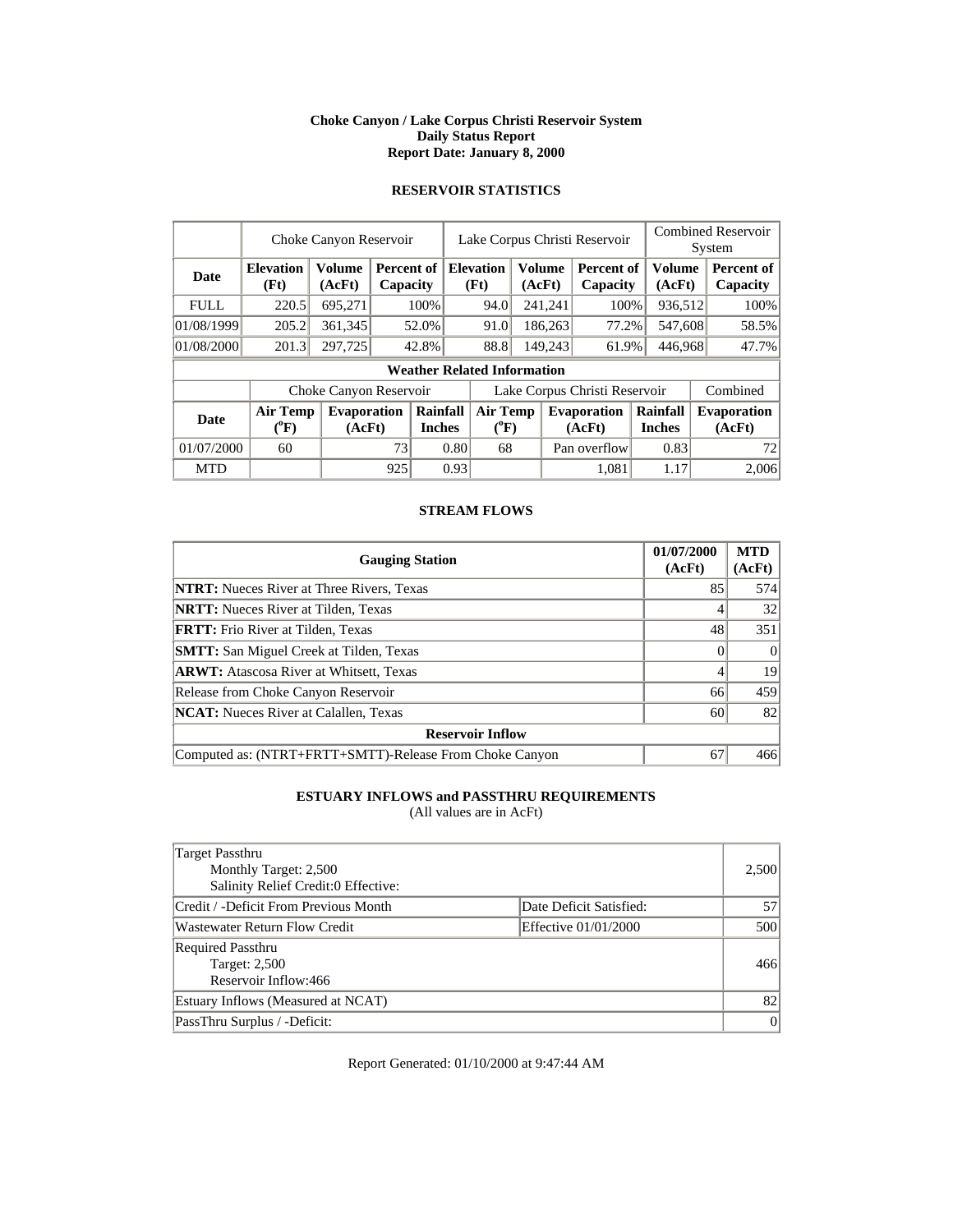### **Choke Canyon / Lake Corpus Christi Reservoir System Daily Status Report Report Date: January 8, 2000**

# **RESERVOIR STATISTICS**

|             |                                | Choke Canyon Reservoir       |     |                                           | Lake Corpus Christi Reservoir |                              |  |         |                               | <b>Combined Reservoir</b><br>System |                        |                              |  |                        |
|-------------|--------------------------------|------------------------------|-----|-------------------------------------------|-------------------------------|------------------------------|--|---------|-------------------------------|-------------------------------------|------------------------|------------------------------|--|------------------------|
| <b>Date</b> | <b>Elevation</b><br>(Ft)       | <b>Volume</b><br>(AcFt)      |     | <b>Percent of   Elevation</b><br>Capacity |                               |                              |  | (Ft)    | <b>Volume</b><br>(AcFt)       |                                     | Percent of<br>Capacity | Volume<br>(AcFt)             |  | Percent of<br>Capacity |
| <b>FULL</b> | 220.5                          | 695,271                      |     | 100%                                      |                               | 94.0                         |  | 241,241 | 100%                          |                                     | 936,512                | 100%                         |  |                        |
| 01/08/1999  | 205.2                          | 361,345                      |     | 52.0%                                     |                               | 91.0                         |  | 186,263 | 77.2%                         |                                     | 547,608                | 58.5%                        |  |                        |
| 01/08/2000  | 201.3                          | 297,725                      |     | 42.8%                                     |                               | 88.8                         |  | 149,243 | 61.9%                         | 446,968                             |                        | 47.7%                        |  |                        |
|             |                                |                              |     | <b>Weather Related Information</b>        |                               |                              |  |         |                               |                                     |                        |                              |  |                        |
|             |                                | Choke Canyon Reservoir       |     |                                           |                               |                              |  |         | Lake Corpus Christi Reservoir |                                     |                        | Combined                     |  |                        |
| <b>Date</b> | Air Temp<br>$({}^0\mathrm{F})$ | <b>Evaporation</b><br>(AcFt) |     | Rainfall<br><b>Inches</b>                 |                               | <b>Air Temp</b><br>$(^{0}F)$ |  |         | <b>Evaporation</b><br>(AcFt)  | Rainfall<br><b>Inches</b>           |                        | <b>Evaporation</b><br>(AcFt) |  |                        |
| 01/07/2000  | 60                             |                              | 73  |                                           | 0.80                          | 68                           |  |         | Pan overflow                  | 0.83                                |                        | 72                           |  |                        |
| <b>MTD</b>  |                                |                              | 925 |                                           | 0.93                          |                              |  |         | 1.081                         | 1.17                                |                        | 2,006                        |  |                        |

## **STREAM FLOWS**

| <b>Gauging Station</b>                                  | 01/07/2000<br>(AcFt) | <b>MTD</b><br>(AcFt) |
|---------------------------------------------------------|----------------------|----------------------|
| <b>NTRT:</b> Nueces River at Three Rivers, Texas        | 85                   | 574                  |
| <b>NRTT:</b> Nueces River at Tilden, Texas              |                      | 32                   |
| <b>FRTT:</b> Frio River at Tilden, Texas                | 48                   | 351                  |
| <b>SMTT:</b> San Miguel Creek at Tilden, Texas          |                      | $\Omega$             |
| <b>ARWT:</b> Atascosa River at Whitsett, Texas          |                      | 19                   |
| Release from Choke Canyon Reservoir                     | 66                   | 459                  |
| <b>NCAT:</b> Nueces River at Calallen, Texas            | 60                   | 82                   |
| <b>Reservoir Inflow</b>                                 |                      |                      |
| Computed as: (NTRT+FRTT+SMTT)-Release From Choke Canyon | 67                   | 466                  |

# **ESTUARY INFLOWS and PASSTHRU REQUIREMENTS**

(All values are in AcFt)

| Target Passthru<br>Monthly Target: 2,500<br>Salinity Relief Credit:0 Effective: |                         | 2,500          |
|---------------------------------------------------------------------------------|-------------------------|----------------|
| Credit / -Deficit From Previous Month                                           | Date Deficit Satisfied: | 57             |
| Wastewater Return Flow Credit                                                   | Effective 01/01/2000    | 500            |
| <b>Required Passthru</b><br>Target: 2,500<br>Reservoir Inflow:466               |                         | 466            |
| Estuary Inflows (Measured at NCAT)                                              |                         | 82             |
| PassThru Surplus / -Deficit:                                                    |                         | $\overline{0}$ |

Report Generated: 01/10/2000 at 9:47:44 AM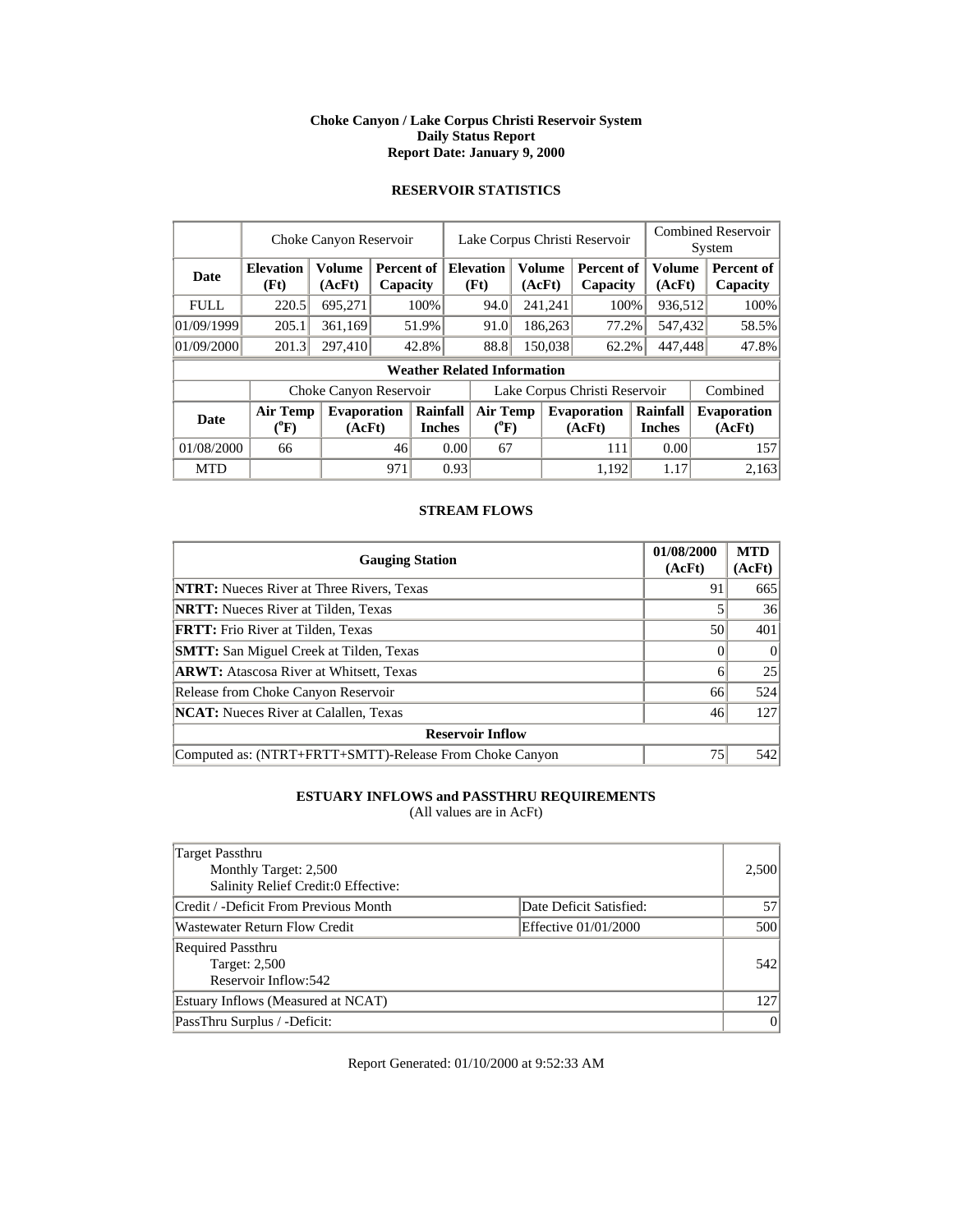### **Choke Canyon / Lake Corpus Christi Reservoir System Daily Status Report Report Date: January 9, 2000**

# **RESERVOIR STATISTICS**

|             | Choke Canyon Reservoir                |                              |     |                           |      | Lake Corpus Christi Reservoir                       |  |         |                               |  | <b>Combined Reservoir</b><br>System |  |                              |
|-------------|---------------------------------------|------------------------------|-----|---------------------------|------|-----------------------------------------------------|--|---------|-------------------------------|--|-------------------------------------|--|------------------------------|
| Date        | <b>Elevation</b><br>(Ft)              | <b>Volume</b><br>(AcFt)      |     | Percent of<br>Capacity    |      | <b>Elevation</b><br><b>Volume</b><br>(Ft)<br>(AcFt) |  |         | <b>Percent of</b><br>Capacity |  | <b>Volume</b><br>(AcFt)             |  | Percent of<br>Capacity       |
| <b>FULL</b> | 220.5                                 | 695,271                      |     | 100%                      |      | 94.0                                                |  | 241,241 | 100%                          |  | 936,512                             |  | 100%                         |
| 01/09/1999  | 205.1                                 | 361,169                      |     | 51.9%                     |      | 91.0                                                |  | 186,263 | 77.2%                         |  | 547,432                             |  | 58.5%                        |
| 01/09/2000  | 201.3                                 | 297,410                      |     | 42.8%                     |      | 88.8                                                |  | 150,038 | 62.2%                         |  | 447,448                             |  | 47.8%                        |
|             |                                       |                              |     |                           |      | <b>Weather Related Information</b>                  |  |         |                               |  |                                     |  |                              |
|             |                                       | Choke Canyon Reservoir       |     |                           |      |                                                     |  |         | Lake Corpus Christi Reservoir |  |                                     |  | Combined                     |
| <b>Date</b> | <b>Air Temp</b><br>$(^{0}\mathrm{F})$ | <b>Evaporation</b><br>(AcFt) |     | Rainfall<br><b>Inches</b> |      | <b>Air Temp</b><br>$(^{0}F)$                        |  |         | <b>Evaporation</b><br>(AcFt)  |  | Rainfall<br><b>Inches</b>           |  | <b>Evaporation</b><br>(AcFt) |
| 01/08/2000  | 66                                    |                              | 46  |                           | 0.00 | 67                                                  |  |         | 111                           |  | 0.00                                |  | 157                          |
| <b>MTD</b>  |                                       |                              | 971 |                           | 0.93 |                                                     |  |         | 1.192                         |  | 1.17                                |  | 2.163                        |

## **STREAM FLOWS**

| <b>Gauging Station</b>                                  | 01/08/2000<br>(AcFt) | <b>MTD</b><br>(AcFt) |
|---------------------------------------------------------|----------------------|----------------------|
| <b>NTRT:</b> Nueces River at Three Rivers, Texas        | 91                   | 665                  |
| <b>NRTT:</b> Nueces River at Tilden, Texas              |                      | 36                   |
| <b>FRTT:</b> Frio River at Tilden, Texas                | 50                   | 401                  |
| <b>SMTT:</b> San Miguel Creek at Tilden, Texas          |                      |                      |
| <b>ARWT:</b> Atascosa River at Whitsett, Texas          | 6                    | 25                   |
| Release from Choke Canyon Reservoir                     | 66                   | 524                  |
| <b>NCAT:</b> Nueces River at Calallen, Texas            | 46                   | 127                  |
| <b>Reservoir Inflow</b>                                 |                      |                      |
| Computed as: (NTRT+FRTT+SMTT)-Release From Choke Canyon | 75                   | 542                  |

# **ESTUARY INFLOWS and PASSTHRU REQUIREMENTS**

(All values are in AcFt)

| Target Passthru<br>Monthly Target: 2,500<br>Salinity Relief Credit:0 Effective: |                         | 2,500    |
|---------------------------------------------------------------------------------|-------------------------|----------|
| Credit / -Deficit From Previous Month                                           | Date Deficit Satisfied: | 57       |
| Wastewater Return Flow Credit                                                   | Effective 01/01/2000    | 500      |
| <b>Required Passthru</b><br>Target: 2,500<br>Reservoir Inflow:542               |                         | 542      |
| Estuary Inflows (Measured at NCAT)                                              |                         | 127      |
| PassThru Surplus / -Deficit:                                                    |                         | $\theta$ |

Report Generated: 01/10/2000 at 9:52:33 AM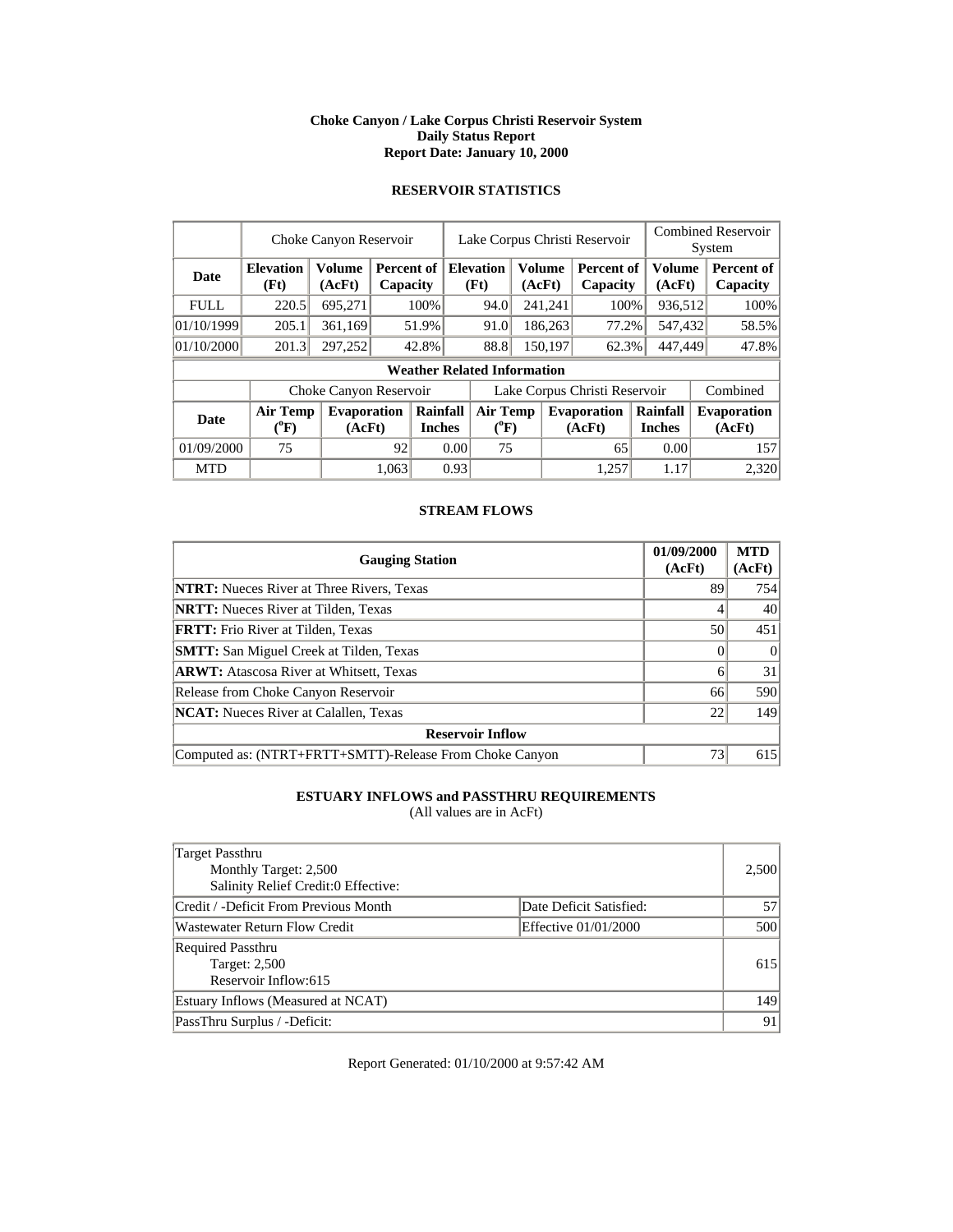#### **Choke Canyon / Lake Corpus Christi Reservoir System Daily Status Report Report Date: January 10, 2000**

# **RESERVOIR STATISTICS**

|             | Choke Canyon Reservoir                |                              |       |                           |      | Lake Corpus Christi Reservoir      |  |                         |                               |  | <b>Combined Reservoir</b><br>System |          |                              |
|-------------|---------------------------------------|------------------------------|-------|---------------------------|------|------------------------------------|--|-------------------------|-------------------------------|--|-------------------------------------|----------|------------------------------|
| Date        | <b>Elevation</b><br>(Ft)              | <b>Volume</b><br>(AcFt)      |       | Percent of<br>Capacity    |      | <b>Elevation</b><br>(Ft)           |  | <b>Volume</b><br>(AcFt) | <b>Percent of</b><br>Capacity |  | Volume<br>(AcFt)                    |          | Percent of<br>Capacity       |
| <b>FULL</b> | 220.5                                 | 695,271                      |       | 100%                      |      | 94.0                               |  | 241,241                 | 100%                          |  | 936,512                             |          | 100%                         |
| 01/10/1999  | 205.1                                 | 361,169                      |       | 51.9%                     |      | 91.0                               |  | 186,263                 | 77.2%                         |  | 547,432                             |          | 58.5%                        |
| 01/10/2000  | 201.3                                 | 297,252                      |       | 42.8%                     |      | 88.8                               |  | 150,197                 | 62.3%                         |  | 447,449                             |          | 47.8%                        |
|             |                                       |                              |       |                           |      | <b>Weather Related Information</b> |  |                         |                               |  |                                     |          |                              |
|             |                                       | Choke Canyon Reservoir       |       |                           |      | Lake Corpus Christi Reservoir      |  |                         |                               |  |                                     | Combined |                              |
| <b>Date</b> | <b>Air Temp</b><br>$({}^0\mathrm{F})$ | <b>Evaporation</b><br>(AcFt) |       | Rainfall<br><b>Inches</b> |      | <b>Air Temp</b><br>$(^{0}F)$       |  |                         | <b>Evaporation</b><br>(AcFt)  |  | Rainfall<br><b>Inches</b>           |          | <b>Evaporation</b><br>(AcFt) |
| 01/09/2000  | 75                                    |                              | 92    |                           | 0.00 | 75                                 |  |                         | 65                            |  | 0.00                                |          | 157                          |
| <b>MTD</b>  |                                       |                              | 1.063 |                           | 0.93 |                                    |  |                         | 1.257                         |  | 1.17                                |          | 2.320                        |

## **STREAM FLOWS**

| <b>Gauging Station</b>                                  | 01/09/2000<br>(AcFt) | <b>MTD</b><br>(AcFt) |
|---------------------------------------------------------|----------------------|----------------------|
| <b>NTRT:</b> Nueces River at Three Rivers, Texas        | 89                   | 754                  |
| <b>NRTT:</b> Nueces River at Tilden, Texas              |                      | 40                   |
| <b>FRTT:</b> Frio River at Tilden, Texas                | 50                   | 451                  |
| <b>SMTT:</b> San Miguel Creek at Tilden, Texas          |                      |                      |
| <b>ARWT:</b> Atascosa River at Whitsett, Texas          | 6                    | 31                   |
| Release from Choke Canyon Reservoir                     | 66                   | 590                  |
| <b>NCAT:</b> Nueces River at Calallen, Texas            | 22                   | 149                  |
| <b>Reservoir Inflow</b>                                 |                      |                      |
| Computed as: (NTRT+FRTT+SMTT)-Release From Choke Canyon | 73                   | 615                  |

# **ESTUARY INFLOWS and PASSTHRU REQUIREMENTS**

(All values are in AcFt)

| Target Passthru<br>Monthly Target: 2,500<br>Salinity Relief Credit:0 Effective: |                         | 2,500 |
|---------------------------------------------------------------------------------|-------------------------|-------|
| Credit / -Deficit From Previous Month                                           | Date Deficit Satisfied: | 57    |
| Wastewater Return Flow Credit                                                   | Effective 01/01/2000    | 500   |
| <b>Required Passthru</b><br>Target: 2,500<br>Reservoir Inflow:615               |                         | 615   |
| Estuary Inflows (Measured at NCAT)                                              |                         | 149   |
| PassThru Surplus / -Deficit:                                                    |                         | 91    |

Report Generated: 01/10/2000 at 9:57:42 AM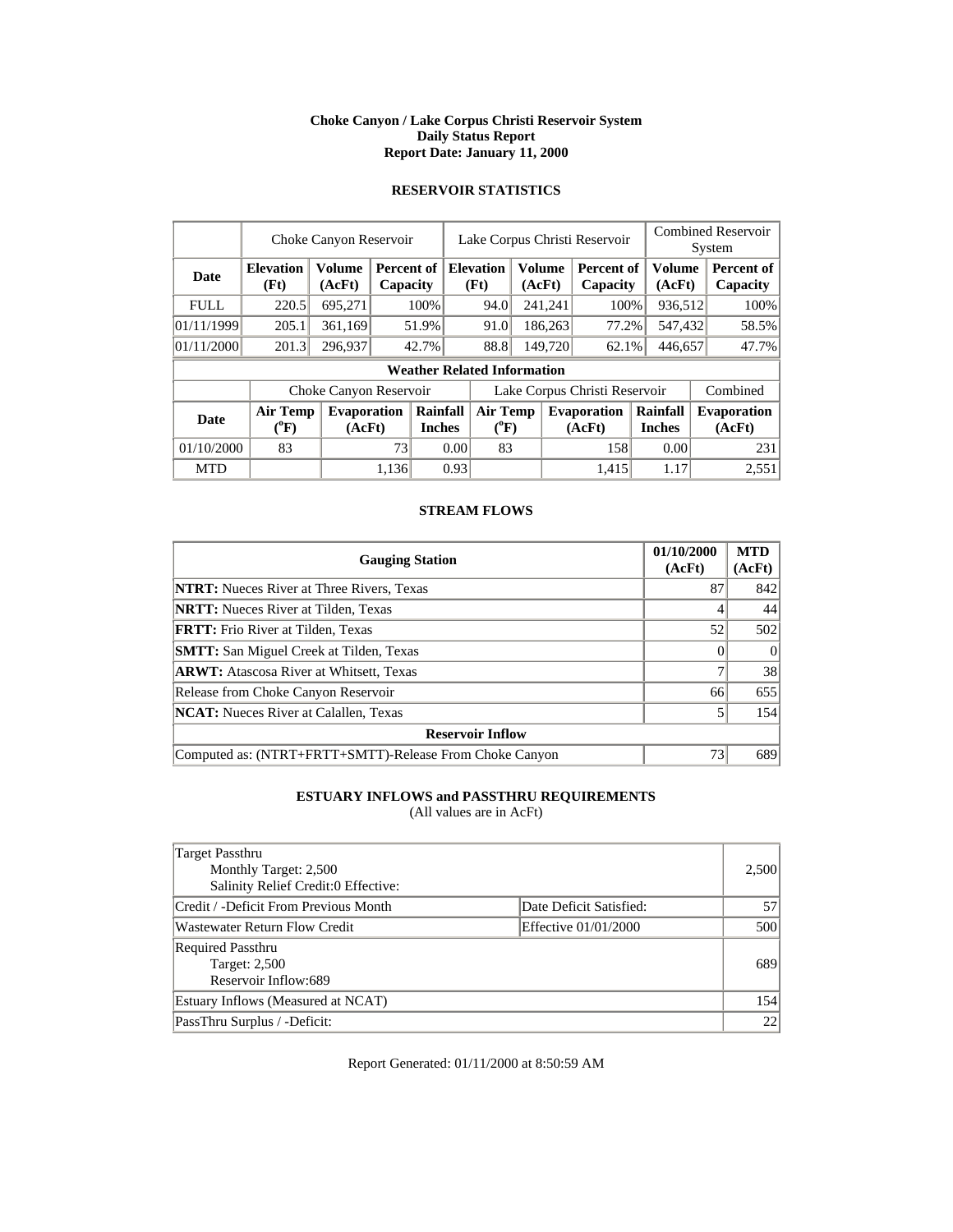#### **Choke Canyon / Lake Corpus Christi Reservoir System Daily Status Report Report Date: January 11, 2000**

# **RESERVOIR STATISTICS**

|             | Choke Canyon Reservoir                |                              |       |                                         | Lake Corpus Christi Reservoir |                                       |                  |         |                              |                           | <b>Combined Reservoir</b><br>System |          |                              |
|-------------|---------------------------------------|------------------------------|-------|-----------------------------------------|-------------------------------|---------------------------------------|------------------|---------|------------------------------|---------------------------|-------------------------------------|----------|------------------------------|
| <b>Date</b> | <b>Elevation</b><br>(Ft)              | <b>Volume</b><br>(AcFt)      |       | <b>Percent of Elevation</b><br>Capacity |                               | (Ft)                                  | Volume<br>(AcFt) |         | Percent of<br>Capacity       |                           | <b>Volume</b><br>(AcFt)             |          | Percent of<br>Capacity       |
| <b>FULL</b> | 220.5                                 | 695,271                      |       | 100%                                    |                               | 94.0                                  |                  | 241,241 | 100%                         |                           | 936,512                             |          | 100%                         |
| 01/11/1999  | 205.1                                 | 361,169                      |       | 51.9%                                   |                               | 91.0                                  |                  | 186,263 | 77.2%                        |                           | 547,432                             |          | 58.5%                        |
| 01/11/2000  | 201.3                                 | 296,937                      |       | 42.7%                                   |                               | 88.8                                  |                  | 149,720 | 62.1%                        |                           | 446,657                             |          | 47.7%                        |
|             |                                       |                              |       |                                         |                               | <b>Weather Related Information</b>    |                  |         |                              |                           |                                     |          |                              |
|             |                                       | Choke Canyon Reservoir       |       |                                         | Lake Corpus Christi Reservoir |                                       |                  |         |                              |                           |                                     | Combined |                              |
| Date        | <b>Air Temp</b><br>$(^{0}\mathrm{F})$ | <b>Evaporation</b><br>(AcFt) |       | Rainfall<br><b>Inches</b>               |                               | <b>Air Temp</b><br>$({}^0\mathrm{F})$ |                  |         | <b>Evaporation</b><br>(AcFt) | Rainfall<br><b>Inches</b> |                                     |          | <b>Evaporation</b><br>(AcFt) |
| 01/10/2000  | 83                                    |                              | 73    |                                         | 0.00                          | 83                                    |                  |         | 158                          |                           | 0.00                                |          | 231                          |
| <b>MTD</b>  |                                       |                              | 1.136 |                                         | 0.93                          |                                       |                  |         | 1.415                        |                           | 1.17                                |          | 2,551                        |

## **STREAM FLOWS**

| <b>Gauging Station</b>                                  | 01/10/2000<br>(AcFt) | <b>MTD</b><br>(AcFt) |
|---------------------------------------------------------|----------------------|----------------------|
| <b>NTRT:</b> Nueces River at Three Rivers, Texas        | 87                   | 842                  |
| <b>NRTT:</b> Nueces River at Tilden, Texas              |                      | 44                   |
| <b>FRTT:</b> Frio River at Tilden, Texas                | 52                   | 502                  |
| <b>SMTT:</b> San Miguel Creek at Tilden, Texas          |                      | $\Omega$             |
| <b>ARWT:</b> Atascosa River at Whitsett, Texas          |                      | 38                   |
| Release from Choke Canyon Reservoir                     | 66                   | 655                  |
| <b>NCAT:</b> Nueces River at Calallen, Texas            |                      | 154                  |
| <b>Reservoir Inflow</b>                                 |                      |                      |
| Computed as: (NTRT+FRTT+SMTT)-Release From Choke Canyon | 73                   | 689                  |

# **ESTUARY INFLOWS and PASSTHRU REQUIREMENTS**

(All values are in AcFt)

| Target Passthru<br>Monthly Target: 2,500<br>Salinity Relief Credit:0 Effective: |                         | 2,500 |
|---------------------------------------------------------------------------------|-------------------------|-------|
| Credit / -Deficit From Previous Month                                           | Date Deficit Satisfied: | 57    |
| <b>Wastewater Return Flow Credit</b>                                            | Effective 01/01/2000    | 500   |
| <b>Required Passthru</b><br>Target: 2,500<br>Reservoir Inflow:689               |                         | 689   |
| Estuary Inflows (Measured at NCAT)                                              |                         | 154   |
| PassThru Surplus / -Deficit:                                                    |                         | 22    |

Report Generated: 01/11/2000 at 8:50:59 AM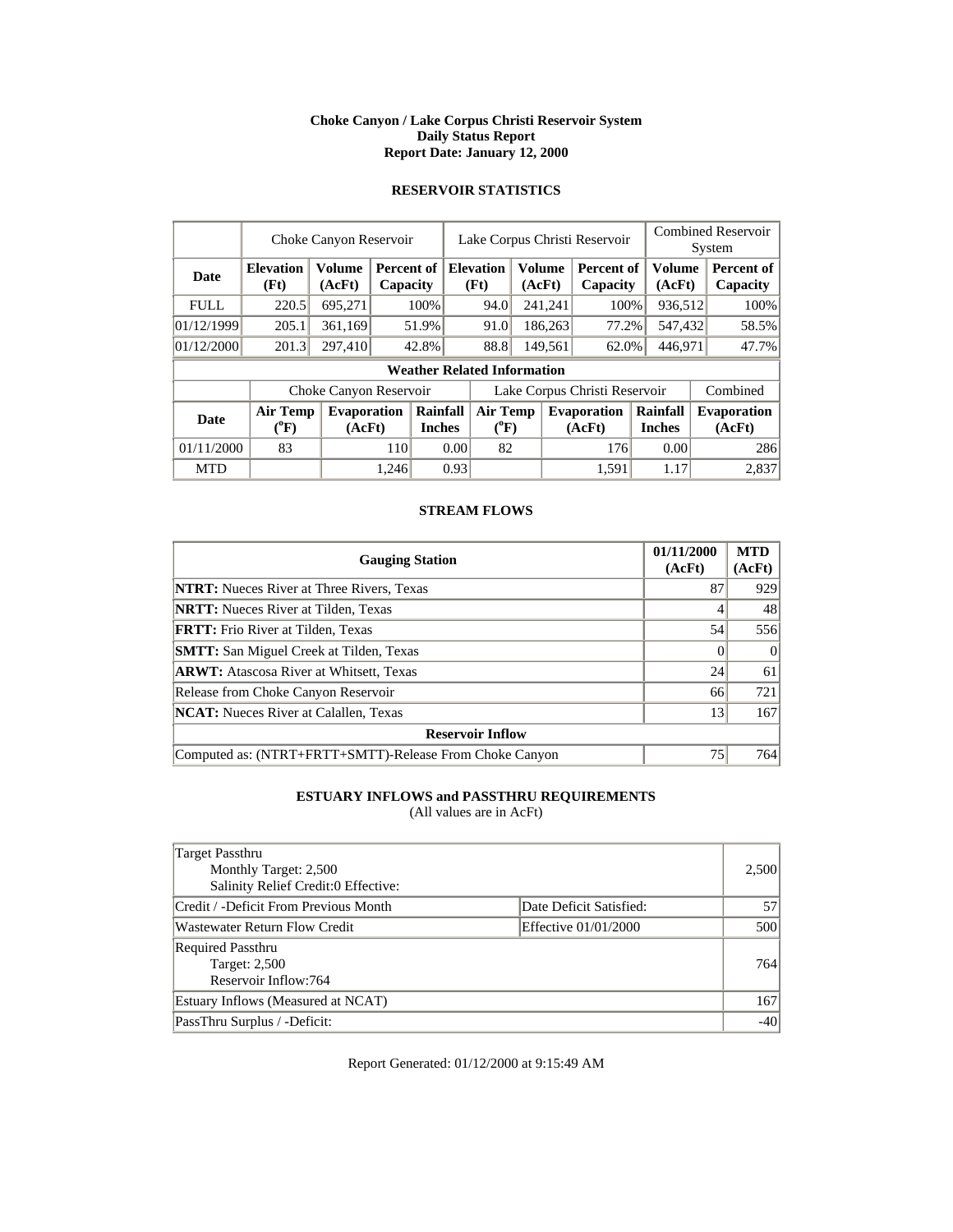#### **Choke Canyon / Lake Corpus Christi Reservoir System Daily Status Report Report Date: January 12, 2000**

# **RESERVOIR STATISTICS**

|             | Choke Canyon Reservoir                |                         |       |                                    |                               | Lake Corpus Christi Reservoir                |  |         |                               |  |                           | <b>Combined Reservoir</b><br>System |                              |  |
|-------------|---------------------------------------|-------------------------|-------|------------------------------------|-------------------------------|----------------------------------------------|--|---------|-------------------------------|--|---------------------------|-------------------------------------|------------------------------|--|
| <b>Date</b> | <b>Elevation</b><br>(Ft)              | <b>Volume</b><br>(AcFt) |       | Percent of<br>Capacity             |                               | <b>Elevation</b><br>Volume<br>(Ft)<br>(AcFt) |  |         | <b>Percent of</b><br>Capacity |  | Volume<br>(AcFt)          |                                     | Percent of<br>Capacity       |  |
| <b>FULL</b> | 220.5                                 | 695,271                 |       | 100%                               |                               | 94.0                                         |  | 241,241 | 100%                          |  | 936,512                   |                                     | 100%                         |  |
| 01/12/1999  | 205.1                                 | 361,169                 |       | 51.9%                              |                               | 91.0                                         |  | 186,263 | 77.2%                         |  | 547,432                   |                                     | 58.5%                        |  |
| 01/12/2000  | 201.3                                 | 297,410                 |       | 42.8%                              |                               | 88.8                                         |  | 149,561 | 62.0%                         |  | 446,971                   |                                     | 47.7%                        |  |
|             |                                       |                         |       | <b>Weather Related Information</b> |                               |                                              |  |         |                               |  |                           |                                     |                              |  |
|             |                                       | Choke Canyon Reservoir  |       |                                    | Lake Corpus Christi Reservoir |                                              |  |         |                               |  | Combined                  |                                     |                              |  |
| <b>Date</b> | <b>Air Temp</b><br>$({}^0\mathrm{F})$ | Evaporation<br>(AcFt)   |       | Rainfall<br><b>Inches</b>          |                               | <b>Air Temp</b><br>$(^{0}F)$                 |  |         | <b>Evaporation</b><br>(AcFt)  |  | Rainfall<br><b>Inches</b> |                                     | <b>Evaporation</b><br>(AcFt) |  |
| 01/11/2000  | 83                                    |                         | 110   |                                    | 0.00                          | 82                                           |  |         | 176                           |  | 0.00                      |                                     | 286                          |  |
| <b>MTD</b>  |                                       |                         | 1,246 |                                    | 0.93                          |                                              |  |         | 1.591                         |  | 1.17                      |                                     | 2,837                        |  |

## **STREAM FLOWS**

| <b>Gauging Station</b>                                  | 01/11/2000<br>(AcFt) | <b>MTD</b><br>(AcFt) |
|---------------------------------------------------------|----------------------|----------------------|
| <b>NTRT:</b> Nueces River at Three Rivers, Texas        | 87                   | 929                  |
| <b>NRTT:</b> Nueces River at Tilden, Texas              |                      | 48                   |
| <b>FRTT:</b> Frio River at Tilden, Texas                | 54                   | 556                  |
| <b>SMTT:</b> San Miguel Creek at Tilden, Texas          |                      | $\Omega$             |
| <b>ARWT:</b> Atascosa River at Whitsett, Texas          | 24                   | 61                   |
| Release from Choke Canyon Reservoir                     | 66                   | 721                  |
| <b>NCAT:</b> Nueces River at Calallen, Texas            | 13                   | 167                  |
| <b>Reservoir Inflow</b>                                 |                      |                      |
| Computed as: (NTRT+FRTT+SMTT)-Release From Choke Canyon | 75                   | 764                  |

# **ESTUARY INFLOWS and PASSTHRU REQUIREMENTS**

(All values are in AcFt)

| Target Passthru<br>Monthly Target: 2,500<br>Salinity Relief Credit:0 Effective: |                         | 2,500 |
|---------------------------------------------------------------------------------|-------------------------|-------|
| Credit / -Deficit From Previous Month                                           | Date Deficit Satisfied: | 57    |
| <b>Wastewater Return Flow Credit</b>                                            | Effective 01/01/2000    | 500   |
| <b>Required Passthru</b><br>Target: 2,500<br>Reservoir Inflow:764               |                         | 764   |
| Estuary Inflows (Measured at NCAT)                                              |                         | 167   |
| PassThru Surplus / -Deficit:                                                    |                         | $-40$ |

Report Generated: 01/12/2000 at 9:15:49 AM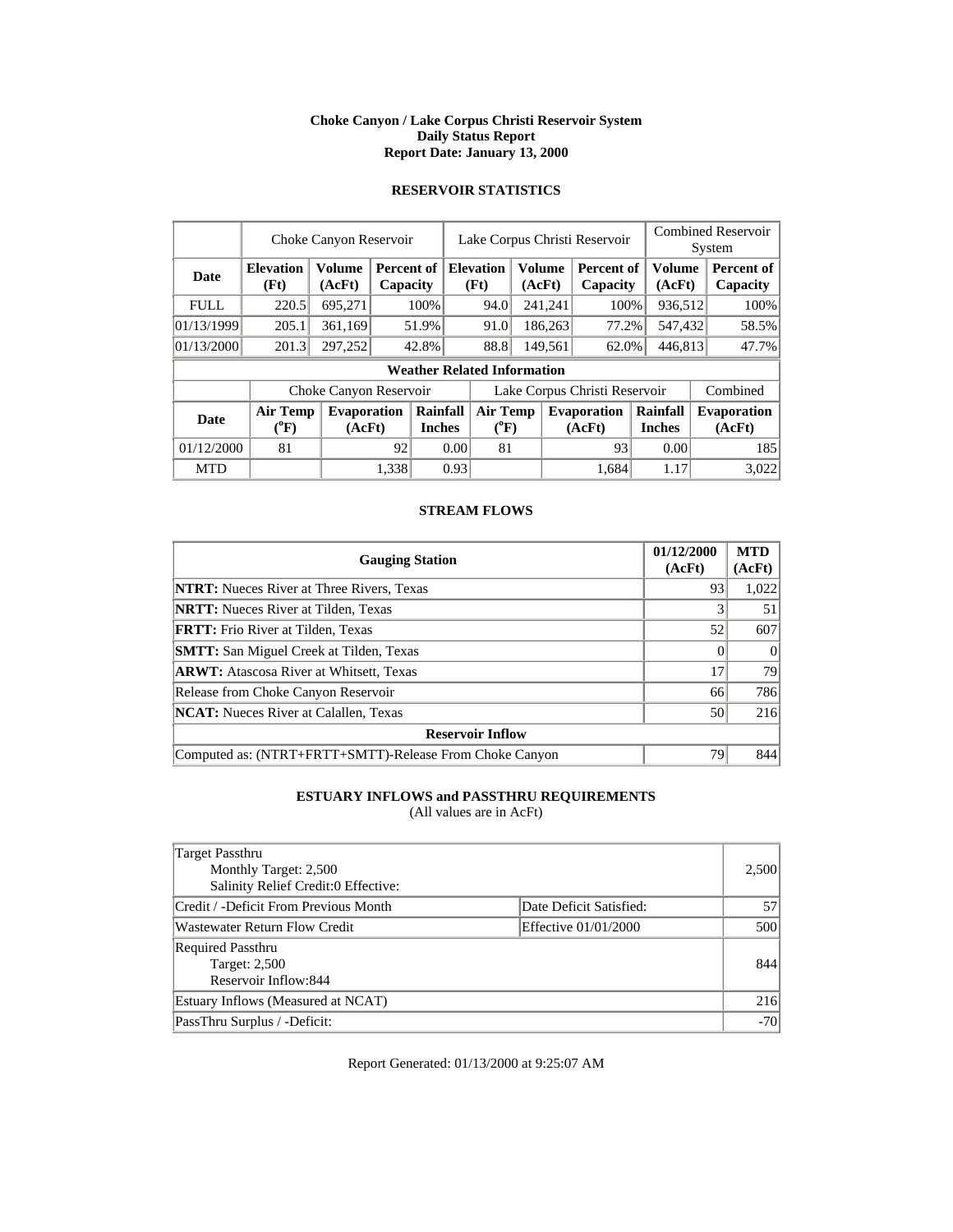#### **Choke Canyon / Lake Corpus Christi Reservoir System Daily Status Report Report Date: January 13, 2000**

# **RESERVOIR STATISTICS**

|             |                                       | Choke Canyon Reservoir       |       |                                           | Lake Corpus Christi Reservoir |                                       |  |                         |                               | <b>Combined Reservoir</b><br>System |                              |
|-------------|---------------------------------------|------------------------------|-------|-------------------------------------------|-------------------------------|---------------------------------------|--|-------------------------|-------------------------------|-------------------------------------|------------------------------|
| Date        | <b>Elevation</b><br>(Ft)              | <b>Volume</b><br>(AcFt)      |       | <b>Percent of   Elevation</b><br>Capacity |                               | (Ft)                                  |  | <b>Volume</b><br>(AcFt) | Percent of<br>Capacity        | <b>Volume</b><br>(AcFt)             | Percent of<br>Capacity       |
| <b>FULL</b> | 220.5                                 | 695,271                      |       | 100%                                      |                               | 94.0                                  |  | 241,241                 | 100%                          | 936,512                             | 100%                         |
| 01/13/1999  | 205.1                                 | 361,169                      |       | 51.9%                                     |                               | 91.0                                  |  | 186,263                 | 77.2%                         | 547,432                             | 58.5%                        |
| 01/13/2000  | 201.3                                 | 297,252                      |       | 42.8%                                     |                               | 88.8                                  |  | 149,561                 | 62.0%                         | 446,813                             | 47.7%                        |
|             |                                       |                              |       |                                           |                               | <b>Weather Related Information</b>    |  |                         |                               |                                     |                              |
|             |                                       | Choke Canyon Reservoir       |       |                                           |                               |                                       |  |                         | Lake Corpus Christi Reservoir |                                     | Combined                     |
| <b>Date</b> | <b>Air Temp</b><br>$(^{0}\mathrm{F})$ | <b>Evaporation</b><br>(AcFt) |       | Rainfall<br><b>Inches</b>                 |                               | <b>Air Temp</b><br>$({}^0\mathrm{F})$ |  |                         | <b>Evaporation</b><br>(AcFt)  | Rainfall<br><b>Inches</b>           | <b>Evaporation</b><br>(AcFt) |
| 01/12/2000  | 81                                    |                              | 92    |                                           | 0.00                          | 81                                    |  |                         | 93                            | 0.00                                | 185                          |
| <b>MTD</b>  |                                       |                              | 1.338 |                                           | 0.93                          |                                       |  |                         | 1.684                         | 1.17                                | 3,022                        |

## **STREAM FLOWS**

| <b>Gauging Station</b>                                  | 01/12/2000<br>(AcFt) | <b>MTD</b><br>(AcFt) |
|---------------------------------------------------------|----------------------|----------------------|
| <b>NTRT:</b> Nueces River at Three Rivers, Texas        | 93                   | 1,022                |
| <b>NRTT:</b> Nueces River at Tilden, Texas              |                      | 51                   |
| <b>FRTT:</b> Frio River at Tilden, Texas                | 52                   | 607                  |
| <b>SMTT:</b> San Miguel Creek at Tilden, Texas          |                      | $\theta$             |
| <b>ARWT:</b> Atascosa River at Whitsett, Texas          | 17                   | 79                   |
| Release from Choke Canyon Reservoir                     | 66                   | 786                  |
| <b>NCAT:</b> Nueces River at Calallen, Texas            | 50                   | 216                  |
| <b>Reservoir Inflow</b>                                 |                      |                      |
| Computed as: (NTRT+FRTT+SMTT)-Release From Choke Canyon | 79                   | 844                  |

# **ESTUARY INFLOWS and PASSTHRU REQUIREMENTS**

(All values are in AcFt)

| Target Passthru<br>Monthly Target: 2,500<br>Salinity Relief Credit:0 Effective: |                         | 2,500 |
|---------------------------------------------------------------------------------|-------------------------|-------|
| Credit / -Deficit From Previous Month                                           | Date Deficit Satisfied: | 57    |
| <b>Wastewater Return Flow Credit</b>                                            | Effective 01/01/2000    | 500   |
| <b>Required Passthru</b><br><b>Target: 2,500</b><br>Reservoir Inflow:844        |                         | 844   |
| Estuary Inflows (Measured at NCAT)                                              |                         | 216   |
| PassThru Surplus / -Deficit:                                                    |                         | $-70$ |

Report Generated: 01/13/2000 at 9:25:07 AM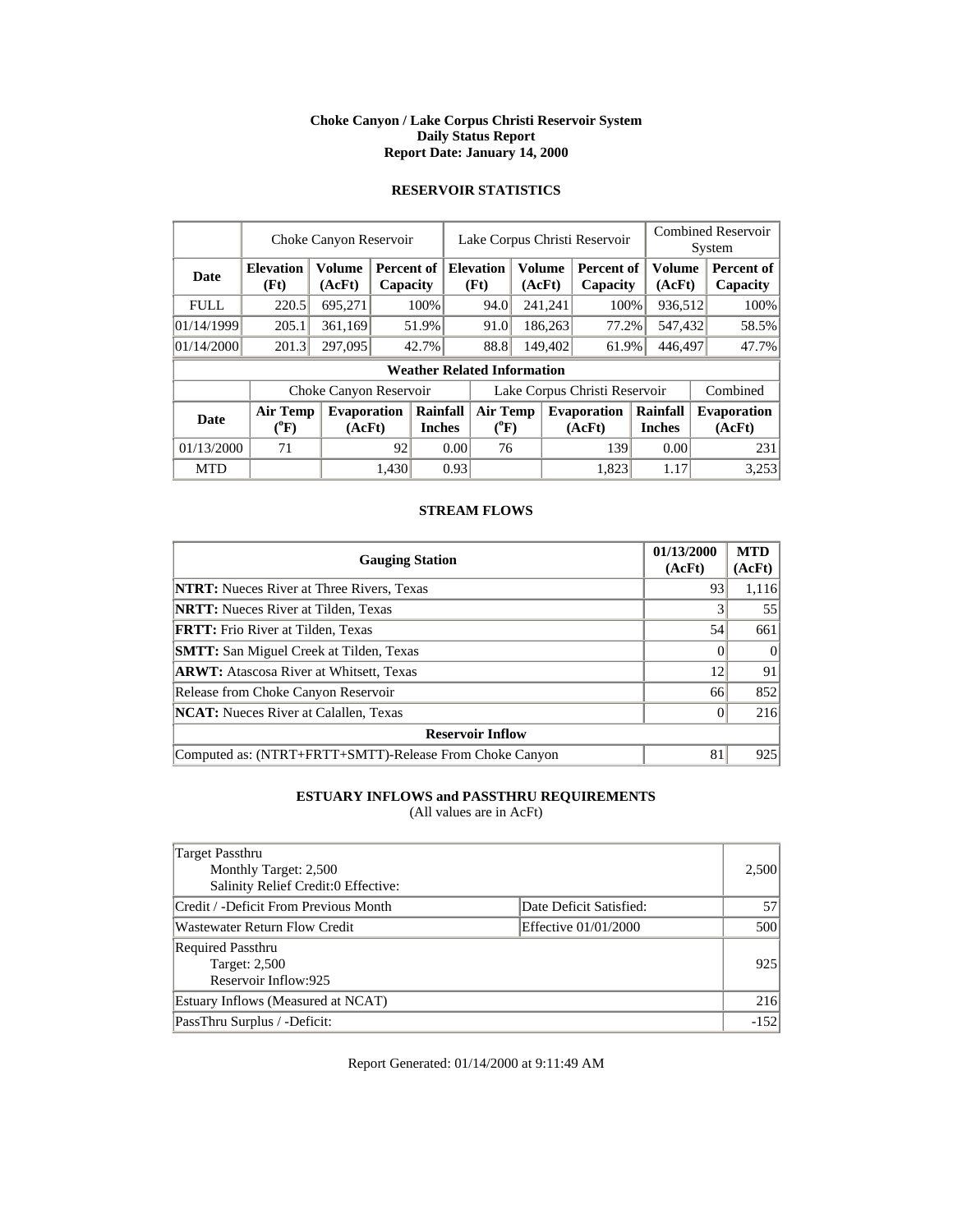#### **Choke Canyon / Lake Corpus Christi Reservoir System Daily Status Report Report Date: January 14, 2000**

# **RESERVOIR STATISTICS**

|             |                                       | Choke Canyon Reservoir       |       |                                    | Lake Corpus Christi Reservoir |                               |                  |         |                               |                           |                  | <b>Combined Reservoir</b><br>System |
|-------------|---------------------------------------|------------------------------|-------|------------------------------------|-------------------------------|-------------------------------|------------------|---------|-------------------------------|---------------------------|------------------|-------------------------------------|
| <b>Date</b> | <b>Elevation</b><br>(Ft)              | <b>Volume</b><br>(AcFt)      |       | Percent of<br>Capacity             |                               | <b>Elevation</b><br>(Ft)      | Volume<br>(AcFt) |         | <b>Percent of</b><br>Capacity |                           | Volume<br>(AcFt) | Percent of<br>Capacity              |
| <b>FULL</b> | 220.5                                 | 695,271                      |       | 100%                               |                               | 94.0                          |                  | 241,241 | 100%                          |                           | 936,512          | 100%                                |
| 01/14/1999  | 205.1                                 | 361,169                      |       | 51.9%                              |                               | 91.0                          |                  | 186,263 | 77.2%                         |                           | 547,432          | 58.5%                               |
| 01/14/2000  | 201.3                                 | 297,095                      |       | 42.7%                              |                               | 88.8                          |                  | 149,402 | 61.9%                         |                           | 446,497          | 47.7%                               |
|             |                                       |                              |       | <b>Weather Related Information</b> |                               |                               |                  |         |                               |                           |                  |                                     |
|             |                                       | Choke Canyon Reservoir       |       |                                    |                               | Lake Corpus Christi Reservoir |                  |         |                               | Combined                  |                  |                                     |
| <b>Date</b> | <b>Air Temp</b><br>$({}^0\mathrm{F})$ | <b>Evaporation</b><br>(AcFt) |       | Rainfall<br><b>Inches</b>          |                               | <b>Air Temp</b><br>$(^{0}F)$  |                  |         | <b>Evaporation</b><br>(AcFt)  | Rainfall<br><b>Inches</b> |                  | <b>Evaporation</b><br>(AcFt)        |
| 01/13/2000  | 71                                    |                              | 92    |                                    | 0.00                          | 76                            |                  |         | 139                           |                           | 0.00             | 231                                 |
| <b>MTD</b>  |                                       |                              | 1,430 |                                    | 0.93                          |                               |                  |         | 1.823                         |                           | 1.17             | 3,253                               |

## **STREAM FLOWS**

| <b>Gauging Station</b>                                  | 01/13/2000<br>(AcFt) | <b>MTD</b><br>(AcFt) |
|---------------------------------------------------------|----------------------|----------------------|
| <b>NTRT:</b> Nueces River at Three Rivers, Texas        | 93                   | 1,116                |
| <b>NRTT:</b> Nueces River at Tilden, Texas              |                      | 55                   |
| <b>FRTT:</b> Frio River at Tilden, Texas                | 54                   | 661                  |
| <b>SMTT:</b> San Miguel Creek at Tilden, Texas          |                      | $\Omega$             |
| <b>ARWT:</b> Atascosa River at Whitsett, Texas          | 12                   | 91                   |
| Release from Choke Canyon Reservoir                     | 66                   | 852                  |
| <b>NCAT:</b> Nueces River at Calallen, Texas            |                      | 216                  |
| <b>Reservoir Inflow</b>                                 |                      |                      |
| Computed as: (NTRT+FRTT+SMTT)-Release From Choke Canyon | 81                   | 925                  |

# **ESTUARY INFLOWS and PASSTHRU REQUIREMENTS**

(All values are in AcFt)

| Target Passthru<br>Monthly Target: 2,500<br>Salinity Relief Credit:0 Effective: |                         | 2,500  |
|---------------------------------------------------------------------------------|-------------------------|--------|
| Credit / -Deficit From Previous Month                                           | Date Deficit Satisfied: | 57     |
| <b>Wastewater Return Flow Credit</b>                                            | Effective 01/01/2000    | 500    |
| <b>Required Passthru</b><br><b>Target: 2,500</b><br>Reservoir Inflow:925        |                         | 925    |
| Estuary Inflows (Measured at NCAT)                                              |                         | 216    |
| PassThru Surplus / -Deficit:                                                    |                         | $-152$ |

Report Generated: 01/14/2000 at 9:11:49 AM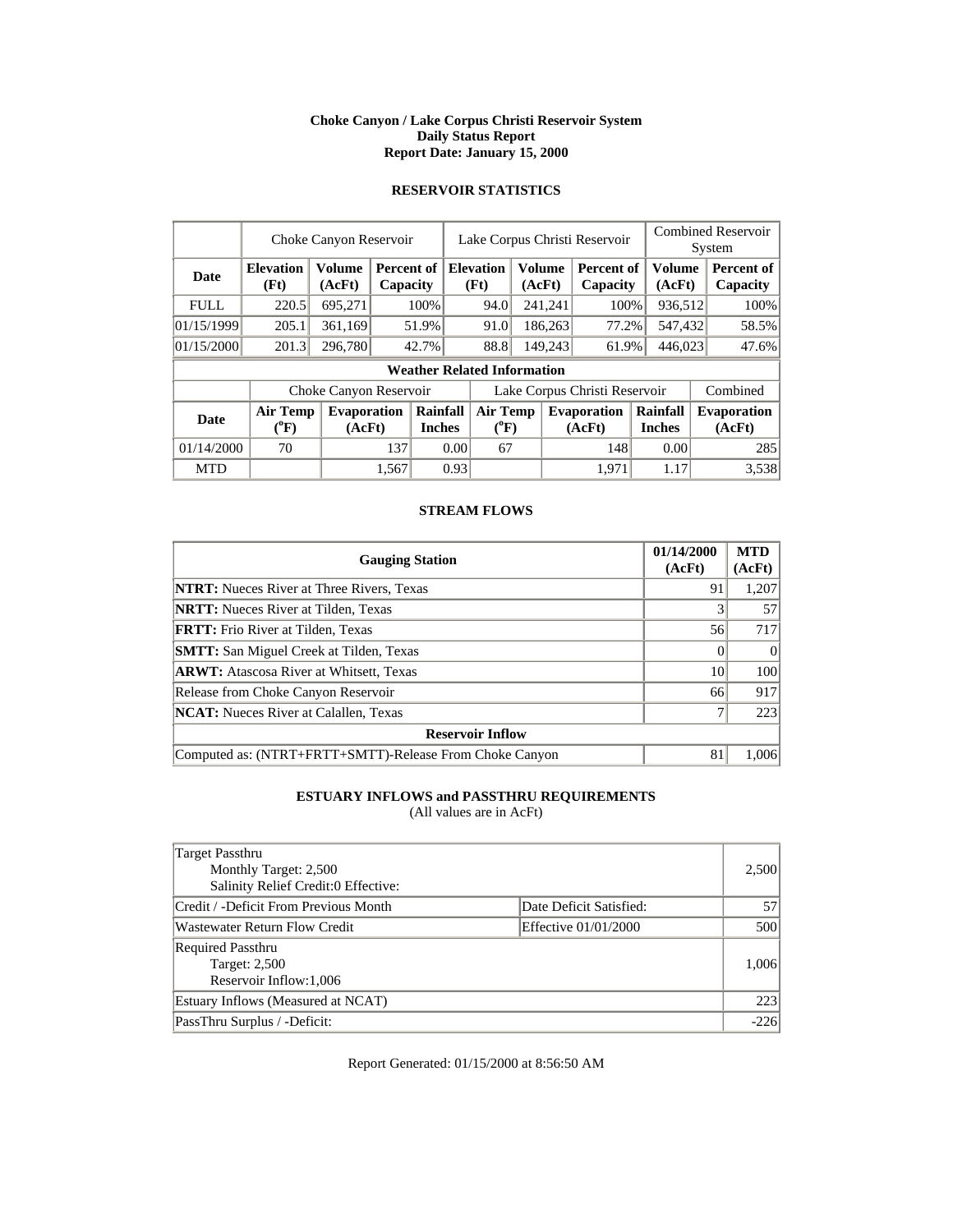#### **Choke Canyon / Lake Corpus Christi Reservoir System Daily Status Report Report Date: January 15, 2000**

# **RESERVOIR STATISTICS**

|             |                                       | Choke Canyon Reservoir       |       |                                         | Lake Corpus Christi Reservoir |                                    |                               |                  |                              |  |                           |  | <b>Combined Reservoir</b><br>System |
|-------------|---------------------------------------|------------------------------|-------|-----------------------------------------|-------------------------------|------------------------------------|-------------------------------|------------------|------------------------------|--|---------------------------|--|-------------------------------------|
| <b>Date</b> | <b>Elevation</b><br>(Ft)              | <b>Volume</b><br>(AcFt)      |       | <b>Percent of Elevation</b><br>Capacity |                               | (Ft)                               |                               | Volume<br>(AcFt) | Percent of<br>Capacity       |  | <b>Volume</b><br>(AcFt)   |  | Percent of<br>Capacity              |
| <b>FULL</b> | 220.5                                 | 695,271                      |       | 100%                                    |                               | 94.0                               |                               | 241,241          | 100%                         |  | 936,512                   |  | 100%                                |
| 01/15/1999  | 205.1                                 | 361,169                      |       | 51.9%                                   |                               | 91.0                               |                               | 186,263          | 77.2%                        |  | 547,432                   |  | 58.5%                               |
| 01/15/2000  | 201.3                                 | 296,780                      |       | 42.7%                                   |                               | 88.8                               | 149,243                       |                  | 61.9%                        |  | 446,023                   |  | 47.6%                               |
|             |                                       |                              |       |                                         |                               | <b>Weather Related Information</b> |                               |                  |                              |  |                           |  |                                     |
|             |                                       | Choke Canyon Reservoir       |       |                                         |                               |                                    | Lake Corpus Christi Reservoir |                  |                              |  |                           |  | Combined                            |
| Date        | <b>Air Temp</b><br>$(^{0}\mathrm{F})$ | <b>Evaporation</b><br>(AcFt) |       | Rainfall<br><b>Inches</b>               |                               | <b>Air Temp</b><br>$(^{0}F)$       |                               |                  | <b>Evaporation</b><br>(AcFt) |  | Rainfall<br><b>Inches</b> |  | <b>Evaporation</b><br>(AcFt)        |
| 01/14/2000  | 70                                    |                              | 137   |                                         | 0.00                          | 67                                 |                               |                  | 148                          |  | 0.00                      |  | 285                                 |
| <b>MTD</b>  |                                       |                              | 1.567 |                                         | 0.93                          |                                    |                               |                  | 1.971                        |  | 1.17                      |  | 3,538                               |

## **STREAM FLOWS**

| <b>Gauging Station</b>                                  | 01/14/2000<br>(AcFt) | <b>MTD</b><br>(AcFt) |
|---------------------------------------------------------|----------------------|----------------------|
| <b>NTRT:</b> Nueces River at Three Rivers, Texas        | 91                   | 1,207                |
| <b>NRTT:</b> Nueces River at Tilden, Texas              |                      | 57                   |
| <b>FRTT:</b> Frio River at Tilden, Texas                | 56                   | 717                  |
| <b>SMTT:</b> San Miguel Creek at Tilden, Texas          |                      | $\Omega$             |
| <b>ARWT:</b> Atascosa River at Whitsett, Texas          | 10                   | 100                  |
| Release from Choke Canyon Reservoir                     | 66                   | 917                  |
| <b>NCAT:</b> Nueces River at Calallen, Texas            |                      | 223                  |
| <b>Reservoir Inflow</b>                                 |                      |                      |
| Computed as: (NTRT+FRTT+SMTT)-Release From Choke Canyon | 81                   | 1,006                |

# **ESTUARY INFLOWS and PASSTHRU REQUIREMENTS**

(All values are in AcFt)

| Target Passthru<br>Monthly Target: 2,500<br>Salinity Relief Credit:0 Effective: |                         | 2,500  |
|---------------------------------------------------------------------------------|-------------------------|--------|
| Credit / -Deficit From Previous Month                                           | Date Deficit Satisfied: | 57     |
| <b>Wastewater Return Flow Credit</b>                                            | Effective 01/01/2000    | 500    |
| <b>Required Passthru</b><br>Target: 2,500<br>Reservoir Inflow: 1,006            |                         | 1,006  |
| Estuary Inflows (Measured at NCAT)                                              |                         | 223    |
| PassThru Surplus / -Deficit:                                                    |                         | $-226$ |

Report Generated: 01/15/2000 at 8:56:50 AM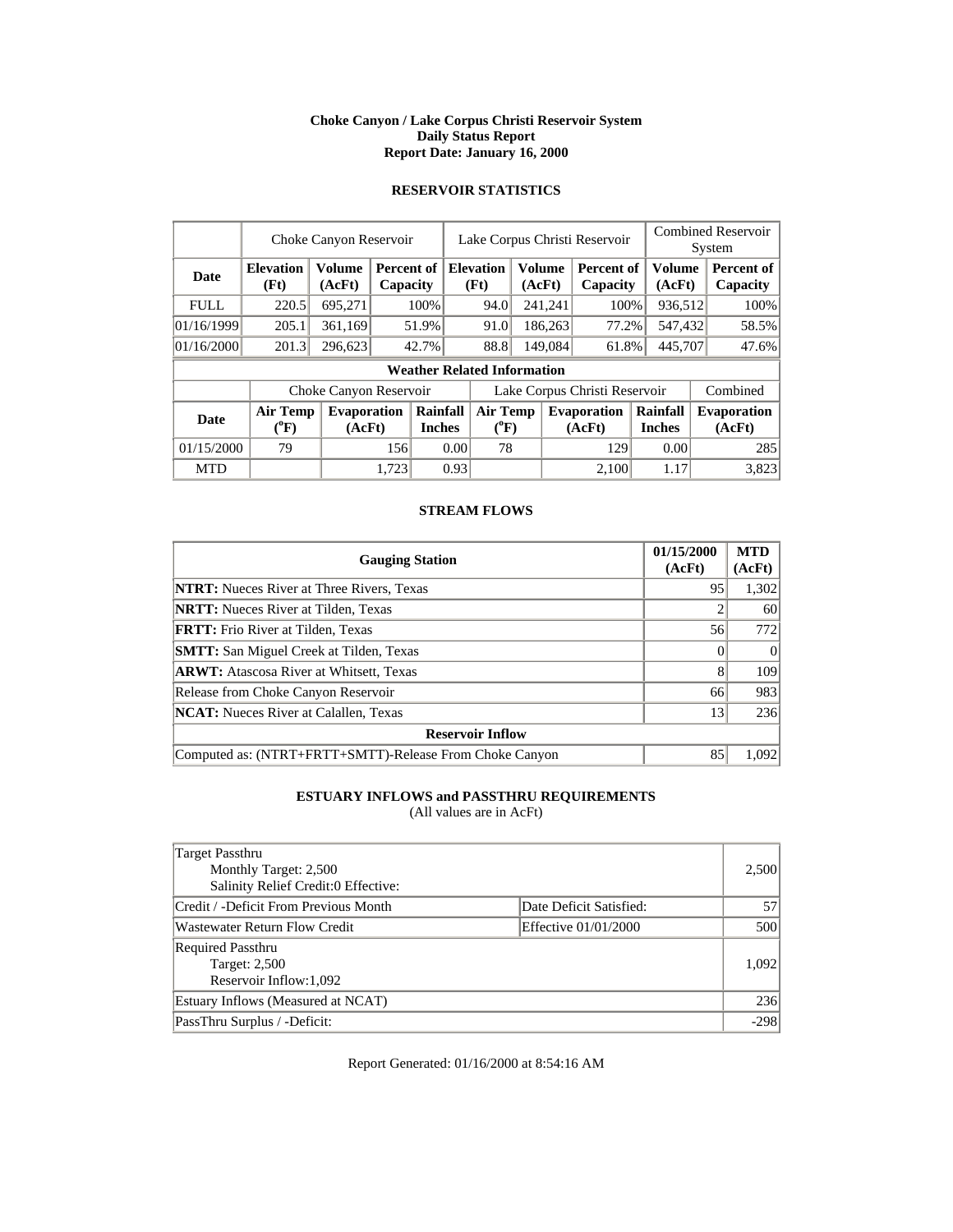#### **Choke Canyon / Lake Corpus Christi Reservoir System Daily Status Report Report Date: January 16, 2000**

# **RESERVOIR STATISTICS**

|             |                                       | Choke Canyon Reservoir       |       |                           | Lake Corpus Christi Reservoir         |                                    |         |                  |                               |                           |                  | <b>Combined Reservoir</b><br>System |                              |
|-------------|---------------------------------------|------------------------------|-------|---------------------------|---------------------------------------|------------------------------------|---------|------------------|-------------------------------|---------------------------|------------------|-------------------------------------|------------------------------|
| <b>Date</b> | <b>Elevation</b><br>(Ft)              | <b>Volume</b><br>(AcFt)      |       | Percent of<br>Capacity    |                                       | <b>Elevation</b><br>(Ft)           |         | Volume<br>(AcFt) | Percent of<br>Capacity        |                           | Volume<br>(AcFt) |                                     | Percent of<br>Capacity       |
| <b>FULL</b> | 220.5                                 | 695,271                      |       | 100%                      |                                       | 94.0                               |         | 241,241          | 100%                          |                           | 936,512          |                                     | 100%                         |
| 01/16/1999  | 205.1                                 | 361,169                      |       | 51.9%                     |                                       | 91.0                               |         | 186,263          | 77.2%                         |                           | 547,432          |                                     | 58.5%                        |
| 01/16/2000  | 201.3                                 | 296,623                      |       | 42.7%                     |                                       | 88.8                               | 149,084 |                  | 61.8%                         | 445,707                   |                  |                                     | 47.6%                        |
|             |                                       |                              |       |                           |                                       | <b>Weather Related Information</b> |         |                  |                               |                           |                  |                                     |                              |
|             |                                       | Choke Canyon Reservoir       |       |                           |                                       |                                    |         |                  | Lake Corpus Christi Reservoir |                           |                  |                                     | Combined                     |
| Date        | <b>Air Temp</b><br>$({}^0\mathrm{F})$ | <b>Evaporation</b><br>(AcFt) |       | Rainfall<br><b>Inches</b> | <b>Air Temp</b><br>$({}^0\mathrm{F})$ |                                    |         |                  | <b>Evaporation</b><br>(AcFt)  | Rainfall<br><b>Inches</b> |                  |                                     | <b>Evaporation</b><br>(AcFt) |
| 01/15/2000  | 79                                    |                              | 156   |                           | 0.00                                  | 78                                 |         |                  | 129                           |                           | 0.00             |                                     | 285                          |
| <b>MTD</b>  |                                       |                              | 1,723 |                           | 0.93                                  |                                    |         |                  | 2.100                         |                           | 1.17             |                                     | 3,823                        |

## **STREAM FLOWS**

| <b>Gauging Station</b>                                  | 01/15/2000<br>(AcFt) | <b>MTD</b><br>(AcFt) |
|---------------------------------------------------------|----------------------|----------------------|
| <b>NTRT:</b> Nueces River at Three Rivers, Texas        | 95                   | 1,302                |
| <b>NRTT:</b> Nueces River at Tilden, Texas              |                      | 60                   |
| <b>FRTT:</b> Frio River at Tilden, Texas                | 56                   | 772                  |
| <b>SMTT:</b> San Miguel Creek at Tilden, Texas          |                      |                      |
| <b>ARWT:</b> Atascosa River at Whitsett, Texas          | 8                    | 109                  |
| Release from Choke Canyon Reservoir                     | 66                   | 983                  |
| <b>NCAT:</b> Nueces River at Calallen, Texas            | 13                   | 236                  |
| <b>Reservoir Inflow</b>                                 |                      |                      |
| Computed as: (NTRT+FRTT+SMTT)-Release From Choke Canyon | 85                   | 1,092                |

# **ESTUARY INFLOWS and PASSTHRU REQUIREMENTS**

(All values are in AcFt)

| Target Passthru<br>Monthly Target: 2,500<br>Salinity Relief Credit:0 Effective: |                         | 2,500  |
|---------------------------------------------------------------------------------|-------------------------|--------|
| Credit / -Deficit From Previous Month                                           | Date Deficit Satisfied: | 57     |
| Wastewater Return Flow Credit                                                   | Effective 01/01/2000    | 500    |
| <b>Required Passthru</b><br>Target: 2,500<br>Reservoir Inflow: 1,092            |                         | 1,092  |
| Estuary Inflows (Measured at NCAT)                                              |                         | 236    |
| PassThru Surplus / -Deficit:                                                    |                         | $-298$ |

Report Generated: 01/16/2000 at 8:54:16 AM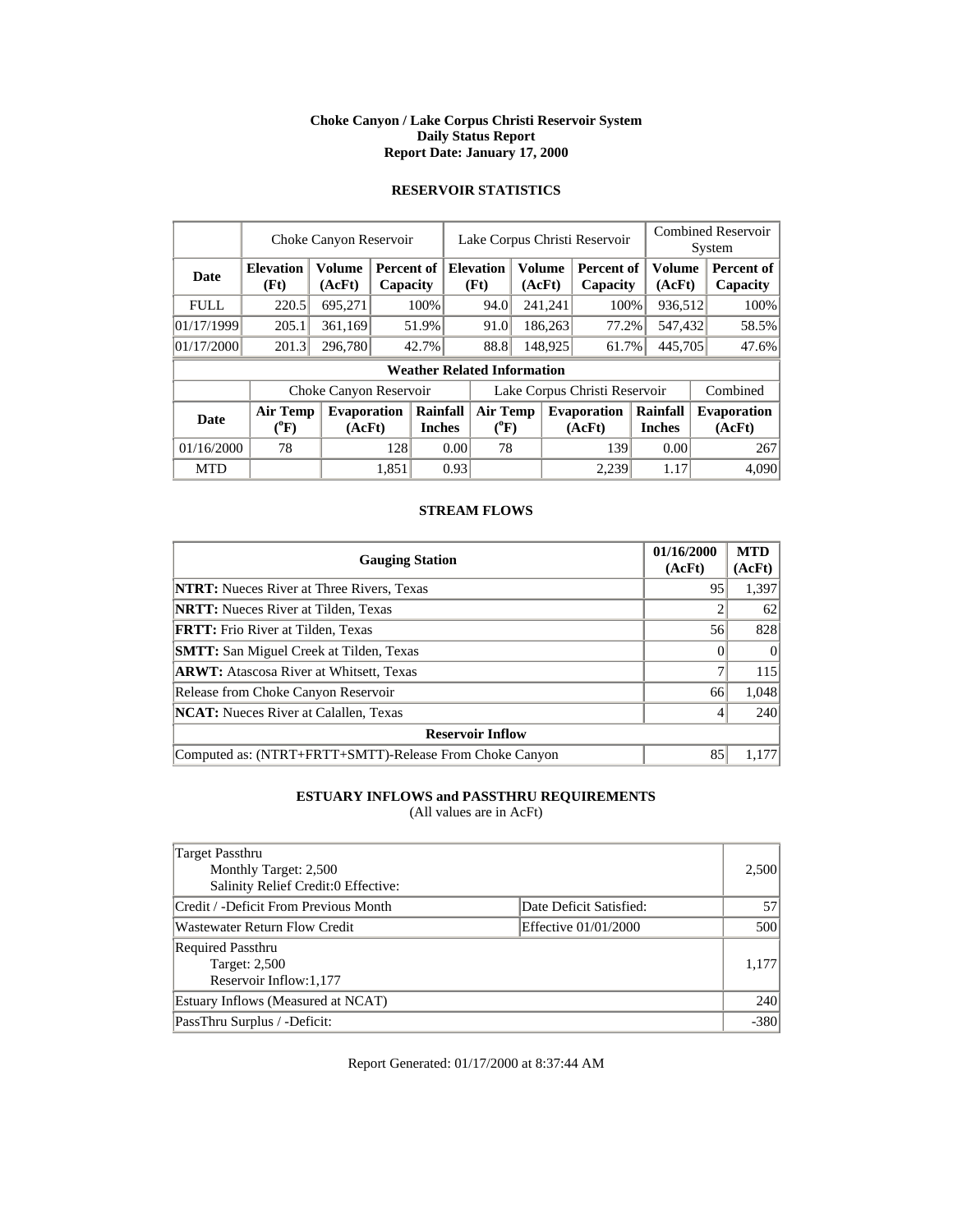#### **Choke Canyon / Lake Corpus Christi Reservoir System Daily Status Report Report Date: January 17, 2000**

# **RESERVOIR STATISTICS**

|             |                                       | Choke Canyon Reservoir  |       |                           | Lake Corpus Christi Reservoir |                                    |  |                  |                               |  | <b>Combined Reservoir</b><br>System |  |                              |
|-------------|---------------------------------------|-------------------------|-------|---------------------------|-------------------------------|------------------------------------|--|------------------|-------------------------------|--|-------------------------------------|--|------------------------------|
| <b>Date</b> | <b>Elevation</b><br>(Ft)              | <b>Volume</b><br>(AcFt) |       | Percent of<br>Capacity    |                               | <b>Elevation</b><br>(Ft)           |  | Volume<br>(AcFt) | <b>Percent of</b><br>Capacity |  | <b>Volume</b><br>(AcFt)             |  | Percent of<br>Capacity       |
| <b>FULL</b> | 220.5                                 | 695,271                 |       | 100%                      |                               | 94.0                               |  | 241,241          | 100%                          |  | 936,512                             |  | 100%                         |
| 01/17/1999  | 205.1                                 | 361,169                 |       | 51.9%                     |                               | 91.0                               |  | 186,263          | 77.2%                         |  | 547,432                             |  | 58.5%                        |
| 01/17/2000  | 201.3                                 | 296,780                 |       | 42.7%                     |                               | 88.8                               |  | 148,925<br>61.7% |                               |  | 445,705                             |  | 47.6%                        |
|             |                                       |                         |       |                           |                               | <b>Weather Related Information</b> |  |                  |                               |  |                                     |  |                              |
|             |                                       | Choke Canyon Reservoir  |       |                           |                               |                                    |  |                  | Lake Corpus Christi Reservoir |  |                                     |  | Combined                     |
| <b>Date</b> | <b>Air Temp</b><br>$(^{0}\mathrm{F})$ | Evaporation<br>(AcFt)   |       | Rainfall<br><b>Inches</b> | <b>Air Temp</b><br>$(^{0}F)$  |                                    |  |                  | <b>Evaporation</b><br>(AcFt)  |  | Rainfall<br><b>Inches</b>           |  | <b>Evaporation</b><br>(AcFt) |
| 01/16/2000  | 78                                    |                         | 128   | 0.00                      |                               | 78                                 |  |                  | 139                           |  | 0.00                                |  | 267                          |
| <b>MTD</b>  |                                       |                         | 1.851 |                           | 0.93                          |                                    |  |                  | 2.239                         |  | 1.17                                |  | 4,090                        |

## **STREAM FLOWS**

| <b>Gauging Station</b>                                  | 01/16/2000<br>(AcFt) | <b>MTD</b><br>(AcFt) |
|---------------------------------------------------------|----------------------|----------------------|
| <b>NTRT:</b> Nueces River at Three Rivers, Texas        | 95                   | 1,397                |
| <b>NRTT:</b> Nueces River at Tilden, Texas              |                      | 62                   |
| <b>FRTT:</b> Frio River at Tilden, Texas                | 56                   | 828                  |
| <b>SMTT:</b> San Miguel Creek at Tilden, Texas          |                      | $\Omega$             |
| <b>ARWT:</b> Atascosa River at Whitsett, Texas          |                      | 115                  |
| Release from Choke Canyon Reservoir                     | 66                   | 1,048                |
| <b>NCAT:</b> Nueces River at Calallen, Texas            |                      | 240                  |
| <b>Reservoir Inflow</b>                                 |                      |                      |
| Computed as: (NTRT+FRTT+SMTT)-Release From Choke Canyon | 85                   | 1.177                |

# **ESTUARY INFLOWS and PASSTHRU REQUIREMENTS**

(All values are in AcFt)

| Target Passthru<br>Monthly Target: 2,500<br>Salinity Relief Credit:0 Effective: |                         | 2,500  |
|---------------------------------------------------------------------------------|-------------------------|--------|
| Credit / -Deficit From Previous Month                                           | Date Deficit Satisfied: | 57     |
| Wastewater Return Flow Credit                                                   | Effective 01/01/2000    | 500    |
| <b>Required Passthru</b><br>Target: 2,500<br>Reservoir Inflow: 1,177            |                         | 1,177  |
| Estuary Inflows (Measured at NCAT)                                              |                         | 240    |
| PassThru Surplus / -Deficit:                                                    |                         | $-380$ |

Report Generated: 01/17/2000 at 8:37:44 AM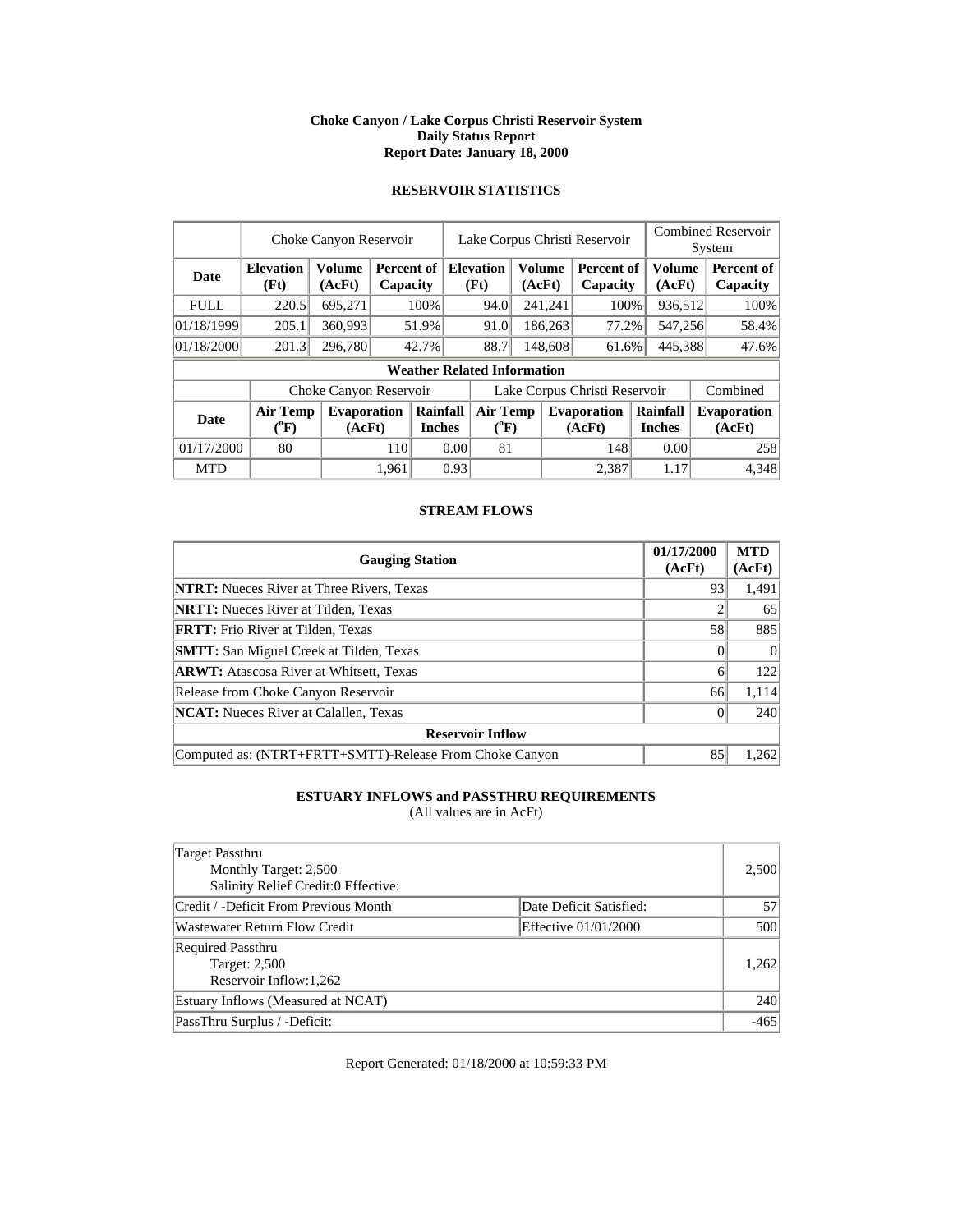#### **Choke Canyon / Lake Corpus Christi Reservoir System Daily Status Report Report Date: January 18, 2000**

# **RESERVOIR STATISTICS**

|             |                                  | Choke Canyon Reservoir  |       |                                    |                              |                               | Lake Corpus Christi Reservoir |                  |                               |                           |                  | <b>Combined Reservoir</b><br>System |                              |  |
|-------------|----------------------------------|-------------------------|-------|------------------------------------|------------------------------|-------------------------------|-------------------------------|------------------|-------------------------------|---------------------------|------------------|-------------------------------------|------------------------------|--|
| <b>Date</b> | <b>Elevation</b><br>(Ft)         | <b>Volume</b><br>(AcFt) |       | Percent of<br>Capacity             |                              | <b>Elevation</b><br>(Ft)      |                               | Volume<br>(AcFt) | <b>Percent of</b><br>Capacity |                           | Volume<br>(AcFt) |                                     | Percent of<br>Capacity       |  |
| <b>FULL</b> | 220.5                            | 695,271                 |       | 100%                               |                              | 94.0                          |                               | 241,241          | 100%                          |                           | 936,512          |                                     | 100%                         |  |
| 01/18/1999  | 205.1                            | 360,993                 |       | 51.9%                              |                              | 91.0                          |                               | 186,263          | 77.2%                         |                           | 547,256          |                                     | 58.4%                        |  |
| 01/18/2000  | 201.3                            | 296,780                 |       | 42.7%                              |                              | 88.7                          |                               | 148,608<br>61.6% |                               | 445,388                   |                  |                                     | 47.6%                        |  |
|             |                                  |                         |       | <b>Weather Related Information</b> |                              |                               |                               |                  |                               |                           |                  |                                     |                              |  |
|             |                                  | Choke Canyon Reservoir  |       |                                    |                              | Lake Corpus Christi Reservoir |                               |                  |                               | Combined                  |                  |                                     |                              |  |
| <b>Date</b> | <b>Air Temp</b><br>$\rm ^{(9}F)$ | Evaporation<br>(AcFt)   |       | Rainfall<br><b>Inches</b>          | <b>Air Temp</b><br>$(^{0}F)$ |                               |                               |                  | <b>Evaporation</b><br>(AcFt)  | Rainfall<br><b>Inches</b> |                  |                                     | <b>Evaporation</b><br>(AcFt) |  |
| 01/17/2000  | 80                               |                         | 110   |                                    | 0.00                         | 81                            |                               |                  | 148                           |                           | 0.00             |                                     | 258                          |  |
| <b>MTD</b>  |                                  |                         | 1,961 |                                    | 0.93                         |                               |                               |                  | 2.387                         |                           | 1.17             |                                     | 4,348                        |  |

## **STREAM FLOWS**

| <b>Gauging Station</b>                                  | 01/17/2000<br>(AcFt) | <b>MTD</b><br>(AcFt) |
|---------------------------------------------------------|----------------------|----------------------|
| <b>NTRT:</b> Nueces River at Three Rivers, Texas        | 93                   | 1,491                |
| <b>NRTT:</b> Nueces River at Tilden, Texas              |                      | 65                   |
| <b>FRTT:</b> Frio River at Tilden, Texas                | 58                   | 885                  |
| <b>SMTT:</b> San Miguel Creek at Tilden, Texas          |                      | $\theta$             |
| <b>ARWT:</b> Atascosa River at Whitsett, Texas          | 6                    | 122                  |
| Release from Choke Canyon Reservoir                     | 66                   | 1,114                |
| <b>NCAT:</b> Nueces River at Calallen, Texas            |                      | 240                  |
| <b>Reservoir Inflow</b>                                 |                      |                      |
| Computed as: (NTRT+FRTT+SMTT)-Release From Choke Canyon | 85                   | 1,262                |

# **ESTUARY INFLOWS and PASSTHRU REQUIREMENTS**

(All values are in AcFt)

| Target Passthru<br>Monthly Target: 2,500<br>Salinity Relief Credit:0 Effective: |                         | 2,500  |
|---------------------------------------------------------------------------------|-------------------------|--------|
| Credit / -Deficit From Previous Month                                           | Date Deficit Satisfied: | 57     |
| Wastewater Return Flow Credit                                                   | Effective 01/01/2000    | 500    |
| <b>Required Passthru</b><br>Target: 2,500<br>Reservoir Inflow: 1,262            |                         | 1,262  |
| Estuary Inflows (Measured at NCAT)                                              |                         | 240    |
| PassThru Surplus / -Deficit:                                                    |                         | $-465$ |

Report Generated: 01/18/2000 at 10:59:33 PM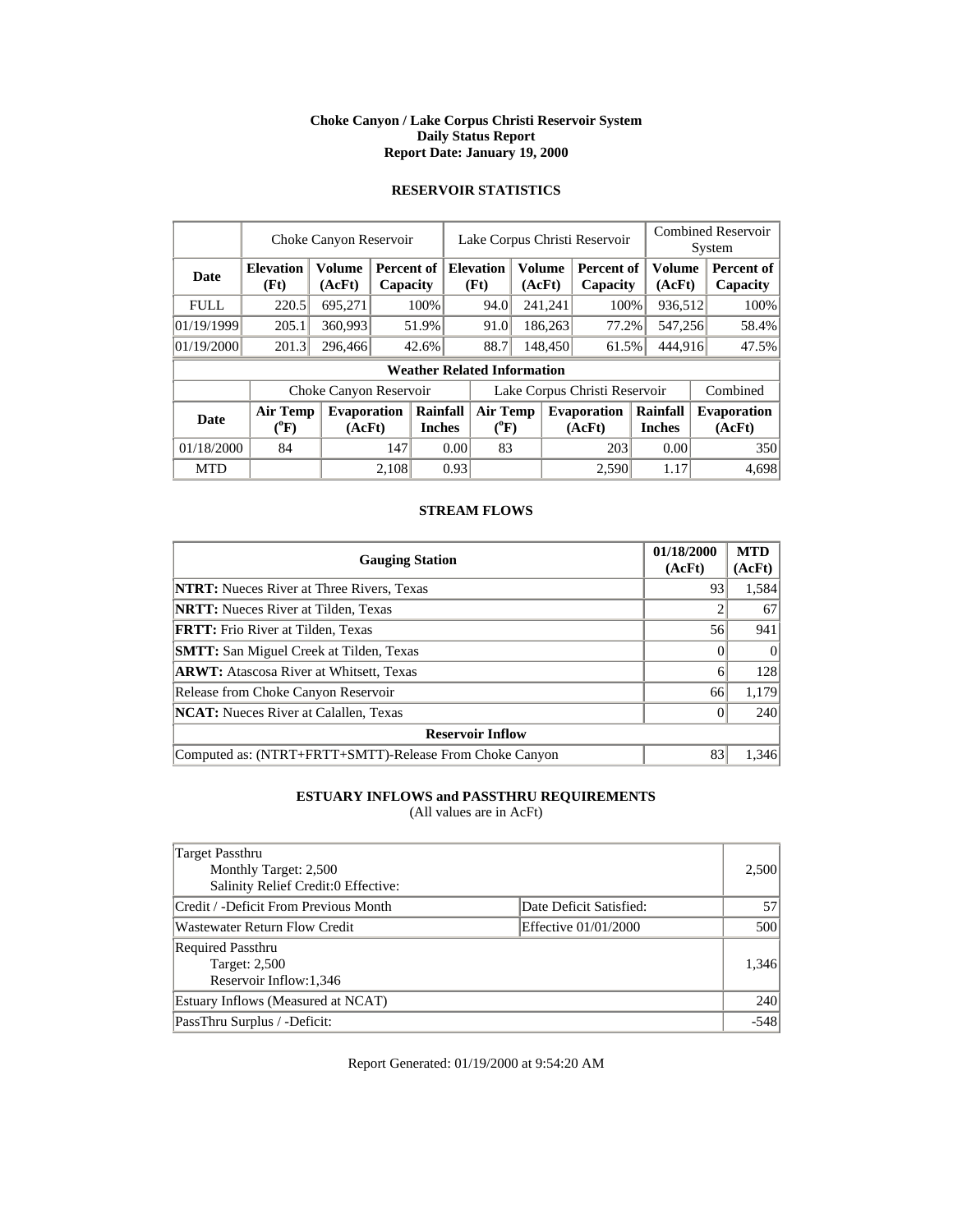#### **Choke Canyon / Lake Corpus Christi Reservoir System Daily Status Report Report Date: January 19, 2000**

# **RESERVOIR STATISTICS**

|             |                                       | Choke Canyon Reservoir       |       |                           | Lake Corpus Christi Reservoir |                                    |  |                  |                               |                           | <b>Combined Reservoir</b><br>System |  |                              |
|-------------|---------------------------------------|------------------------------|-------|---------------------------|-------------------------------|------------------------------------|--|------------------|-------------------------------|---------------------------|-------------------------------------|--|------------------------------|
| <b>Date</b> | <b>Elevation</b><br>(Ft)              | <b>Volume</b><br>(AcFt)      |       | Percent of<br>Capacity    |                               | <b>Elevation</b><br>(Ft)           |  | Volume<br>(AcFt) | <b>Percent of</b><br>Capacity |                           | <b>Volume</b><br>(AcFt)             |  | Percent of<br>Capacity       |
| <b>FULL</b> | 220.5                                 | 695,271                      |       | 100%                      |                               | 94.0                               |  | 241,241          | 100%                          |                           | 936,512                             |  | 100%                         |
| 01/19/1999  | 205.1                                 | 360,993                      |       | 51.9%                     |                               | 91.0                               |  | 186,263          | 77.2%                         |                           | 547,256                             |  | 58.4%                        |
| 01/19/2000  | 201.3                                 | 296,466                      |       | 42.6%                     |                               | 88.7                               |  | 148,450          | 61.5%                         | 444,916                   |                                     |  | 47.5%                        |
|             |                                       |                              |       |                           |                               | <b>Weather Related Information</b> |  |                  |                               |                           |                                     |  |                              |
|             |                                       | Choke Canyon Reservoir       |       |                           |                               | Lake Corpus Christi Reservoir      |  |                  |                               |                           | Combined                            |  |                              |
| Date        | <b>Air Temp</b><br>$(^{0}\mathrm{F})$ | <b>Evaporation</b><br>(AcFt) |       | Rainfall<br><b>Inches</b> | Air Temp<br>$(^{0}F)$         |                                    |  |                  | <b>Evaporation</b><br>(AcFt)  | Rainfall<br><b>Inches</b> |                                     |  | <b>Evaporation</b><br>(AcFt) |
| 01/18/2000  | 84                                    |                              | 147   | 0.00                      |                               | 83                                 |  |                  | 203                           |                           | 0.00                                |  | 350                          |
| <b>MTD</b>  |                                       |                              | 2,108 |                           | 0.93                          |                                    |  |                  | 2,590                         |                           | 1.17                                |  | 4,698                        |

## **STREAM FLOWS**

| <b>Gauging Station</b>                                  | 01/18/2000<br>(AcFt) | <b>MTD</b><br>(AcFt) |
|---------------------------------------------------------|----------------------|----------------------|
| <b>NTRT:</b> Nueces River at Three Rivers, Texas        | 93                   | 1,584                |
| <b>NRTT:</b> Nueces River at Tilden, Texas              |                      | 67                   |
| <b>FRTT:</b> Frio River at Tilden, Texas                | 56                   | 941                  |
| <b>SMTT:</b> San Miguel Creek at Tilden, Texas          |                      | $\Omega$             |
| <b>ARWT:</b> Atascosa River at Whitsett, Texas          | 6                    | 128                  |
| Release from Choke Canyon Reservoir                     | 66                   | 1,179                |
| <b>NCAT:</b> Nueces River at Calallen, Texas            |                      | 240                  |
| <b>Reservoir Inflow</b>                                 |                      |                      |
| Computed as: (NTRT+FRTT+SMTT)-Release From Choke Canyon | 83                   | 1.346                |

# **ESTUARY INFLOWS and PASSTHRU REQUIREMENTS**

(All values are in AcFt)

| Target Passthru<br>Monthly Target: 2,500<br>Salinity Relief Credit:0 Effective: |                         | 2,500  |
|---------------------------------------------------------------------------------|-------------------------|--------|
| Credit / -Deficit From Previous Month                                           | Date Deficit Satisfied: | 57     |
| Wastewater Return Flow Credit                                                   | Effective 01/01/2000    | 500    |
| <b>Required Passthru</b><br>Target: 2,500<br>Reservoir Inflow:1,346             |                         | 1,346  |
| Estuary Inflows (Measured at NCAT)                                              |                         | 240    |
| PassThru Surplus / -Deficit:                                                    |                         | $-548$ |

Report Generated: 01/19/2000 at 9:54:20 AM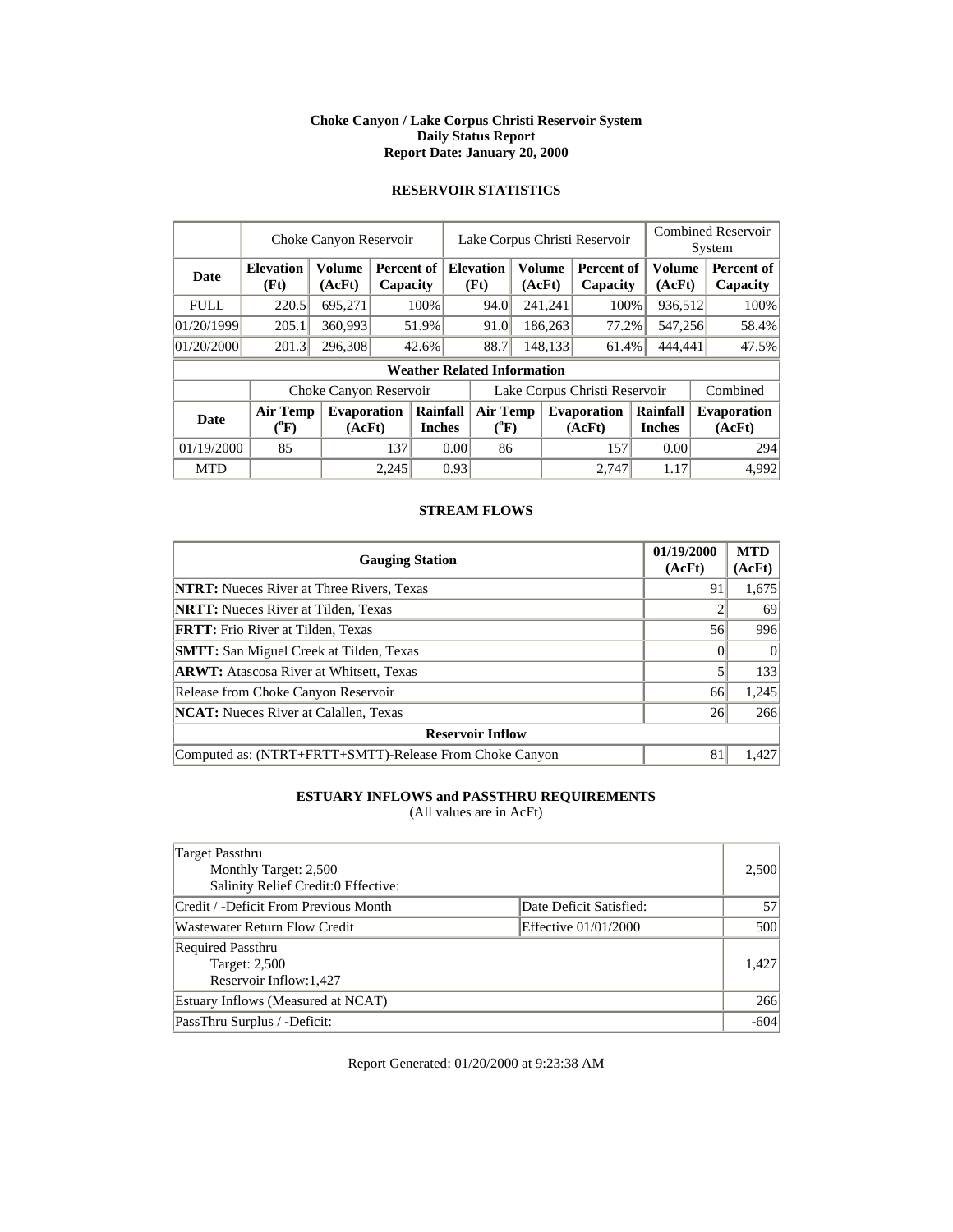#### **Choke Canyon / Lake Corpus Christi Reservoir System Daily Status Report Report Date: January 20, 2000**

# **RESERVOIR STATISTICS**

|             |                                       | Choke Canyon Reservoir       |       |                           | Lake Corpus Christi Reservoir |                                       |                  |         |                              | <b>Combined Reservoir</b><br>System |                  |  |                              |
|-------------|---------------------------------------|------------------------------|-------|---------------------------|-------------------------------|---------------------------------------|------------------|---------|------------------------------|-------------------------------------|------------------|--|------------------------------|
| Date        | <b>Elevation</b><br>(Ft)              | <b>Volume</b><br>(AcFt)      |       | Percent of 1<br>Capacity  |                               | <b>Elevation</b><br>(Ft)              | Volume<br>(AcFt) |         | Percent of<br>Capacity       |                                     | Volume<br>(AcFt) |  | Percent of<br>Capacity       |
| <b>FULL</b> | 220.5                                 | 695,271                      |       | 100%                      |                               | 94.0                                  |                  | 241,241 | 100%                         |                                     | 936,512          |  | 100%                         |
| 01/20/1999  | 205.1                                 | 360,993                      |       | 51.9%                     |                               | 91.0                                  |                  | 186,263 | 77.2%                        |                                     | 547,256          |  | 58.4%                        |
| 01/20/2000  | 201.3                                 | 296,308                      |       | 42.6%                     |                               | 88.7                                  |                  | 148,133 | 61.4%                        | 444,441                             |                  |  | 47.5%                        |
|             |                                       |                              |       |                           |                               | <b>Weather Related Information</b>    |                  |         |                              |                                     |                  |  |                              |
|             |                                       | Choke Canyon Reservoir       |       |                           |                               | Lake Corpus Christi Reservoir         |                  |         |                              |                                     |                  |  | Combined                     |
| <b>Date</b> | <b>Air Temp</b><br>$({}^o\mathrm{F})$ | <b>Evaporation</b><br>(AcFt) |       | Rainfall<br><b>Inches</b> |                               | <b>Air Temp</b><br>$({}^0\mathrm{F})$ |                  |         | <b>Evaporation</b><br>(AcFt) | Rainfall<br><b>Inches</b>           |                  |  | <b>Evaporation</b><br>(AcFt) |
| 01/19/2000  | 85                                    |                              | 137   |                           | 0.00                          | 86                                    |                  |         | 157                          |                                     | 0.00             |  | 294                          |
| <b>MTD</b>  |                                       |                              | 2.245 |                           | 0.93                          |                                       |                  |         | 2.747                        |                                     | 1.17             |  | 4.992                        |

## **STREAM FLOWS**

| <b>Gauging Station</b>                                  | 01/19/2000<br>(AcFt) | <b>MTD</b><br>(AcFt) |
|---------------------------------------------------------|----------------------|----------------------|
| <b>NTRT:</b> Nueces River at Three Rivers, Texas        | 91                   | 1,675                |
| <b>NRTT:</b> Nueces River at Tilden, Texas              |                      | 69                   |
| <b>FRTT:</b> Frio River at Tilden, Texas                | 56                   | 996                  |
| <b>SMTT:</b> San Miguel Creek at Tilden, Texas          |                      |                      |
| <b>ARWT:</b> Atascosa River at Whitsett, Texas          |                      | 133                  |
| Release from Choke Canyon Reservoir                     | 66                   | 1,245                |
| <b>NCAT:</b> Nueces River at Calallen, Texas            | 26                   | 266                  |
| <b>Reservoir Inflow</b>                                 |                      |                      |
| Computed as: (NTRT+FRTT+SMTT)-Release From Choke Canyon | 81                   | 1.427                |

# **ESTUARY INFLOWS and PASSTHRU REQUIREMENTS**

(All values are in AcFt)

| Target Passthru<br>Monthly Target: 2,500<br>Salinity Relief Credit:0 Effective: |                         | 2,500  |
|---------------------------------------------------------------------------------|-------------------------|--------|
| Credit / -Deficit From Previous Month                                           | Date Deficit Satisfied: | 57     |
| <b>Wastewater Return Flow Credit</b>                                            | Effective 01/01/2000    | 500    |
| <b>Required Passthru</b><br>Target: 2,500<br>Reservoir Inflow: 1,427            |                         | 1,427  |
| Estuary Inflows (Measured at NCAT)                                              |                         | 266    |
| PassThru Surplus / -Deficit:                                                    |                         | $-604$ |

Report Generated: 01/20/2000 at 9:23:38 AM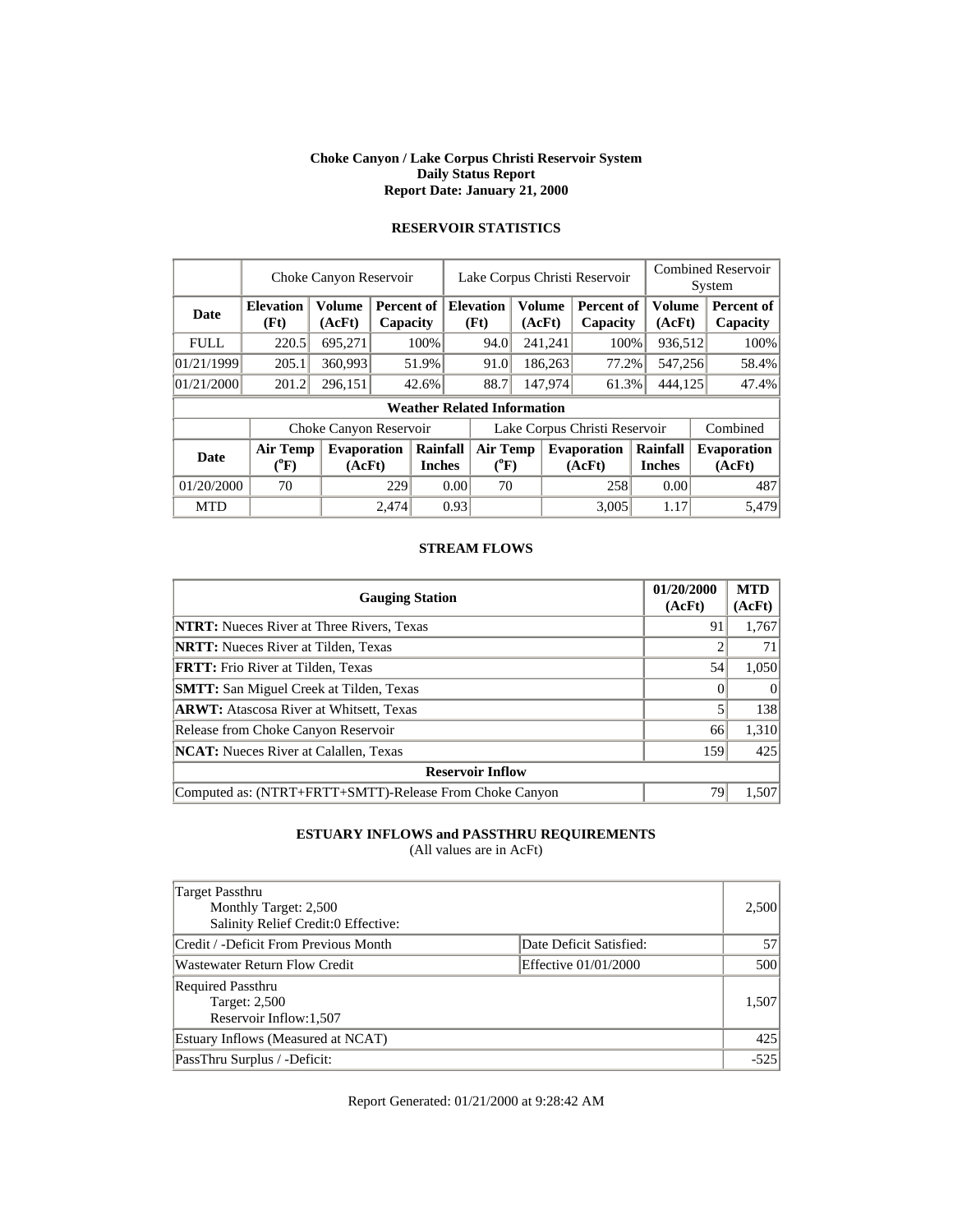#### **Choke Canyon / Lake Corpus Christi Reservoir System Daily Status Report Report Date: January 21, 2000**

|             | Choke Canyon Reservoir             |                              |                        |                           | Lake Corpus Christi Reservoir |        |               |                              |                           | <b>Combined Reservoir</b><br>System |                              |  |
|-------------|------------------------------------|------------------------------|------------------------|---------------------------|-------------------------------|--------|---------------|------------------------------|---------------------------|-------------------------------------|------------------------------|--|
| <b>Date</b> | <b>Elevation</b><br>(Ft)           | Volume<br>(AcFt)             | Percent of<br>Capacity |                           | <b>Elevation</b><br>(Ft)      | (AcFt) | <b>Volume</b> | Percent of<br>Capacity       | <b>Volume</b><br>(AcFt)   |                                     | Percent of<br>Capacity       |  |
| <b>FULL</b> | 220.5                              | 695,271                      |                        | 100%                      | 94.0                          |        | 241,241       | 100%                         | 936,512                   |                                     | 100%                         |  |
| 01/21/1999  | 205.1                              | 360,993                      |                        | 51.9%                     | 91.0                          |        | 186,263       | 77.2%                        | 547,256                   |                                     | 58.4%                        |  |
| 01/21/2000  | 201.2                              | 296,151                      |                        | 42.6%                     | 88.7                          |        | 147.974       | 61.3%                        | 444,125                   |                                     | 47.4%                        |  |
|             | <b>Weather Related Information</b> |                              |                        |                           |                               |        |               |                              |                           |                                     |                              |  |
|             |                                    | Choke Canyon Reservoir       |                        |                           | Lake Corpus Christi Reservoir |        |               |                              |                           |                                     | Combined                     |  |
| <b>Date</b> | <b>Air Temp</b><br>$(^{0}F)$       | <b>Evaporation</b><br>(AcFt) |                        | Rainfall<br><b>Inches</b> | <b>Air Temp</b><br>$(^{0}F)$  |        |               | <b>Evaporation</b><br>(AcFt) | Rainfall<br><b>Inches</b> |                                     | <b>Evaporation</b><br>(AcFt) |  |
| 01/20/2000  | 70                                 |                              | 229                    |                           | 0.00<br>70                    |        |               | 258                          | 0.00                      |                                     | 487                          |  |
| <b>MTD</b>  |                                    |                              | 2.474                  |                           | 0.93                          |        |               | 3.005                        | 1.17                      |                                     | 5.479                        |  |

# **RESERVOIR STATISTICS**

# **STREAM FLOWS**

| <b>Gauging Station</b>                                  | 01/20/2000<br>(AcFt) | <b>MTD</b><br>(AcFt) |
|---------------------------------------------------------|----------------------|----------------------|
| <b>NTRT:</b> Nueces River at Three Rivers, Texas        | 91                   | 1,767                |
| <b>NRTT:</b> Nueces River at Tilden, Texas              |                      | 71                   |
| <b>FRTT:</b> Frio River at Tilden, Texas                | 54                   | 1,050                |
| <b>SMTT:</b> San Miguel Creek at Tilden, Texas          |                      | $\Omega$             |
| <b>ARWT:</b> Atascosa River at Whitsett, Texas          |                      | 138                  |
| Release from Choke Canyon Reservoir                     | 66                   | 1,310                |
| <b>NCAT:</b> Nueces River at Calallen, Texas            | 159                  | 425                  |
| <b>Reservoir Inflow</b>                                 |                      |                      |
| Computed as: (NTRT+FRTT+SMTT)-Release From Choke Canyon | 79                   | 1,507                |

# **ESTUARY INFLOWS and PASSTHRU REQUIREMENTS**

(All values are in AcFt)

| Target Passthru<br>Monthly Target: 2,500<br>Salinity Relief Credit:0 Effective: |                         | 2,500  |
|---------------------------------------------------------------------------------|-------------------------|--------|
| Credit / -Deficit From Previous Month                                           | Date Deficit Satisfied: | 57     |
| Wastewater Return Flow Credit                                                   | Effective 01/01/2000    | 500    |
| <b>Required Passthru</b><br><b>Target: 2,500</b><br>Reservoir Inflow:1,507      |                         | 1,507  |
| Estuary Inflows (Measured at NCAT)                                              |                         | 425    |
| PassThru Surplus / -Deficit:                                                    |                         | $-525$ |

Report Generated: 01/21/2000 at 9:28:42 AM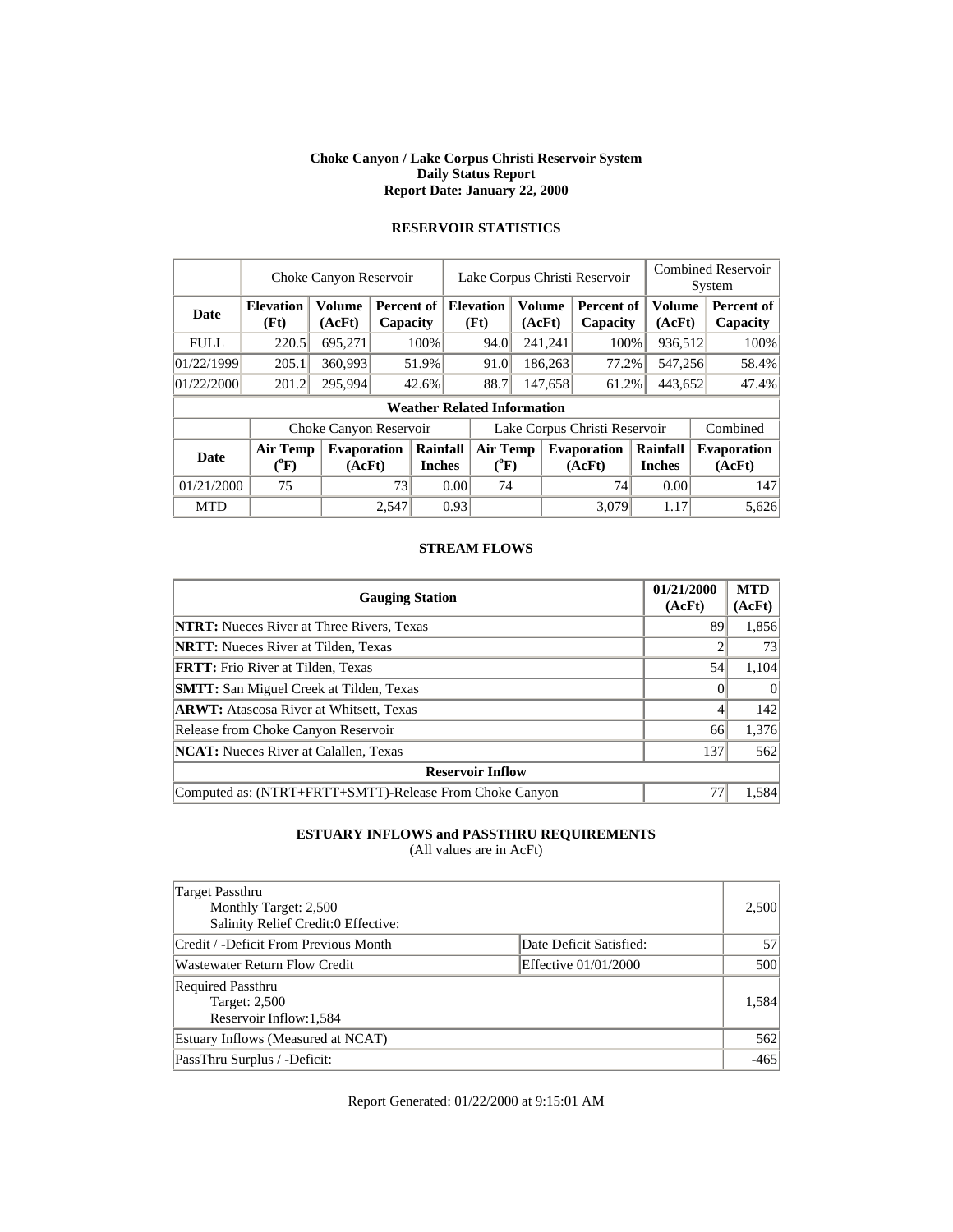#### **Choke Canyon / Lake Corpus Christi Reservoir System Daily Status Report Report Date: January 22, 2000**

|             | Choke Canyon Reservoir             |                              |                        |                           | Lake Corpus Christi Reservoir |        |         |                              |                           | <b>Combined Reservoir</b><br>System |                              |  |
|-------------|------------------------------------|------------------------------|------------------------|---------------------------|-------------------------------|--------|---------|------------------------------|---------------------------|-------------------------------------|------------------------------|--|
| <b>Date</b> | <b>Elevation</b><br>(Ft)           | Volume<br>(AcFt)             | Percent of<br>Capacity |                           | <b>Elevation</b><br>(Ft)      | (AcFt) | Volume  | Percent of<br>Capacity       | <b>Volume</b><br>(AcFt)   |                                     | Percent of<br>Capacity       |  |
| <b>FULL</b> | 220.5                              | 695,271                      |                        | 100%                      | 94.0                          |        | 241,241 | 100%                         | 936,512                   |                                     | 100%                         |  |
| 01/22/1999  | 205.1                              | 360,993                      |                        | 51.9%                     | 91.0                          |        | 186,263 | 77.2%                        | 547,256                   |                                     | 58.4%                        |  |
| 01/22/2000  | 201.2                              | 295.994                      |                        | 42.6%                     | 88.7                          |        | 147,658 | 61.2%                        | 443,652                   |                                     | 47.4%                        |  |
|             | <b>Weather Related Information</b> |                              |                        |                           |                               |        |         |                              |                           |                                     |                              |  |
|             |                                    | Choke Canyon Reservoir       |                        |                           | Lake Corpus Christi Reservoir |        |         |                              |                           |                                     | Combined                     |  |
| <b>Date</b> | <b>Air Temp</b><br>$(^{0}F)$       | <b>Evaporation</b><br>(AcFt) |                        | Rainfall<br><b>Inches</b> | <b>Air Temp</b><br>$(^{0}F)$  |        |         | <b>Evaporation</b><br>(AcFt) | Rainfall<br><b>Inches</b> |                                     | <b>Evaporation</b><br>(AcFt) |  |
| 01/21/2000  | 75                                 |                              | 73                     |                           | 0.00<br>74                    |        |         | 741                          | 0.00                      |                                     | 147                          |  |
| <b>MTD</b>  |                                    |                              | 2,547                  |                           | 0.93                          |        |         | 3.079                        | 1.17                      |                                     | 5.626                        |  |

# **RESERVOIR STATISTICS**

# **STREAM FLOWS**

| <b>Gauging Station</b>                                  | 01/21/2000<br>(AcFt) | <b>MTD</b><br>(AcFt) |
|---------------------------------------------------------|----------------------|----------------------|
| <b>NTRT:</b> Nueces River at Three Rivers, Texas        | 89                   | 1,856                |
| <b>NRTT:</b> Nueces River at Tilden, Texas              |                      | 73                   |
| <b>FRTT:</b> Frio River at Tilden, Texas                | 54                   | 1,104                |
| <b>SMTT:</b> San Miguel Creek at Tilden, Texas          |                      | $\Omega$             |
| <b>ARWT:</b> Atascosa River at Whitsett, Texas          |                      | 142                  |
| Release from Choke Canyon Reservoir                     | 66                   | 1,376                |
| <b>NCAT:</b> Nueces River at Calallen, Texas            | 137                  | 562                  |
| <b>Reservoir Inflow</b>                                 |                      |                      |
| Computed as: (NTRT+FRTT+SMTT)-Release From Choke Canyon | 77                   | 1,584                |

# **ESTUARY INFLOWS and PASSTHRU REQUIREMENTS**

(All values are in AcFt)

| Target Passthru<br>Monthly Target: 2,500<br>Salinity Relief Credit:0 Effective: |                         | 2,500  |
|---------------------------------------------------------------------------------|-------------------------|--------|
| Credit / -Deficit From Previous Month                                           | Date Deficit Satisfied: | 57     |
| Wastewater Return Flow Credit                                                   | Effective 01/01/2000    | 500    |
| <b>Required Passthru</b><br><b>Target: 2,500</b><br>Reservoir Inflow: 1,584     |                         | 1,584  |
| Estuary Inflows (Measured at NCAT)                                              |                         | 562    |
| PassThru Surplus / -Deficit:                                                    |                         | $-465$ |

Report Generated: 01/22/2000 at 9:15:01 AM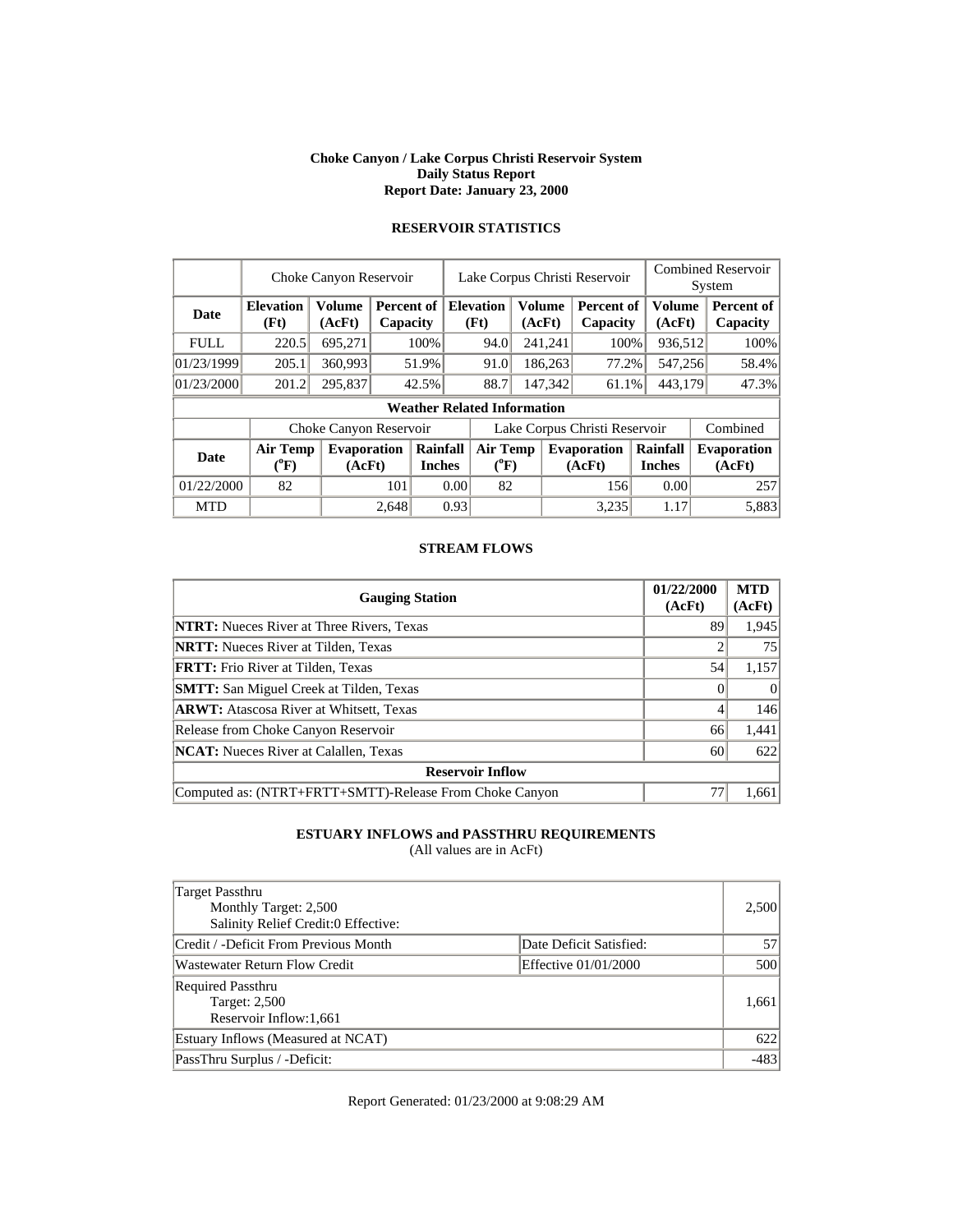#### **Choke Canyon / Lake Corpus Christi Reservoir System Daily Status Report Report Date: January 23, 2000**

|             | Choke Canyon Reservoir             |                              |                        |                           | Lake Corpus Christi Reservoir |        |         |                              |                           | <b>Combined Reservoir</b><br>System |                              |  |
|-------------|------------------------------------|------------------------------|------------------------|---------------------------|-------------------------------|--------|---------|------------------------------|---------------------------|-------------------------------------|------------------------------|--|
| <b>Date</b> | <b>Elevation</b><br>(Ft)           | Volume<br>(AcFt)             | Percent of<br>Capacity |                           | <b>Elevation</b><br>(Ft)      | (AcFt) | Volume  | Percent of<br>Capacity       | <b>Volume</b><br>(AcFt)   |                                     | Percent of<br>Capacity       |  |
| <b>FULL</b> | 220.5                              | 695,271                      |                        | 100%                      | 94.0                          |        | 241,241 | 100%                         | 936,512                   |                                     | 100%                         |  |
| 01/23/1999  | 205.1                              | 360,993                      |                        | 51.9%                     | 91.0                          |        | 186,263 | 77.2%                        | 547,256                   |                                     | 58.4%                        |  |
| 01/23/2000  | 201.2                              | 295,837                      |                        | 42.5%                     | 88.7                          |        | 147.342 | 61.1%                        | 443.179                   |                                     | 47.3%                        |  |
|             | <b>Weather Related Information</b> |                              |                        |                           |                               |        |         |                              |                           |                                     |                              |  |
|             |                                    | Choke Canyon Reservoir       |                        |                           | Lake Corpus Christi Reservoir |        |         |                              |                           |                                     | Combined                     |  |
| <b>Date</b> | <b>Air Temp</b><br>$(^{0}F)$       | <b>Evaporation</b><br>(AcFt) |                        | Rainfall<br><b>Inches</b> | <b>Air Temp</b><br>$(^{0}F)$  |        |         | <b>Evaporation</b><br>(AcFt) | Rainfall<br><b>Inches</b> |                                     | <b>Evaporation</b><br>(AcFt) |  |
| 01/22/2000  | 82                                 |                              | 101                    |                           | 82<br>0.00                    |        |         | 156                          | 0.00                      |                                     | 257                          |  |
| <b>MTD</b>  |                                    |                              | 2,648                  |                           | 0.93                          |        |         | 3.235                        | 1.17                      |                                     | 5.883                        |  |

# **RESERVOIR STATISTICS**

# **STREAM FLOWS**

| <b>Gauging Station</b>                                  | 01/22/2000<br>(AcFt) | <b>MTD</b><br>(AcFt) |
|---------------------------------------------------------|----------------------|----------------------|
| <b>NTRT:</b> Nueces River at Three Rivers, Texas        | 89                   | 1,945                |
| <b>NRTT:</b> Nueces River at Tilden, Texas              |                      | 75                   |
| <b>FRTT:</b> Frio River at Tilden, Texas                | 54                   | 1,157                |
| <b>SMTT:</b> San Miguel Creek at Tilden, Texas          |                      | $\Omega$             |
| <b>ARWT:</b> Atascosa River at Whitsett, Texas          |                      | 146                  |
| Release from Choke Canyon Reservoir                     | 66                   | 1,441                |
| <b>NCAT:</b> Nueces River at Calallen, Texas            | 60                   | 622                  |
| <b>Reservoir Inflow</b>                                 |                      |                      |
| Computed as: (NTRT+FRTT+SMTT)-Release From Choke Canyon | 77                   | 1,661                |

# **ESTUARY INFLOWS and PASSTHRU REQUIREMENTS**

(All values are in AcFt)

| Target Passthru<br>Monthly Target: 2,500<br>Salinity Relief Credit:0 Effective: |                         | 2,500  |
|---------------------------------------------------------------------------------|-------------------------|--------|
| Credit / -Deficit From Previous Month                                           | Date Deficit Satisfied: | 57     |
| Wastewater Return Flow Credit                                                   | Effective 01/01/2000    | 500    |
| <b>Required Passthru</b><br><b>Target: 2,500</b><br>Reservoir Inflow:1,661      |                         | 1,661  |
| Estuary Inflows (Measured at NCAT)                                              |                         | 622    |
| PassThru Surplus / -Deficit:                                                    |                         | $-483$ |

Report Generated: 01/23/2000 at 9:08:29 AM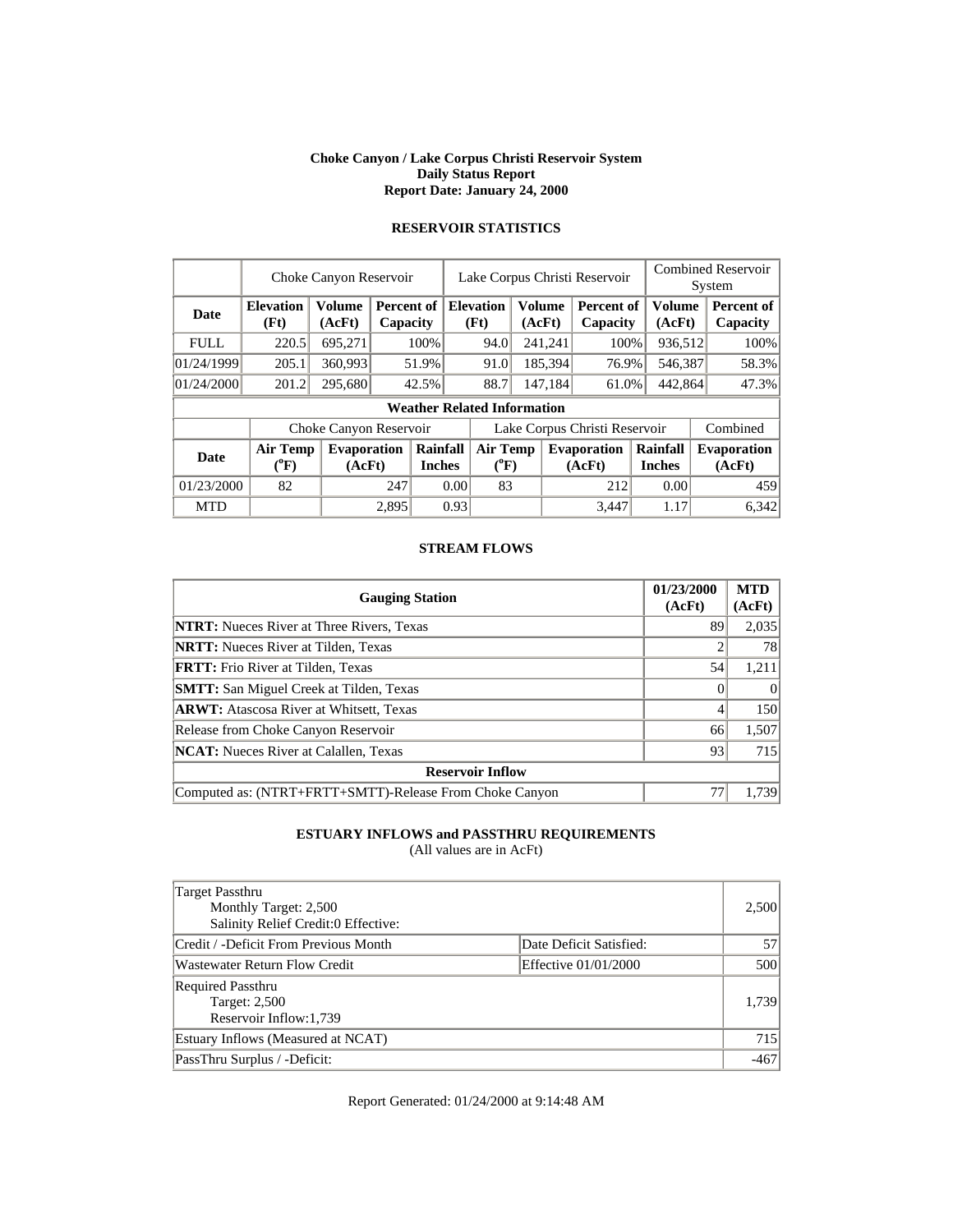#### **Choke Canyon / Lake Corpus Christi Reservoir System Daily Status Report Report Date: January 24, 2000**

|             | Choke Canyon Reservoir             |                              |                        |                           | Lake Corpus Christi Reservoir |                              |                  | <b>Combined Reservoir</b><br>System |                           |  |                              |  |
|-------------|------------------------------------|------------------------------|------------------------|---------------------------|-------------------------------|------------------------------|------------------|-------------------------------------|---------------------------|--|------------------------------|--|
| <b>Date</b> | <b>Elevation</b><br>(Ft)           | Volume<br>(AcFt)             | Percent of<br>Capacity |                           | <b>Elevation</b><br>(Ft)      |                              | Volume<br>(AcFt) | Percent of<br>Capacity              | <b>Volume</b><br>(AcFt)   |  | Percent of<br>Capacity       |  |
| <b>FULL</b> | 220.5                              | 695,271                      |                        | 100%                      | 94.0                          |                              | 241,241          | 100%                                | 936,512                   |  | 100%                         |  |
| 01/24/1999  | 205.1                              | 360,993                      |                        | 51.9%                     | 91.0                          |                              | 185,394          | 76.9%                               | 546,387                   |  | 58.3%                        |  |
| 01/24/2000  | 201.2                              | 295,680                      |                        | 42.5%                     | 88.7                          |                              | 147,184          | 61.0%                               | 442,864                   |  | 47.3%                        |  |
|             | <b>Weather Related Information</b> |                              |                        |                           |                               |                              |                  |                                     |                           |  |                              |  |
|             |                                    | Choke Canyon Reservoir       |                        |                           | Lake Corpus Christi Reservoir |                              |                  |                                     |                           |  | Combined                     |  |
| <b>Date</b> | <b>Air Temp</b><br>$(^{0}F)$       | <b>Evaporation</b><br>(AcFt) |                        | Rainfall<br><b>Inches</b> |                               | <b>Air Temp</b><br>$(^{0}F)$ |                  | <b>Evaporation</b><br>(AcFt)        | Rainfall<br><b>Inches</b> |  | <b>Evaporation</b><br>(AcFt) |  |
| 01/23/2000  | 82                                 |                              | 247                    |                           | 0.00                          | 83                           |                  | 212                                 | 0.00                      |  | 459                          |  |
| <b>MTD</b>  |                                    |                              | 2.895                  |                           | 0.93                          |                              |                  | 3.447                               | 1.17                      |  | 6,342                        |  |

# **RESERVOIR STATISTICS**

# **STREAM FLOWS**

| <b>Gauging Station</b>                                  | 01/23/2000<br>(AcFt) | <b>MTD</b><br>(AcFt) |
|---------------------------------------------------------|----------------------|----------------------|
| <b>NTRT:</b> Nueces River at Three Rivers, Texas        | 89                   | 2,035                |
| <b>NRTT:</b> Nueces River at Tilden, Texas              |                      | 78                   |
| <b>FRTT:</b> Frio River at Tilden, Texas                | 54                   | 1,211                |
| <b>SMTT:</b> San Miguel Creek at Tilden, Texas          |                      | $\Omega$             |
| <b>ARWT:</b> Atascosa River at Whitsett, Texas          |                      | 150                  |
| Release from Choke Canyon Reservoir                     | 66                   | 1,507                |
| <b>NCAT:</b> Nueces River at Calallen, Texas            | 93                   | 715                  |
| <b>Reservoir Inflow</b>                                 |                      |                      |
| Computed as: (NTRT+FRTT+SMTT)-Release From Choke Canyon | 77                   | 1.739                |

# **ESTUARY INFLOWS and PASSTHRU REQUIREMENTS**

(All values are in AcFt)

| Target Passthru<br>Monthly Target: 2,500<br>Salinity Relief Credit:0 Effective: |                         | 2,500  |
|---------------------------------------------------------------------------------|-------------------------|--------|
| Credit / -Deficit From Previous Month                                           | Date Deficit Satisfied: | 57     |
| Wastewater Return Flow Credit                                                   | Effective 01/01/2000    | 500    |
| <b>Required Passthru</b><br><b>Target: 2,500</b><br>Reservoir Inflow:1,739      |                         | 1,739  |
| Estuary Inflows (Measured at NCAT)                                              |                         | 715    |
| PassThru Surplus / -Deficit:                                                    |                         | $-467$ |

Report Generated: 01/24/2000 at 9:14:48 AM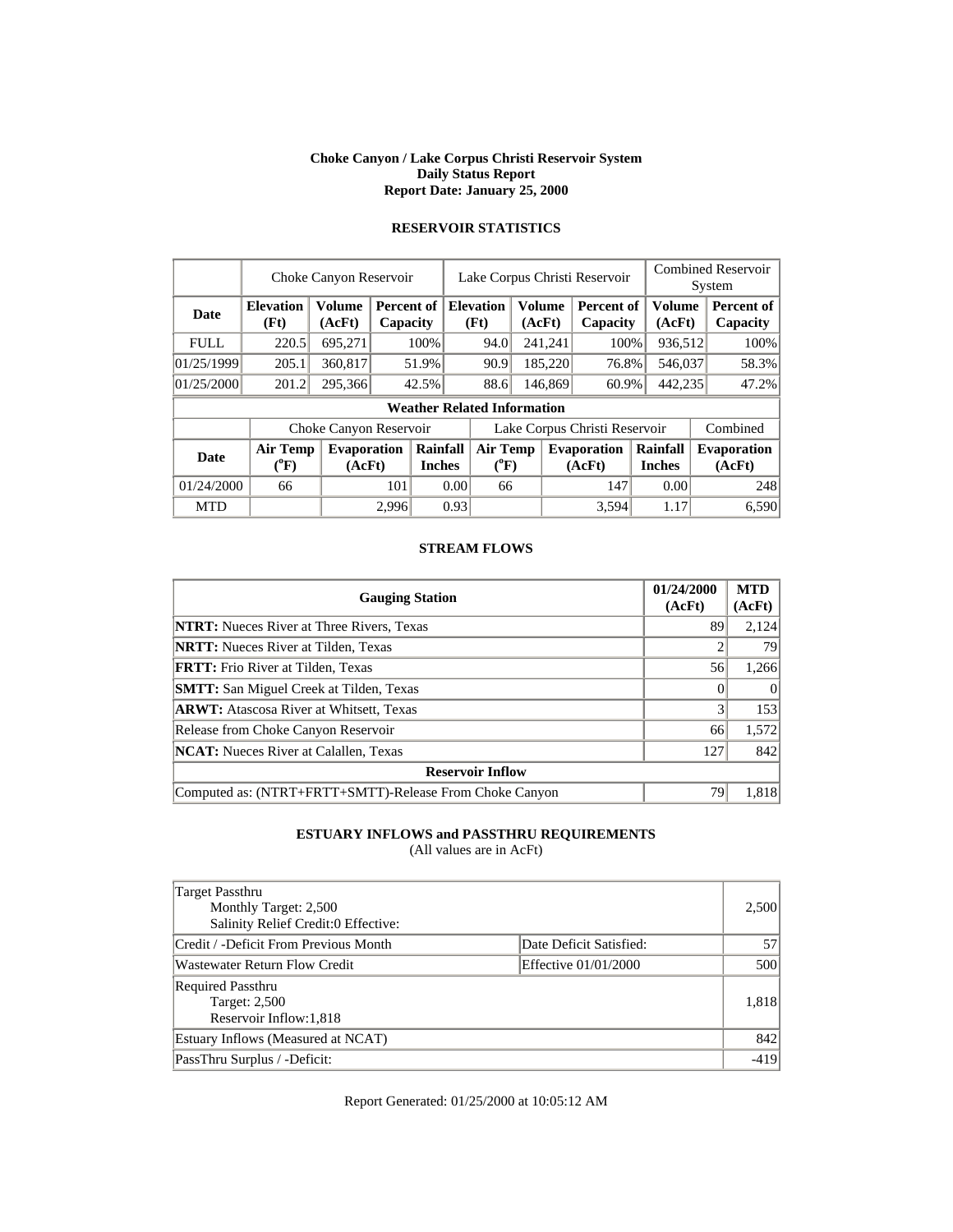#### **Choke Canyon / Lake Corpus Christi Reservoir System Daily Status Report Report Date: January 25, 2000**

|             | Choke Canyon Reservoir         |                              | Lake Corpus Christi Reservoir |                                                    |                                    |                  |         | <b>Combined Reservoir</b><br>System |                           |  |                               |
|-------------|--------------------------------|------------------------------|-------------------------------|----------------------------------------------------|------------------------------------|------------------|---------|-------------------------------------|---------------------------|--|-------------------------------|
| <b>Date</b> | <b>Elevation</b><br>(Ft)       | Volume<br>(AcFt)             |                               | <b>Elevation</b><br>Percent of<br>(Ft)<br>Capacity |                                    | Volume<br>(AcFt) |         | Percent of<br>Capacity              | Volume<br>(AcFt)          |  | <b>Percent of</b><br>Capacity |
| <b>FULL</b> | 220.5                          | 695,271                      |                               | 100%                                               | 94.0                               |                  | 241,241 | 100%                                | 936,512                   |  | 100%                          |
| 01/25/1999  | 205.1                          | 360,817                      |                               | 51.9%                                              | 90.9                               |                  | 185,220 | 76.8%                               | 546,037                   |  | 58.3%                         |
| 01/25/2000  | 201.2                          | 295,366                      |                               | 42.5%                                              |                                    | 88.6             | 146,869 | 60.9%                               | 442,235                   |  | 47.2%                         |
|             |                                |                              |                               |                                                    | <b>Weather Related Information</b> |                  |         |                                     |                           |  |                               |
|             |                                | Choke Canyon Reservoir       |                               |                                                    |                                    |                  |         | Lake Corpus Christi Reservoir       |                           |  | Combined                      |
| <b>Date</b> | Air Temp<br>$({}^0\mathrm{F})$ | <b>Evaporation</b><br>(AcFt) |                               | Rainfall<br><b>Inches</b>                          | <b>Air Temp</b><br>$(^{0}F)$       |                  |         | <b>Evaporation</b><br>(AcFt)        | Rainfall<br><b>Inches</b> |  | <b>Evaporation</b><br>(AcFt)  |
| 01/24/2000  | 66                             |                              | 101                           |                                                    | 0.00<br>66                         |                  |         | 147                                 | 0.00                      |  | 248                           |
| <b>MTD</b>  |                                |                              | 2.996                         |                                                    | 0.93                               |                  |         | 3.594                               | 1.17                      |  | 6,590                         |

# **RESERVOIR STATISTICS**

# **STREAM FLOWS**

| <b>Gauging Station</b>                                  | 01/24/2000<br>(AcFt) | <b>MTD</b><br>(AcFt) |
|---------------------------------------------------------|----------------------|----------------------|
| <b>NTRT:</b> Nueces River at Three Rivers, Texas        | 89                   | 2,124                |
| <b>NRTT:</b> Nueces River at Tilden, Texas              |                      | 79                   |
| <b>FRTT:</b> Frio River at Tilden, Texas                | 56                   | 1,266                |
| <b>SMTT:</b> San Miguel Creek at Tilden, Texas          |                      | $\Omega$             |
| <b>ARWT:</b> Atascosa River at Whitsett, Texas          | 3                    | 153                  |
| Release from Choke Canyon Reservoir                     | 66                   | 1,572                |
| <b>NCAT:</b> Nueces River at Calallen, Texas            | 127                  | 842                  |
| <b>Reservoir Inflow</b>                                 |                      |                      |
| Computed as: (NTRT+FRTT+SMTT)-Release From Choke Canyon | 79                   | 1,818                |

# **ESTUARY INFLOWS and PASSTHRU REQUIREMENTS**

(All values are in AcFt)

| Target Passthru<br>Monthly Target: 2,500<br>Salinity Relief Credit:0 Effective: |                         | 2,500  |
|---------------------------------------------------------------------------------|-------------------------|--------|
| Credit / -Deficit From Previous Month                                           | Date Deficit Satisfied: | 57     |
| Wastewater Return Flow Credit                                                   | Effective 01/01/2000    | 500    |
| <b>Required Passthru</b><br>Target: 2,500<br>Reservoir Inflow: 1,818            |                         | 1,818  |
| Estuary Inflows (Measured at NCAT)                                              |                         | 842    |
| PassThru Surplus / -Deficit:                                                    |                         | $-419$ |

Report Generated: 01/25/2000 at 10:05:12 AM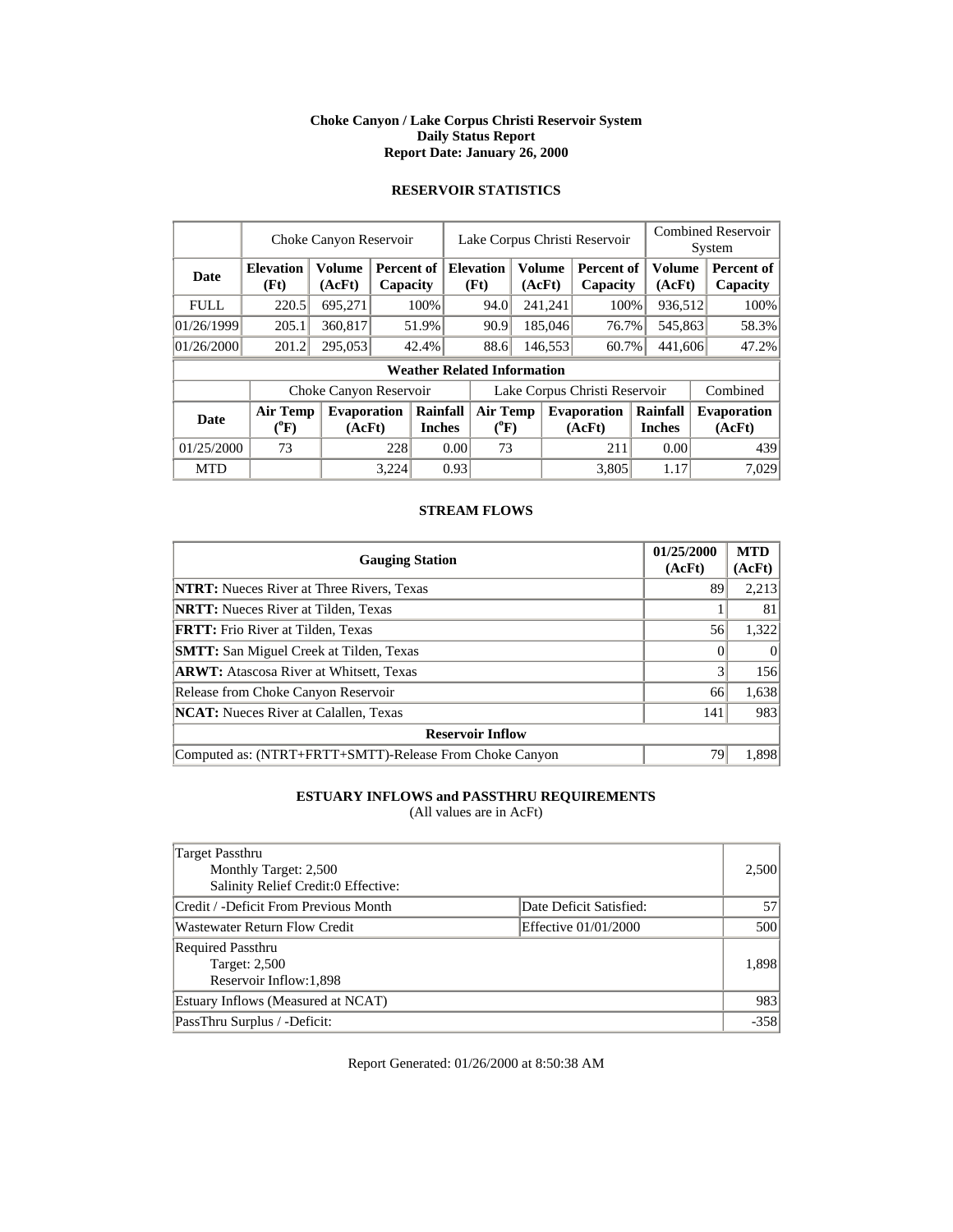#### **Choke Canyon / Lake Corpus Christi Reservoir System Daily Status Report Report Date: January 26, 2000**

# **RESERVOIR STATISTICS**

|             | Choke Canyon Reservoir                |                         |       |                           |                               | Lake Corpus Christi Reservoir      |  |                                              |                              |  | <b>Combined Reservoir</b><br>System |          |                              |  |                        |
|-------------|---------------------------------------|-------------------------|-------|---------------------------|-------------------------------|------------------------------------|--|----------------------------------------------|------------------------------|--|-------------------------------------|----------|------------------------------|--|------------------------|
| <b>Date</b> | <b>Elevation</b><br>(Ft)              | <b>Volume</b><br>(AcFt) |       | Percent of<br>Capacity    |                               |                                    |  | <b>Elevation</b><br>Volume<br>(Ft)<br>(AcFt) |                              |  | <b>Percent of</b><br>Capacity       |          | Volume<br>(AcFt)             |  | Percent of<br>Capacity |
| <b>FULL</b> | 220.5                                 | 695,271                 |       | 100%                      |                               | 94.0                               |  | 241,241                                      | 100%                         |  | 936,512                             |          | 100%                         |  |                        |
| 01/26/1999  | 205.1                                 | 360,817                 |       | 51.9%                     |                               | 90.9                               |  | 185,046                                      | 76.7%                        |  | 545,863                             |          | 58.3%                        |  |                        |
| 01/26/2000  | 201.2                                 | 295,053                 |       | 42.4%                     |                               | 88.6                               |  | 146,553                                      | 60.7%                        |  | 441,606                             |          | 47.2%                        |  |                        |
|             |                                       |                         |       |                           |                               | <b>Weather Related Information</b> |  |                                              |                              |  |                                     |          |                              |  |                        |
|             |                                       | Choke Canyon Reservoir  |       |                           | Lake Corpus Christi Reservoir |                                    |  |                                              |                              |  |                                     | Combined |                              |  |                        |
| <b>Date</b> | <b>Air Temp</b><br>$({}^0\mathrm{F})$ | Evaporation<br>(AcFt)   |       | Rainfall<br><b>Inches</b> |                               | <b>Air Temp</b><br>$(^{0}F)$       |  |                                              | <b>Evaporation</b><br>(AcFt) |  | Rainfall<br><b>Inches</b>           |          | <b>Evaporation</b><br>(AcFt) |  |                        |
| 01/25/2000  | 73                                    |                         |       | 228<br>0.00               |                               | 73                                 |  |                                              | 211                          |  | 0.00                                |          | 439                          |  |                        |
| <b>MTD</b>  |                                       |                         | 3,224 |                           | 0.93                          |                                    |  |                                              | 3.805                        |  | 1.17                                |          | 7,029                        |  |                        |

## **STREAM FLOWS**

| <b>Gauging Station</b>                                  | 01/25/2000<br>(AcFt) | <b>MTD</b><br>(AcFt) |
|---------------------------------------------------------|----------------------|----------------------|
| <b>NTRT:</b> Nueces River at Three Rivers, Texas        | 89                   | 2,213                |
| <b>NRTT:</b> Nueces River at Tilden, Texas              |                      | 81                   |
| <b>FRTT:</b> Frio River at Tilden, Texas                | 56                   | 1,322                |
| <b>SMTT:</b> San Miguel Creek at Tilden, Texas          |                      |                      |
| <b>ARWT:</b> Atascosa River at Whitsett, Texas          |                      | 156                  |
| Release from Choke Canyon Reservoir                     | 66                   | 1,638                |
| <b>NCAT:</b> Nueces River at Calallen, Texas            | 141                  | 983                  |
| <b>Reservoir Inflow</b>                                 |                      |                      |
| Computed as: (NTRT+FRTT+SMTT)-Release From Choke Canyon | 79                   | 1,898                |

# **ESTUARY INFLOWS and PASSTHRU REQUIREMENTS**

(All values are in AcFt)

| Target Passthru<br>Monthly Target: 2,500<br>Salinity Relief Credit:0 Effective: |                         | 2,500  |
|---------------------------------------------------------------------------------|-------------------------|--------|
| Credit / -Deficit From Previous Month                                           | Date Deficit Satisfied: | 57     |
| <b>Wastewater Return Flow Credit</b>                                            | Effective 01/01/2000    | 500    |
| <b>Required Passthru</b><br><b>Target: 2,500</b><br>Reservoir Inflow:1,898      |                         | 1,898  |
| Estuary Inflows (Measured at NCAT)                                              |                         | 983    |
| PassThru Surplus / -Deficit:                                                    |                         | $-358$ |

Report Generated: 01/26/2000 at 8:50:38 AM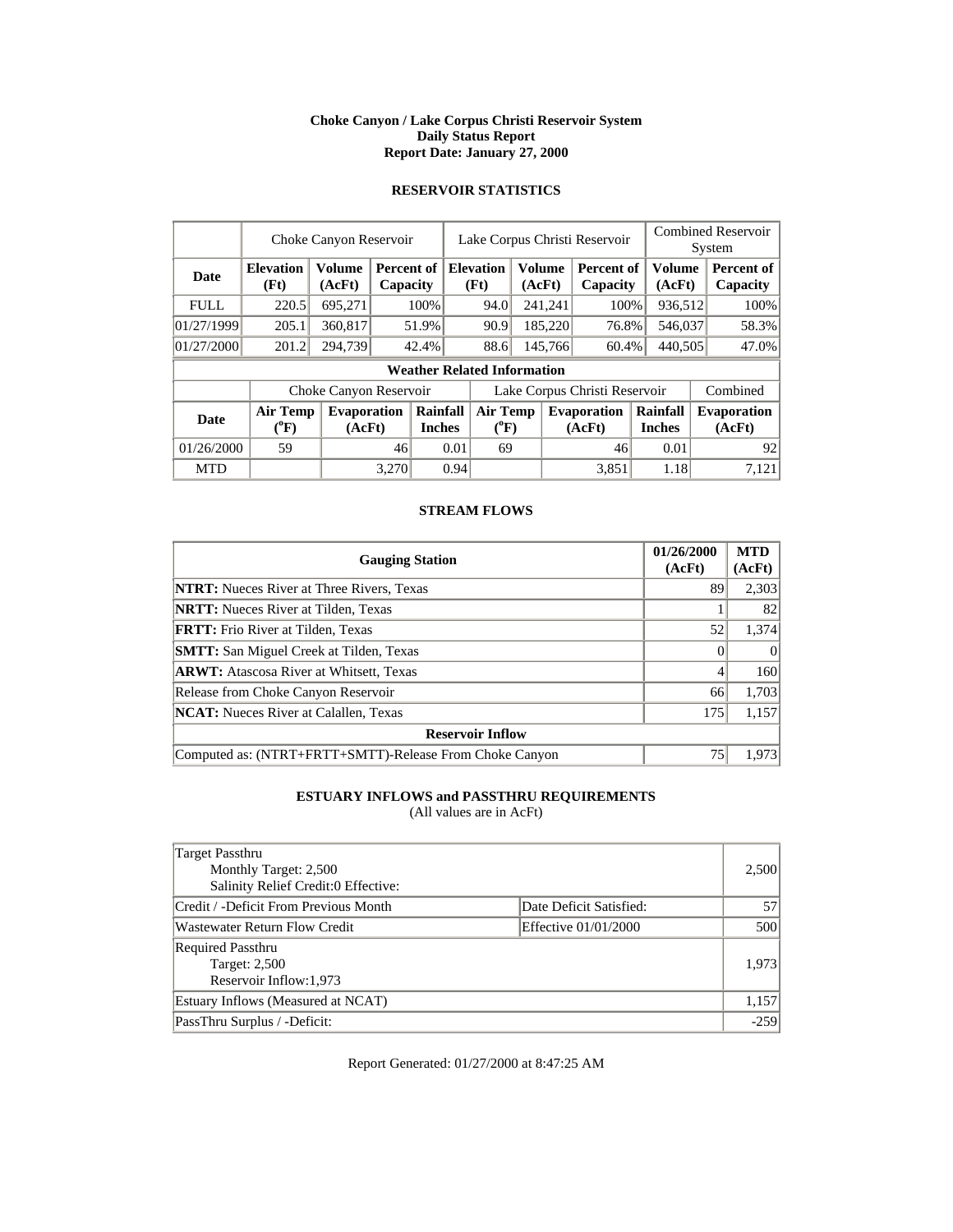#### **Choke Canyon / Lake Corpus Christi Reservoir System Daily Status Report Report Date: January 27, 2000**

# **RESERVOIR STATISTICS**

|             | Choke Canyon Reservoir                |                              |       |                                    |                               | Lake Corpus Christi Reservoir |         |                                              |                              |                               | <b>Combined Reservoir</b><br>System |                  |                              |                        |
|-------------|---------------------------------------|------------------------------|-------|------------------------------------|-------------------------------|-------------------------------|---------|----------------------------------------------|------------------------------|-------------------------------|-------------------------------------|------------------|------------------------------|------------------------|
| <b>Date</b> | <b>Elevation</b><br>(Ft)              | <b>Volume</b><br>(AcFt)      |       | Percent of<br>Capacity             |                               |                               |         | <b>Elevation</b><br>Volume<br>(Ft)<br>(AcFt) |                              | <b>Percent of</b><br>Capacity |                                     | Volume<br>(AcFt) |                              | Percent of<br>Capacity |
| <b>FULL</b> | 220.5                                 | 695,271                      |       | 100%                               |                               | 94.0                          |         | 241,241                                      | 100%                         |                               | 936,512                             |                  | 100%                         |                        |
| 01/27/1999  | 205.1                                 | 360,817                      |       | 51.9%                              |                               | 90.9                          |         | 185,220                                      | 76.8%                        |                               | 546,037                             |                  | 58.3%                        |                        |
| 01/27/2000  | 201.2                                 | 294,739                      |       | 42.4%                              |                               | 88.6                          | 145,766 |                                              | 60.4%                        | 440,505                       |                                     |                  | 47.0%                        |                        |
|             |                                       |                              |       | <b>Weather Related Information</b> |                               |                               |         |                                              |                              |                               |                                     |                  |                              |                        |
|             |                                       | Choke Canyon Reservoir       |       |                                    | Lake Corpus Christi Reservoir |                               |         |                                              |                              |                               |                                     | Combined         |                              |                        |
| <b>Date</b> | <b>Air Temp</b><br>$({}^0\mathrm{F})$ | <b>Evaporation</b><br>(AcFt) |       | Rainfall<br><b>Inches</b>          |                               | <b>Air Temp</b><br>$(^{0}F)$  |         |                                              | <b>Evaporation</b><br>(AcFt) |                               | Rainfall<br><b>Inches</b>           |                  | <b>Evaporation</b><br>(AcFt) |                        |
| 01/26/2000  | 59                                    |                              | 46    |                                    | 0.01                          | 69                            |         |                                              | 46                           |                               | 0.01                                |                  | 92                           |                        |
| <b>MTD</b>  |                                       |                              | 3,270 |                                    | 0.94                          |                               |         |                                              | 3.851                        |                               | 1.18                                |                  | 7,121                        |                        |

## **STREAM FLOWS**

| <b>Gauging Station</b>                                  | 01/26/2000<br>(AcFt) | <b>MTD</b><br>(AcFt) |
|---------------------------------------------------------|----------------------|----------------------|
| <b>NTRT:</b> Nueces River at Three Rivers, Texas        | 89                   | 2,303                |
| <b>NRTT:</b> Nueces River at Tilden, Texas              |                      | 82                   |
| <b>FRTT:</b> Frio River at Tilden, Texas                | 52                   | 1,374                |
| <b>SMTT:</b> San Miguel Creek at Tilden, Texas          |                      | $\Omega$             |
| <b>ARWT:</b> Atascosa River at Whitsett, Texas          | 4                    | 160                  |
| Release from Choke Canyon Reservoir                     | 66                   | 1,703                |
| <b>NCAT:</b> Nueces River at Calallen, Texas            | 175                  | 1,157                |
| <b>Reservoir Inflow</b>                                 |                      |                      |
| Computed as: (NTRT+FRTT+SMTT)-Release From Choke Canyon | 75                   | 1,973                |

# **ESTUARY INFLOWS and PASSTHRU REQUIREMENTS**

(All values are in AcFt)

| Target Passthru<br>Monthly Target: 2,500<br>Salinity Relief Credit:0 Effective: |                         | 2,500  |
|---------------------------------------------------------------------------------|-------------------------|--------|
| Credit / -Deficit From Previous Month                                           | Date Deficit Satisfied: | 57     |
| Wastewater Return Flow Credit                                                   | Effective 01/01/2000    | 500    |
| <b>Required Passthru</b><br><b>Target: 2,500</b><br>Reservoir Inflow: 1,973     |                         | 1,973  |
| Estuary Inflows (Measured at NCAT)                                              |                         | 1,157  |
| PassThru Surplus / -Deficit:                                                    |                         | $-259$ |

Report Generated: 01/27/2000 at 8:47:25 AM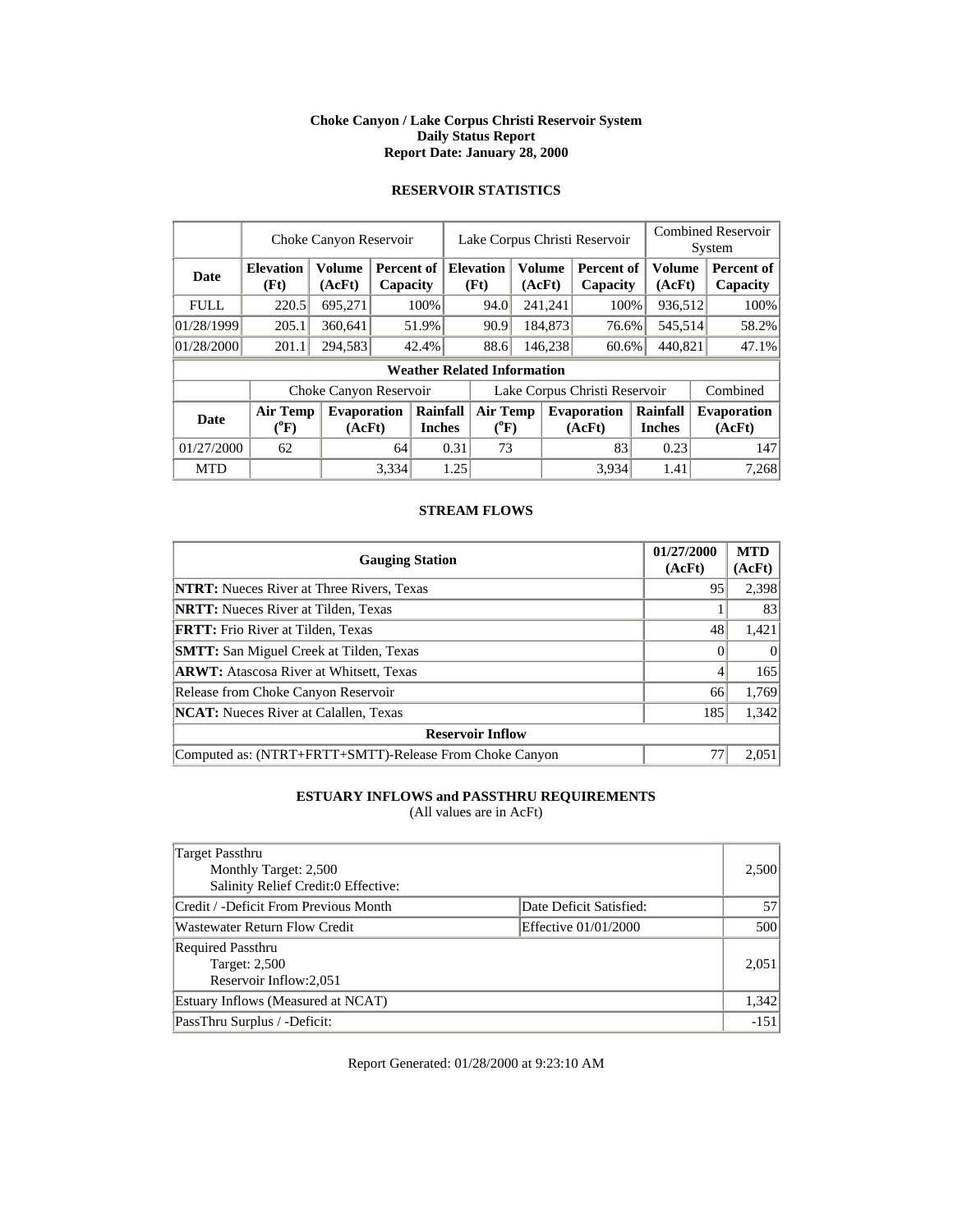#### **Choke Canyon / Lake Corpus Christi Reservoir System Daily Status Report Report Date: January 28, 2000**

# **RESERVOIR STATISTICS**

|             | Choke Canyon Reservoir       |                              | Lake Corpus Christi Reservoir |                           |                                       |                                    |  |                          | <b>Combined Reservoir</b><br>System |                           |                        |          |                              |  |                        |
|-------------|------------------------------|------------------------------|-------------------------------|---------------------------|---------------------------------------|------------------------------------|--|--------------------------|-------------------------------------|---------------------------|------------------------|----------|------------------------------|--|------------------------|
| Date        | <b>Elevation</b><br>(Ft)     | <b>Volume</b><br>(AcFt)      |                               | Percent of<br>Capacity    |                                       |                                    |  | <b>Elevation</b><br>(Ft) | (AcFt)                              | Volume                    | Percent of<br>Capacity |          | Volume<br>(AcFt)             |  | Percent of<br>Capacity |
| <b>FULL</b> | 220.5                        | 695,271                      |                               | 100%                      |                                       | 94.0                               |  | 241,241                  | 100%                                |                           | 936,512                |          | 100%                         |  |                        |
| 01/28/1999  | 205.1                        | 360.641                      |                               | 51.9%                     |                                       | 90.9                               |  | 184,873                  | 76.6%                               |                           | 545,514                |          | 58.2%                        |  |                        |
| 01/28/2000  | 201.1                        | 294,583                      |                               | 42.4%                     |                                       | 88.6                               |  | 146,238                  | 60.6%                               |                           | 440,821                |          | 47.1%                        |  |                        |
|             |                              |                              |                               |                           |                                       | <b>Weather Related Information</b> |  |                          |                                     |                           |                        |          |                              |  |                        |
|             |                              | Choke Canyon Reservoir       |                               |                           | Lake Corpus Christi Reservoir         |                                    |  |                          |                                     |                           |                        | Combined |                              |  |                        |
| Date        | <b>Air Temp</b><br>$(^{0}F)$ | <b>Evaporation</b><br>(AcFt) |                               | Rainfall<br><b>Inches</b> | <b>Air Temp</b><br>$({}^0\mathrm{F})$ |                                    |  |                          | <b>Evaporation</b><br>(AcFt)        | Rainfall<br><b>Inches</b> |                        |          | <b>Evaporation</b><br>(AcFt) |  |                        |
| 01/27/2000  | 62                           |                              | 64                            |                           | 0.31                                  | 73                                 |  |                          | 83                                  |                           | 0.23                   |          | 147                          |  |                        |
| <b>MTD</b>  |                              |                              | 3,334                         |                           | 1.25                                  |                                    |  |                          | 3.934                               |                           | 1.41                   |          | 7,268                        |  |                        |

## **STREAM FLOWS**

| <b>Gauging Station</b>                                  | 01/27/2000<br>(AcFt) | <b>MTD</b><br>(AcFt) |
|---------------------------------------------------------|----------------------|----------------------|
| <b>NTRT:</b> Nueces River at Three Rivers, Texas        | 95                   | 2,398                |
| <b>NRTT:</b> Nueces River at Tilden, Texas              |                      | 83                   |
| <b>FRTT:</b> Frio River at Tilden, Texas                | 48                   | 1,421                |
| <b>SMTT:</b> San Miguel Creek at Tilden, Texas          |                      | $\Omega$             |
| <b>ARWT:</b> Atascosa River at Whitsett, Texas          | 4                    | 165                  |
| Release from Choke Canyon Reservoir                     | 66                   | 1,769                |
| <b>NCAT:</b> Nueces River at Calallen, Texas            | 185                  | 1,342                |
| <b>Reservoir Inflow</b>                                 |                      |                      |
| Computed as: (NTRT+FRTT+SMTT)-Release From Choke Canyon | 77                   | 2.051                |

# **ESTUARY INFLOWS and PASSTHRU REQUIREMENTS**

(All values are in AcFt)

| Target Passthru<br>Monthly Target: 2,500<br>Salinity Relief Credit:0 Effective: |                         | 2,500  |
|---------------------------------------------------------------------------------|-------------------------|--------|
| Credit / -Deficit From Previous Month                                           | Date Deficit Satisfied: | 57     |
| <b>Wastewater Return Flow Credit</b>                                            | Effective 01/01/2000    | 500    |
| <b>Required Passthru</b><br>Target: 2,500<br>Reservoir Inflow:2,051             |                         | 2,051  |
| Estuary Inflows (Measured at NCAT)                                              |                         | 1,342  |
| PassThru Surplus / -Deficit:                                                    |                         | $-151$ |

Report Generated: 01/28/2000 at 9:23:10 AM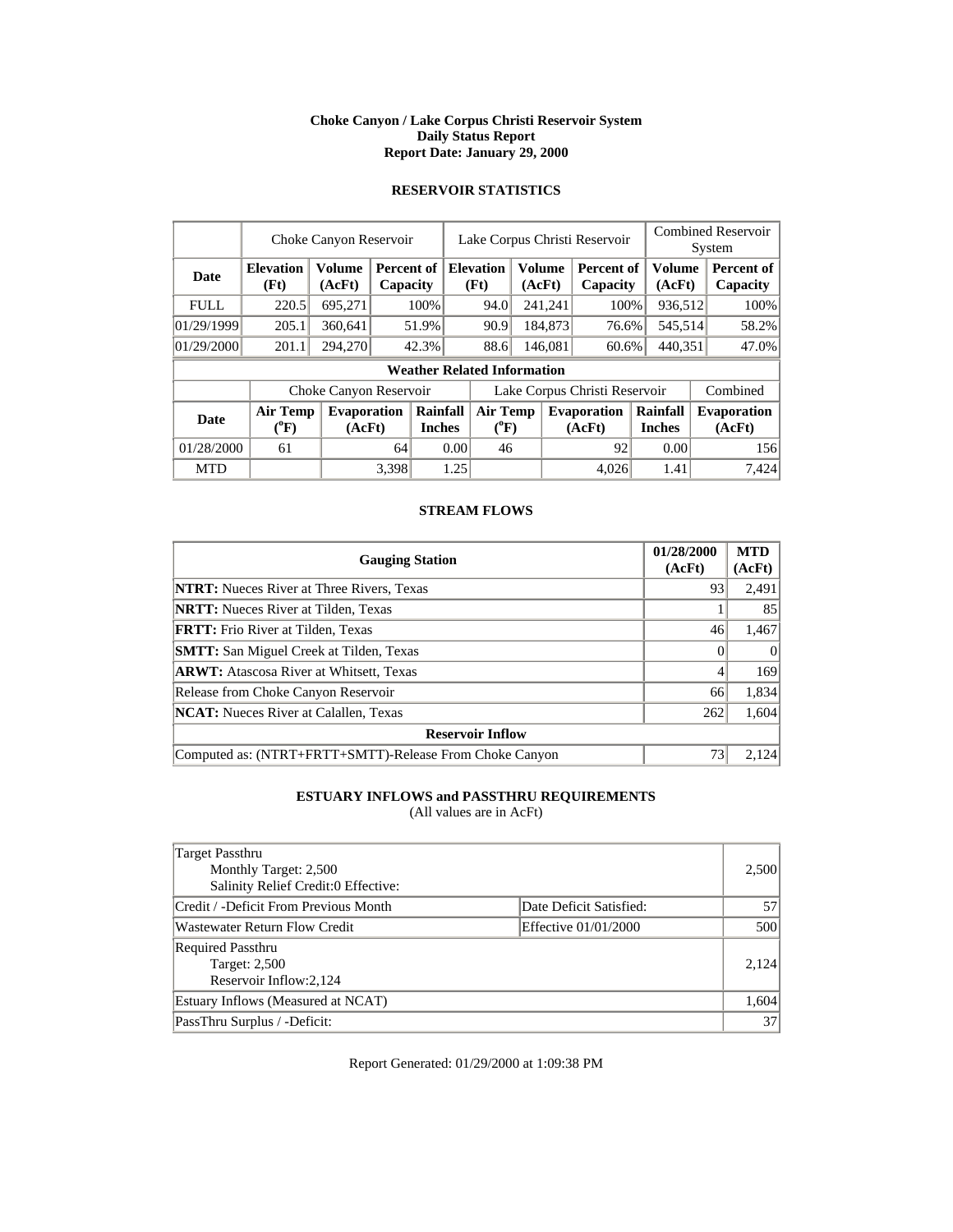#### **Choke Canyon / Lake Corpus Christi Reservoir System Daily Status Report Report Date: January 29, 2000**

# **RESERVOIR STATISTICS**

|             | Choke Canyon Reservoir                |                                                         |                          |                           |                          |                                    | Lake Corpus Christi Reservoir |          | <b>Combined Reservoir</b><br>System |                           |  |                              |
|-------------|---------------------------------------|---------------------------------------------------------|--------------------------|---------------------------|--------------------------|------------------------------------|-------------------------------|----------|-------------------------------------|---------------------------|--|------------------------------|
| <b>Date</b> | <b>Elevation</b><br>(Ft)              | <b>Volume</b><br>(AcFt)                                 | Percent of 1<br>Capacity |                           | <b>Elevation</b><br>(Ft) |                                    | (AcFt)                        | Volume   | Percent of<br>Capacity              | <b>Volume</b><br>(AcFt)   |  | Percent of<br>Capacity       |
| <b>FULL</b> | 220.5                                 | 695,271                                                 |                          | 100%                      |                          | 94.0                               |                               | 241,241  | 100%                                | 936,512                   |  | 100%                         |
| 01/29/1999  | 205.1                                 | 360.641                                                 |                          | 51.9%                     |                          | 90.9                               |                               | 184,873  | 76.6%                               | 545,514                   |  | 58.2%                        |
| 01/29/2000  | 201.1                                 | 294,270                                                 |                          | 42.3%                     |                          | 88.6                               |                               | 146,081  | 60.6%                               | 440,351                   |  | 47.0%                        |
|             |                                       |                                                         |                          |                           |                          | <b>Weather Related Information</b> |                               |          |                                     |                           |  |                              |
|             |                                       | Lake Corpus Christi Reservoir<br>Choke Canyon Reservoir |                          |                           |                          |                                    |                               | Combined |                                     |                           |  |                              |
| Date        | <b>Air Temp</b><br>$(^{0}\mathrm{F})$ | <b>Evaporation</b><br>(AcFt)                            |                          | Rainfall<br><b>Inches</b> |                          | <b>Air Temp</b><br>$(^{0}F)$       |                               |          | <b>Evaporation</b><br>(AcFt)        | Rainfall<br><b>Inches</b> |  | <b>Evaporation</b><br>(AcFt) |
| 01/28/2000  | 61                                    |                                                         | 64                       |                           | 0.00                     | 46                                 |                               |          | 92                                  | 0.00                      |  | 156                          |
| <b>MTD</b>  |                                       |                                                         | 3,398                    |                           | 1.25                     |                                    |                               |          | 4,026                               | 1.41                      |  | 7,424                        |

### **STREAM FLOWS**

| <b>Gauging Station</b>                                  | 01/28/2000<br>(AcFt) | <b>MTD</b><br>(AcFt) |
|---------------------------------------------------------|----------------------|----------------------|
| <b>NTRT:</b> Nueces River at Three Rivers, Texas        | 93                   | 2,491                |
| <b>NRTT:</b> Nueces River at Tilden, Texas              |                      | 85                   |
| <b>FRTT:</b> Frio River at Tilden, Texas                | 46                   | 1,467                |
| <b>SMTT:</b> San Miguel Creek at Tilden, Texas          |                      |                      |
| <b>ARWT:</b> Atascosa River at Whitsett, Texas          | 4                    | 169                  |
| Release from Choke Canyon Reservoir                     | 66                   | 1,834                |
| <b>NCAT:</b> Nueces River at Calallen, Texas            | 262                  | 1,604                |
| <b>Reservoir Inflow</b>                                 |                      |                      |
| Computed as: (NTRT+FRTT+SMTT)-Release From Choke Canyon | 73                   | 2.124                |

# **ESTUARY INFLOWS and PASSTHRU REQUIREMENTS**

(All values are in AcFt)

| Target Passthru<br>Monthly Target: 2,500<br>Salinity Relief Credit:0 Effective: |                         | 2,500 |
|---------------------------------------------------------------------------------|-------------------------|-------|
| Credit / -Deficit From Previous Month                                           | Date Deficit Satisfied: | 57    |
| <b>Wastewater Return Flow Credit</b>                                            | Effective 01/01/2000    | 500   |
| <b>Required Passthru</b><br><b>Target: 2,500</b><br>Reservoir Inflow:2,124      |                         | 2.124 |
| Estuary Inflows (Measured at NCAT)                                              |                         | 1,604 |
| PassThru Surplus / -Deficit:                                                    |                         | 37    |

Report Generated: 01/29/2000 at 1:09:38 PM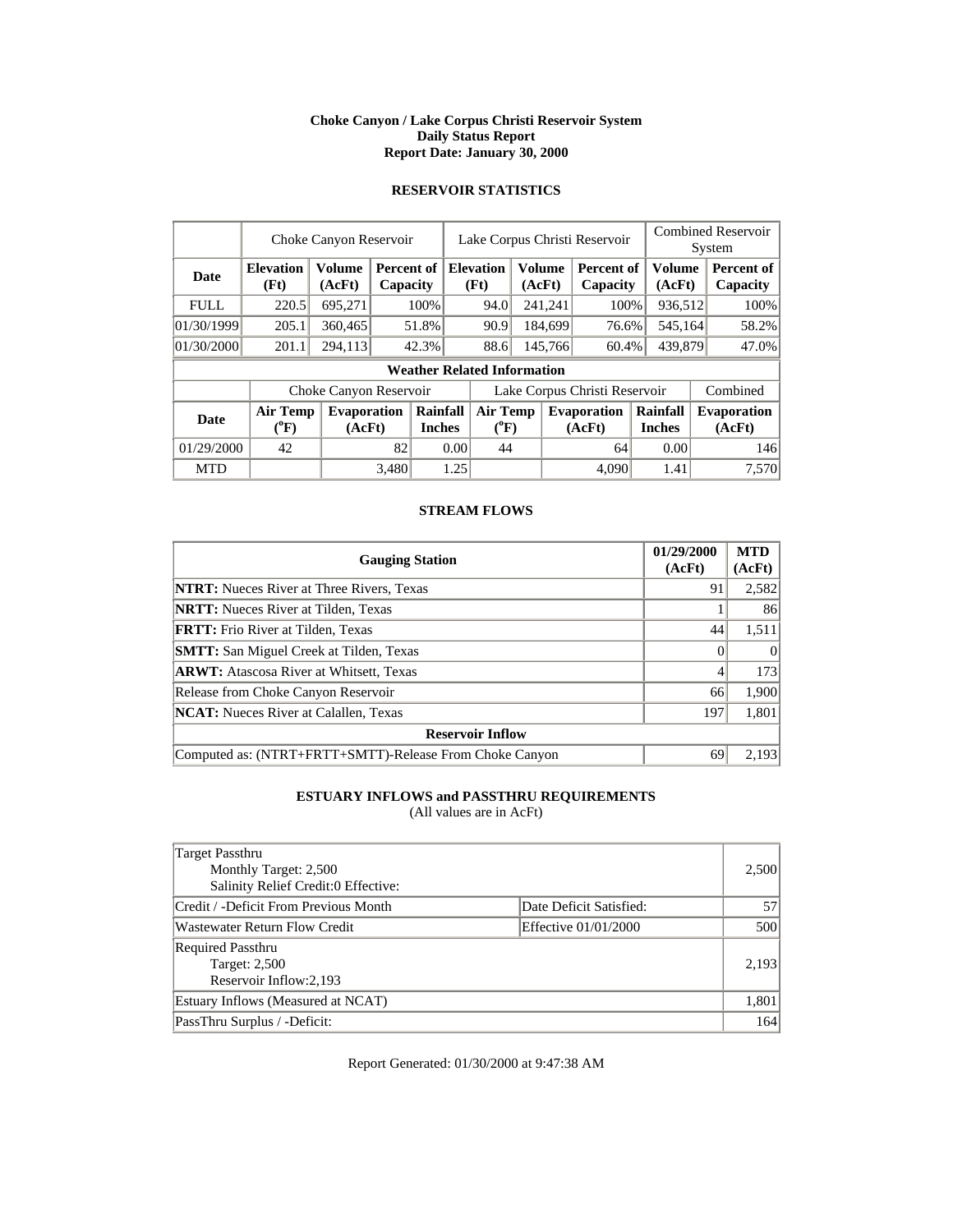#### **Choke Canyon / Lake Corpus Christi Reservoir System Daily Status Report Report Date: January 30, 2000**

# **RESERVOIR STATISTICS**

|             | Choke Canyon Reservoir           |                         |          |                           | Lake Corpus Christi Reservoir |                                       |  |                  |                               |                           | <b>Combined Reservoir</b><br>System |                              |  |
|-------------|----------------------------------|-------------------------|----------|---------------------------|-------------------------------|---------------------------------------|--|------------------|-------------------------------|---------------------------|-------------------------------------|------------------------------|--|
| Date        | <b>Elevation</b><br>(Ft)         | <b>Volume</b><br>(AcFt) | Capacity |                           |                               | <b>Percent of   Elevation</b><br>(Ft) |  | Volume<br>(AcFt) | Percent of<br>Capacity        | <b>Volume</b><br>(AcFt)   |                                     | Percent of<br>Capacity       |  |
| <b>FULL</b> | 220.5                            | 695,271                 |          | 100%                      |                               | 94.0                                  |  | 241,241          | 100%                          |                           | 936,512                             | 100%                         |  |
| 01/30/1999  | 205.1                            | 360,465                 |          | 51.8%                     |                               | 90.9                                  |  | 184,699          | 76.6%                         |                           | 545,164                             | 58.2%                        |  |
| 01/30/2000  | 201.1                            | 294,113                 |          | 42.3%                     |                               | 88.6                                  |  | 145,766          | 60.4%                         |                           | 439,879                             | 47.0%                        |  |
|             |                                  |                         |          |                           |                               | <b>Weather Related Information</b>    |  |                  |                               |                           |                                     |                              |  |
|             |                                  | Choke Canyon Reservoir  |          |                           |                               |                                       |  |                  | Lake Corpus Christi Reservoir |                           |                                     | Combined                     |  |
| <b>Date</b> | <b>Air Temp</b><br>$\rm ^{(9}F)$ | Evaporation<br>(AcFt)   |          | Rainfall<br><b>Inches</b> |                               | <b>Air Temp</b><br>$({}^0\mathrm{F})$ |  |                  | <b>Evaporation</b><br>(AcFt)  | Rainfall<br><b>Inches</b> |                                     | <b>Evaporation</b><br>(AcFt) |  |
| 01/29/2000  | 42                               |                         | 82       |                           | 0.00                          | 44                                    |  |                  | 64                            | 0.00                      |                                     | 146                          |  |
| <b>MTD</b>  |                                  |                         | 3.480    |                           | 1.25                          |                                       |  |                  | 4.090                         | 1.41                      |                                     | 7.570                        |  |

### **STREAM FLOWS**

| <b>Gauging Station</b>                                  | 01/29/2000<br>(AcFt) | <b>MTD</b><br>(AcFt) |
|---------------------------------------------------------|----------------------|----------------------|
| <b>NTRT:</b> Nueces River at Three Rivers, Texas        | 91                   | 2,582                |
| <b>NRTT:</b> Nueces River at Tilden, Texas              |                      | 86                   |
| <b>FRTT:</b> Frio River at Tilden, Texas                | 44                   | 1,511                |
| <b>SMTT:</b> San Miguel Creek at Tilden, Texas          |                      |                      |
| <b>ARWT:</b> Atascosa River at Whitsett, Texas          | 4                    | 173                  |
| Release from Choke Canyon Reservoir                     | 66                   | 1,900                |
| <b>NCAT:</b> Nueces River at Calallen, Texas            | 197                  | 1,801                |
| <b>Reservoir Inflow</b>                                 |                      |                      |
| Computed as: (NTRT+FRTT+SMTT)-Release From Choke Canyon | 69                   | 2.193                |

# **ESTUARY INFLOWS and PASSTHRU REQUIREMENTS**

(All values are in AcFt)

| Target Passthru<br>Monthly Target: 2,500<br>Salinity Relief Credit:0 Effective: |                         | 2,500 |
|---------------------------------------------------------------------------------|-------------------------|-------|
| Credit / -Deficit From Previous Month                                           | Date Deficit Satisfied: | 57    |
| <b>Wastewater Return Flow Credit</b>                                            | Effective 01/01/2000    | 500   |
| <b>Required Passthru</b><br><b>Target: 2,500</b><br>Reservoir Inflow:2,193      |                         | 2,193 |
| Estuary Inflows (Measured at NCAT)                                              |                         | 1,801 |
| PassThru Surplus / -Deficit:                                                    |                         | 164   |

Report Generated: 01/30/2000 at 9:47:38 AM